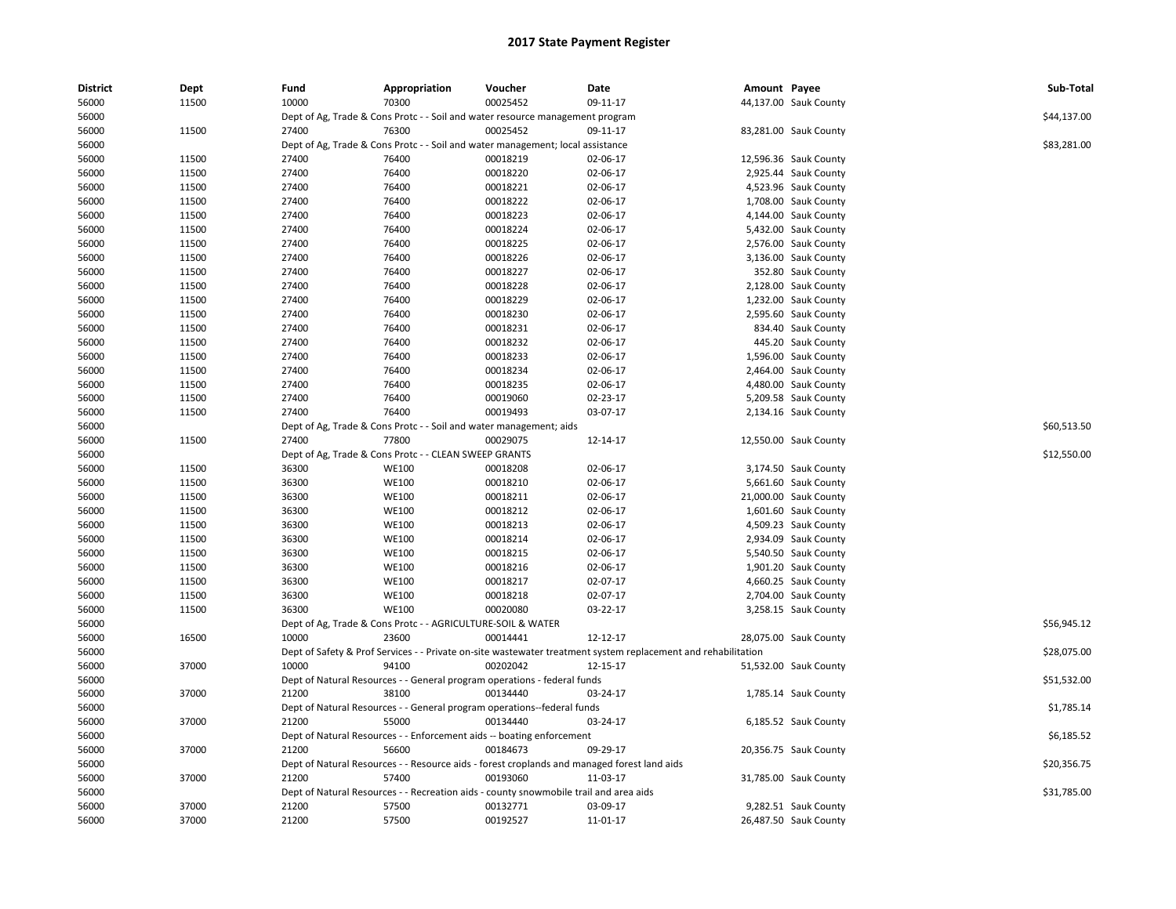| <b>District</b> | Dept  | Fund  | Appropriation                                                               | Voucher                                                                               | Date                                                                                                          | Amount Payee |                       | Sub-Total   |
|-----------------|-------|-------|-----------------------------------------------------------------------------|---------------------------------------------------------------------------------------|---------------------------------------------------------------------------------------------------------------|--------------|-----------------------|-------------|
| 56000           | 11500 | 10000 | 70300                                                                       | 00025452                                                                              | 09-11-17                                                                                                      |              | 44,137.00 Sauk County |             |
| 56000           |       |       |                                                                             | Dept of Ag, Trade & Cons Protc - - Soil and water resource management program         |                                                                                                               |              |                       | \$44,137.00 |
| 56000           | 11500 | 27400 | 76300                                                                       | 00025452                                                                              | 09-11-17                                                                                                      |              | 83,281.00 Sauk County |             |
| 56000           |       |       |                                                                             | Dept of Ag, Trade & Cons Protc - - Soil and water management; local assistance        |                                                                                                               |              |                       | \$83,281.00 |
| 56000           | 11500 | 27400 | 76400                                                                       | 00018219                                                                              | 02-06-17                                                                                                      |              | 12,596.36 Sauk County |             |
| 56000           | 11500 | 27400 | 76400                                                                       | 00018220                                                                              | 02-06-17                                                                                                      |              | 2,925.44 Sauk County  |             |
| 56000           | 11500 | 27400 | 76400                                                                       | 00018221                                                                              | 02-06-17                                                                                                      |              | 4,523.96 Sauk County  |             |
| 56000           | 11500 | 27400 | 76400                                                                       | 00018222                                                                              | 02-06-17                                                                                                      |              | 1,708.00 Sauk County  |             |
| 56000           | 11500 | 27400 | 76400                                                                       | 00018223                                                                              | 02-06-17                                                                                                      |              | 4,144.00 Sauk County  |             |
| 56000           | 11500 | 27400 | 76400                                                                       | 00018224                                                                              | 02-06-17                                                                                                      |              | 5,432.00 Sauk County  |             |
| 56000           | 11500 | 27400 | 76400                                                                       | 00018225                                                                              | 02-06-17                                                                                                      |              | 2,576.00 Sauk County  |             |
| 56000           | 11500 | 27400 | 76400                                                                       | 00018226                                                                              | 02-06-17                                                                                                      |              | 3,136.00 Sauk County  |             |
| 56000           | 11500 | 27400 | 76400                                                                       | 00018227                                                                              | 02-06-17                                                                                                      |              | 352.80 Sauk County    |             |
| 56000           | 11500 | 27400 | 76400                                                                       | 00018228                                                                              | 02-06-17                                                                                                      |              | 2,128.00 Sauk County  |             |
| 56000           | 11500 | 27400 | 76400                                                                       | 00018229                                                                              | 02-06-17                                                                                                      |              | 1,232.00 Sauk County  |             |
| 56000           | 11500 | 27400 | 76400                                                                       | 00018230                                                                              | 02-06-17                                                                                                      |              | 2,595.60 Sauk County  |             |
| 56000           | 11500 | 27400 | 76400                                                                       | 00018231                                                                              | 02-06-17                                                                                                      |              | 834.40 Sauk County    |             |
| 56000           | 11500 | 27400 | 76400                                                                       | 00018232                                                                              | 02-06-17                                                                                                      |              | 445.20 Sauk County    |             |
| 56000           | 11500 | 27400 | 76400                                                                       | 00018233                                                                              | 02-06-17                                                                                                      |              | 1,596.00 Sauk County  |             |
| 56000           | 11500 | 27400 | 76400                                                                       | 00018234                                                                              | 02-06-17                                                                                                      |              | 2,464.00 Sauk County  |             |
| 56000           | 11500 | 27400 | 76400                                                                       | 00018235                                                                              | 02-06-17                                                                                                      |              | 4,480.00 Sauk County  |             |
| 56000           | 11500 | 27400 | 76400                                                                       | 00019060                                                                              | 02-23-17                                                                                                      |              | 5,209.58 Sauk County  |             |
| 56000           | 11500 | 27400 | 76400                                                                       | 00019493                                                                              | 03-07-17                                                                                                      |              | 2,134.16 Sauk County  |             |
| 56000           |       |       | \$60,513.50                                                                 |                                                                                       |                                                                                                               |              |                       |             |
| 56000           | 11500 | 27400 | Dept of Ag, Trade & Cons Protc - - Soil and water management; aids<br>77800 | 00029075                                                                              | 12-14-17                                                                                                      |              | 12,550.00 Sauk County |             |
| 56000           |       |       | Dept of Ag, Trade & Cons Protc - - CLEAN SWEEP GRANTS                       |                                                                                       |                                                                                                               |              |                       | \$12,550.00 |
| 56000           | 11500 | 36300 | <b>WE100</b>                                                                | 00018208                                                                              | 02-06-17                                                                                                      |              | 3,174.50 Sauk County  |             |
| 56000           | 11500 | 36300 | <b>WE100</b>                                                                | 00018210                                                                              | 02-06-17                                                                                                      |              | 5,661.60 Sauk County  |             |
| 56000           | 11500 | 36300 | WE100                                                                       | 00018211                                                                              | 02-06-17                                                                                                      |              | 21,000.00 Sauk County |             |
| 56000           | 11500 | 36300 | <b>WE100</b>                                                                | 00018212                                                                              | 02-06-17                                                                                                      |              | 1,601.60 Sauk County  |             |
| 56000           | 11500 | 36300 | <b>WE100</b>                                                                | 00018213                                                                              | 02-06-17                                                                                                      |              | 4,509.23 Sauk County  |             |
| 56000           | 11500 | 36300 | <b>WE100</b>                                                                | 00018214                                                                              | 02-06-17                                                                                                      |              | 2,934.09 Sauk County  |             |
| 56000           | 11500 | 36300 | <b>WE100</b>                                                                | 00018215                                                                              | 02-06-17                                                                                                      |              | 5,540.50 Sauk County  |             |
| 56000           | 11500 | 36300 | <b>WE100</b>                                                                | 00018216                                                                              | 02-06-17                                                                                                      |              | 1,901.20 Sauk County  |             |
| 56000           | 11500 | 36300 | <b>WE100</b>                                                                | 00018217                                                                              | 02-07-17                                                                                                      |              | 4,660.25 Sauk County  |             |
| 56000           | 11500 | 36300 | <b>WE100</b>                                                                | 00018218                                                                              | 02-07-17                                                                                                      |              | 2,704.00 Sauk County  |             |
| 56000           | 11500 | 36300 | WE100                                                                       | 00020080                                                                              | 03-22-17                                                                                                      |              | 3,258.15 Sauk County  |             |
| 56000           |       |       | Dept of Ag, Trade & Cons Protc - - AGRICULTURE-SOIL & WATER                 |                                                                                       |                                                                                                               |              |                       | \$56,945.12 |
| 56000           | 16500 | 10000 | 23600                                                                       | 00014441                                                                              | 12-12-17                                                                                                      |              | 28,075.00 Sauk County |             |
| 56000           |       |       |                                                                             |                                                                                       | Dept of Safety & Prof Services - - Private on-site wastewater treatment system replacement and rehabilitation |              |                       | \$28,075.00 |
| 56000           | 37000 | 10000 | 94100                                                                       | 00202042                                                                              | 12-15-17                                                                                                      |              | 51,532.00 Sauk County |             |
|                 |       |       |                                                                             |                                                                                       |                                                                                                               |              |                       |             |
| 56000           | 37000 | 21200 | 38100                                                                       | Dept of Natural Resources - - General program operations - federal funds<br>00134440  | 03-24-17                                                                                                      |              |                       | \$51,532.00 |
| 56000           |       |       |                                                                             |                                                                                       |                                                                                                               |              | 1,785.14 Sauk County  |             |
| 56000           |       |       |                                                                             | Dept of Natural Resources - - General program operations--federal funds               |                                                                                                               |              |                       | \$1,785.14  |
| 56000           | 37000 | 21200 | 55000                                                                       | 00134440                                                                              | 03-24-17                                                                                                      |              | 6,185.52 Sauk County  |             |
| 56000           |       |       |                                                                             | Dept of Natural Resources - - Enforcement aids -- boating enforcement                 |                                                                                                               |              |                       | \$6,185.52  |
| 56000           | 37000 | 21200 | 56600                                                                       | 00184673                                                                              | 09-29-17                                                                                                      |              | 20,356.75 Sauk County |             |
| 56000           |       |       |                                                                             |                                                                                       | Dept of Natural Resources - - Resource aids - forest croplands and managed forest land aids                   |              |                       | \$20,356.75 |
| 56000           | 37000 | 21200 | 57400                                                                       | 00193060                                                                              | 11-03-17                                                                                                      |              | 31,785.00 Sauk County |             |
| 56000           |       |       |                                                                             | Dept of Natural Resources - - Recreation aids - county snowmobile trail and area aids |                                                                                                               |              |                       | \$31,785.00 |
| 56000           | 37000 | 21200 | 57500                                                                       | 00132771                                                                              | 03-09-17                                                                                                      |              | 9,282.51 Sauk County  |             |
| 56000           | 37000 | 21200 | 57500                                                                       | 00192527                                                                              | 11-01-17                                                                                                      |              | 26,487.50 Sauk County |             |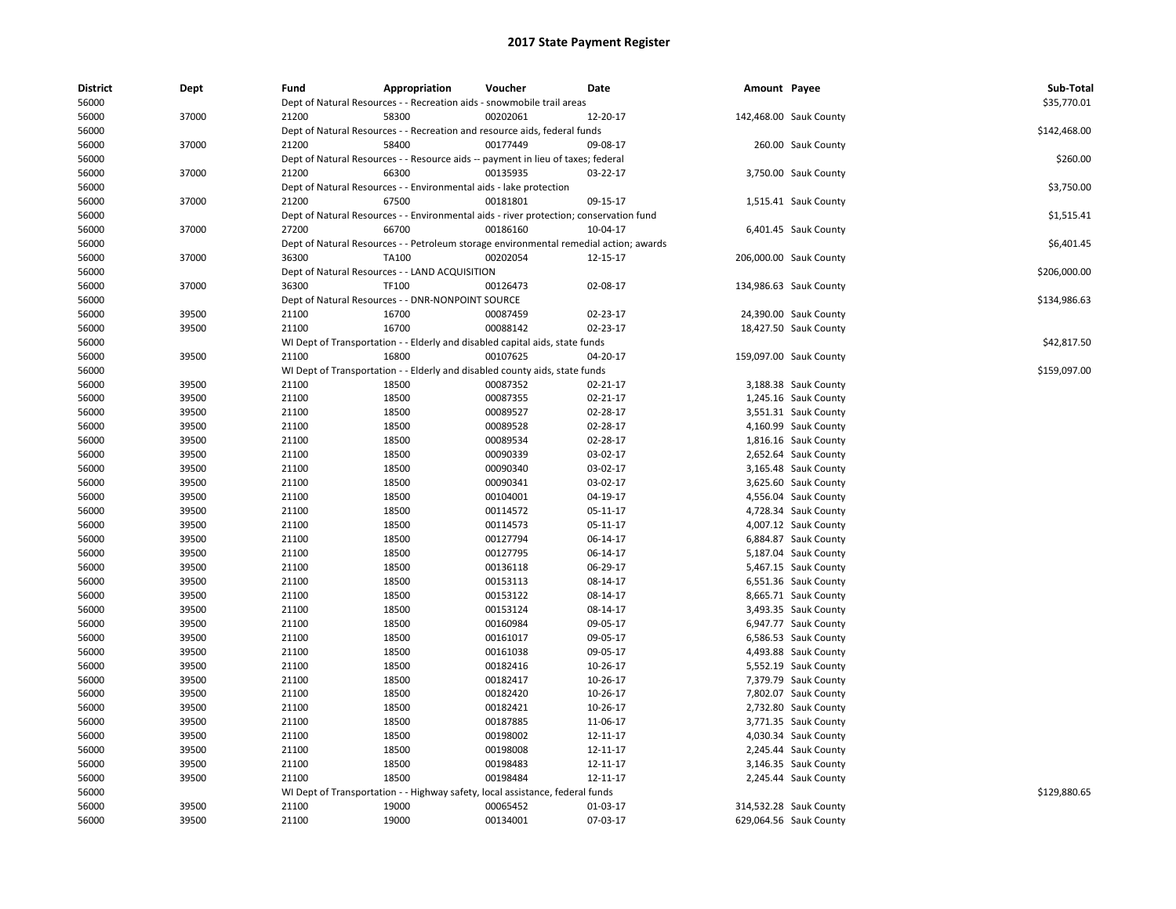| <b>District</b> | Dept  | Fund  | Appropriation                                                                          | Voucher  | Date           | Amount Payee |                        | Sub-Total    |
|-----------------|-------|-------|----------------------------------------------------------------------------------------|----------|----------------|--------------|------------------------|--------------|
| 56000           |       |       | Dept of Natural Resources - - Recreation aids - snowmobile trail areas                 |          |                |              |                        | \$35,770.01  |
| 56000           | 37000 | 21200 | 58300                                                                                  | 00202061 | 12-20-17       |              | 142,468.00 Sauk County |              |
| 56000           |       |       | Dept of Natural Resources - - Recreation and resource aids, federal funds              |          |                |              |                        | \$142,468.00 |
| 56000           | 37000 | 21200 | 58400                                                                                  | 00177449 | 09-08-17       |              | 260.00 Sauk County     |              |
| 56000           |       |       | Dept of Natural Resources - - Resource aids -- payment in lieu of taxes; federal       |          |                |              |                        | \$260.00     |
| 56000           | 37000 | 21200 | 66300                                                                                  | 00135935 | 03-22-17       |              | 3,750.00 Sauk County   |              |
| 56000           |       |       | Dept of Natural Resources - - Environmental aids - lake protection                     |          |                |              |                        | \$3,750.00   |
| 56000           | 37000 | 21200 | 67500                                                                                  | 00181801 | 09-15-17       |              | 1,515.41 Sauk County   |              |
| 56000           |       |       | Dept of Natural Resources - - Environmental aids - river protection; conservation fund |          |                |              |                        | \$1,515.41   |
| 56000           | 37000 | 27200 | 66700                                                                                  | 00186160 | 10-04-17       |              | 6,401.45 Sauk County   |              |
| 56000           |       |       | Dept of Natural Resources - - Petroleum storage environmental remedial action; awards  |          |                |              |                        | \$6,401.45   |
| 56000           | 37000 | 36300 | TA100                                                                                  | 00202054 | 12-15-17       |              | 206,000.00 Sauk County |              |
| 56000           |       |       | Dept of Natural Resources - - LAND ACQUISITION                                         |          |                |              |                        | \$206,000.00 |
| 56000           | 37000 | 36300 | <b>TF100</b>                                                                           | 00126473 | 02-08-17       |              | 134,986.63 Sauk County |              |
| 56000           |       |       | Dept of Natural Resources - - DNR-NONPOINT SOURCE                                      |          |                |              |                        | \$134,986.63 |
| 56000           | 39500 | 21100 | 16700                                                                                  | 00087459 | 02-23-17       |              | 24,390.00 Sauk County  |              |
| 56000           | 39500 | 21100 | 16700                                                                                  | 00088142 | 02-23-17       |              | 18,427.50 Sauk County  |              |
| 56000           |       |       | WI Dept of Transportation - - Elderly and disabled capital aids, state funds           |          |                |              |                        | \$42,817.50  |
| 56000           | 39500 | 21100 | 16800                                                                                  | 00107625 | 04-20-17       |              | 159,097.00 Sauk County |              |
|                 |       |       |                                                                                        |          |                |              |                        | \$159,097.00 |
| 56000           |       |       | WI Dept of Transportation - - Elderly and disabled county aids, state funds            |          |                |              |                        |              |
| 56000           | 39500 | 21100 | 18500                                                                                  | 00087352 | $02 - 21 - 17$ |              | 3,188.38 Sauk County   |              |
| 56000           | 39500 | 21100 | 18500                                                                                  | 00087355 | 02-21-17       |              | 1,245.16 Sauk County   |              |
| 56000           | 39500 | 21100 | 18500                                                                                  | 00089527 | 02-28-17       |              | 3,551.31 Sauk County   |              |
| 56000           | 39500 | 21100 | 18500                                                                                  | 00089528 | 02-28-17       |              | 4,160.99 Sauk County   |              |
| 56000           | 39500 | 21100 | 18500                                                                                  | 00089534 | 02-28-17       |              | 1,816.16 Sauk County   |              |
| 56000           | 39500 | 21100 | 18500                                                                                  | 00090339 | 03-02-17       |              | 2,652.64 Sauk County   |              |
| 56000           | 39500 | 21100 | 18500                                                                                  | 00090340 | 03-02-17       |              | 3,165.48 Sauk County   |              |
| 56000           | 39500 | 21100 | 18500                                                                                  | 00090341 | 03-02-17       |              | 3,625.60 Sauk County   |              |
| 56000           | 39500 | 21100 | 18500                                                                                  | 00104001 | 04-19-17       |              | 4,556.04 Sauk County   |              |
| 56000           | 39500 | 21100 | 18500                                                                                  | 00114572 | 05-11-17       |              | 4,728.34 Sauk County   |              |
| 56000           | 39500 | 21100 | 18500                                                                                  | 00114573 | 05-11-17       |              | 4,007.12 Sauk County   |              |
| 56000           | 39500 | 21100 | 18500                                                                                  | 00127794 | 06-14-17       |              | 6,884.87 Sauk County   |              |
| 56000           | 39500 | 21100 | 18500                                                                                  | 00127795 | 06-14-17       |              | 5,187.04 Sauk County   |              |
| 56000           | 39500 | 21100 | 18500                                                                                  | 00136118 | 06-29-17       |              | 5,467.15 Sauk County   |              |
| 56000           | 39500 | 21100 | 18500                                                                                  | 00153113 | 08-14-17       |              | 6,551.36 Sauk County   |              |
| 56000           | 39500 | 21100 | 18500                                                                                  | 00153122 | 08-14-17       |              | 8,665.71 Sauk County   |              |
| 56000           | 39500 | 21100 | 18500                                                                                  | 00153124 | 08-14-17       |              | 3,493.35 Sauk County   |              |
| 56000           | 39500 | 21100 | 18500                                                                                  | 00160984 | 09-05-17       |              | 6,947.77 Sauk County   |              |
| 56000           | 39500 | 21100 | 18500                                                                                  | 00161017 | 09-05-17       |              | 6,586.53 Sauk County   |              |
| 56000           | 39500 | 21100 | 18500                                                                                  | 00161038 | 09-05-17       |              | 4,493.88 Sauk County   |              |
| 56000           | 39500 | 21100 | 18500                                                                                  | 00182416 | 10-26-17       |              | 5,552.19 Sauk County   |              |
| 56000           | 39500 | 21100 | 18500                                                                                  | 00182417 | 10-26-17       |              | 7,379.79 Sauk County   |              |
|                 | 39500 | 21100 | 18500                                                                                  | 00182420 | 10-26-17       |              |                        |              |
| 56000<br>56000  |       | 21100 | 18500                                                                                  | 00182421 |                |              | 7,802.07 Sauk County   |              |
|                 | 39500 |       |                                                                                        |          | 10-26-17       |              | 2,732.80 Sauk County   |              |
| 56000           | 39500 | 21100 | 18500                                                                                  | 00187885 | 11-06-17       |              | 3,771.35 Sauk County   |              |
| 56000           | 39500 | 21100 | 18500                                                                                  | 00198002 | 12-11-17       |              | 4,030.34 Sauk County   |              |
| 56000           | 39500 | 21100 | 18500                                                                                  | 00198008 | 12-11-17       |              | 2,245.44 Sauk County   |              |
| 56000           | 39500 | 21100 | 18500                                                                                  | 00198483 | 12-11-17       |              | 3,146.35 Sauk County   |              |
| 56000           | 39500 | 21100 | 18500                                                                                  | 00198484 | 12-11-17       |              | 2,245.44 Sauk County   |              |
| 56000           |       |       | WI Dept of Transportation - - Highway safety, local assistance, federal funds          |          |                |              |                        | \$129,880.65 |
| 56000           | 39500 | 21100 | 19000                                                                                  | 00065452 | 01-03-17       |              | 314,532.28 Sauk County |              |
| 56000           | 39500 | 21100 | 19000                                                                                  | 00134001 | 07-03-17       |              | 629,064.56 Sauk County |              |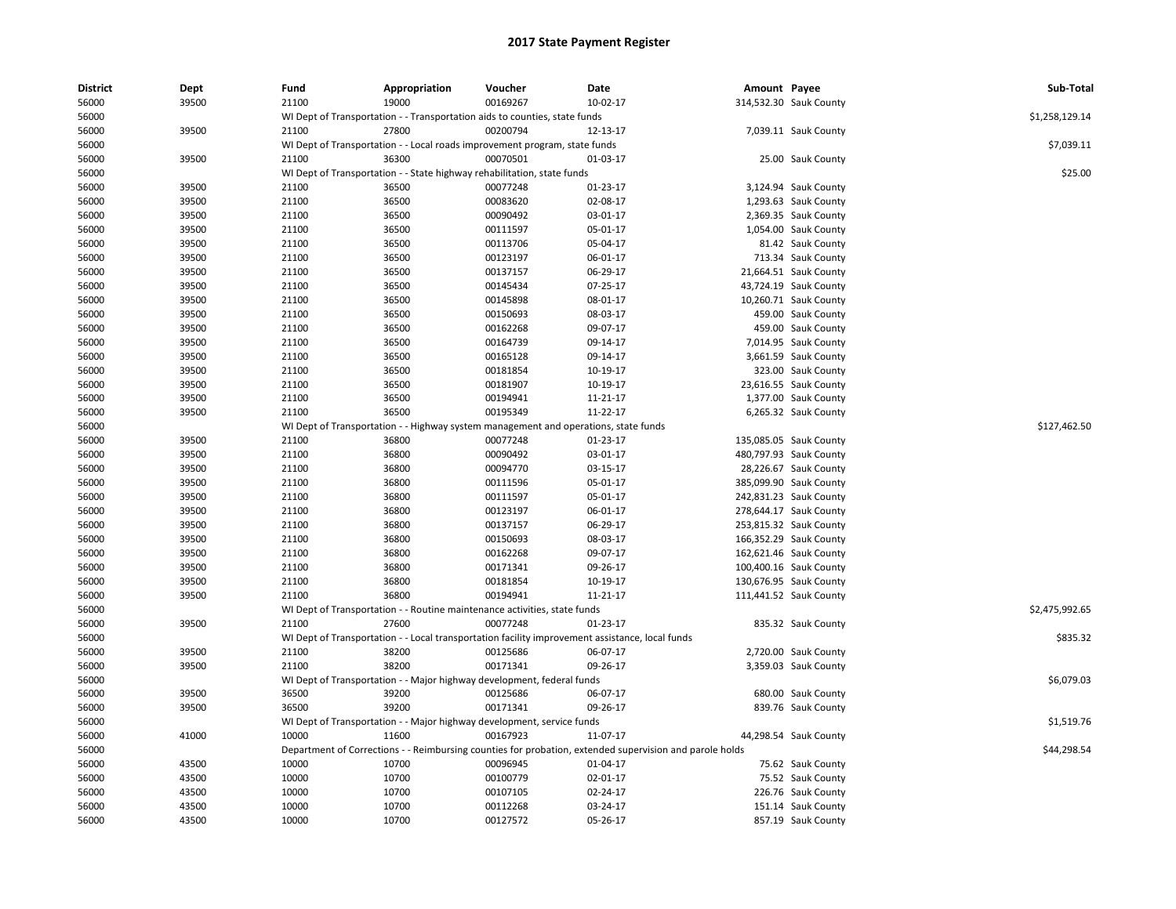| <b>District</b> | Dept  | Fund  | Appropriation | Voucher                                                                             | Date                                                                                                    | Amount Payee |                        | Sub-Total      |
|-----------------|-------|-------|---------------|-------------------------------------------------------------------------------------|---------------------------------------------------------------------------------------------------------|--------------|------------------------|----------------|
| 56000           | 39500 | 21100 | 19000         | 00169267                                                                            | 10-02-17                                                                                                |              | 314,532.30 Sauk County |                |
| 56000           |       |       |               | WI Dept of Transportation - - Transportation aids to counties, state funds          |                                                                                                         |              |                        | \$1,258,129.14 |
| 56000           | 39500 | 21100 | 27800         | 00200794                                                                            | 12-13-17                                                                                                |              | 7,039.11 Sauk County   |                |
| 56000           |       |       |               | WI Dept of Transportation - - Local roads improvement program, state funds          |                                                                                                         |              |                        | \$7,039.11     |
| 56000           | 39500 | 21100 | 36300         | 00070501                                                                            | 01-03-17                                                                                                |              | 25.00 Sauk County      |                |
| 56000           |       |       |               | WI Dept of Transportation - - State highway rehabilitation, state funds             |                                                                                                         |              |                        | \$25.00        |
| 56000           | 39500 | 21100 | 36500         | 00077248                                                                            | 01-23-17                                                                                                |              | 3,124.94 Sauk County   |                |
| 56000           | 39500 | 21100 | 36500         | 00083620                                                                            | 02-08-17                                                                                                |              | 1,293.63 Sauk County   |                |
| 56000           | 39500 | 21100 | 36500         | 00090492                                                                            | 03-01-17                                                                                                |              | 2,369.35 Sauk County   |                |
| 56000           | 39500 | 21100 | 36500         | 00111597                                                                            | 05-01-17                                                                                                |              | 1,054.00 Sauk County   |                |
| 56000           | 39500 | 21100 | 36500         | 00113706                                                                            | 05-04-17                                                                                                |              | 81.42 Sauk County      |                |
| 56000           | 39500 | 21100 | 36500         | 00123197                                                                            | 06-01-17                                                                                                |              | 713.34 Sauk County     |                |
| 56000           | 39500 | 21100 | 36500         | 00137157                                                                            | 06-29-17                                                                                                |              | 21,664.51 Sauk County  |                |
| 56000           | 39500 | 21100 | 36500         | 00145434                                                                            | 07-25-17                                                                                                |              | 43,724.19 Sauk County  |                |
| 56000           | 39500 | 21100 | 36500         | 00145898                                                                            | 08-01-17                                                                                                |              | 10,260.71 Sauk County  |                |
| 56000           | 39500 | 21100 | 36500         | 00150693                                                                            | 08-03-17                                                                                                |              | 459.00 Sauk County     |                |
| 56000           | 39500 | 21100 | 36500         | 00162268                                                                            | 09-07-17                                                                                                |              | 459.00 Sauk County     |                |
| 56000           | 39500 | 21100 | 36500         | 00164739                                                                            | 09-14-17                                                                                                |              | 7,014.95 Sauk County   |                |
| 56000           | 39500 | 21100 | 36500         | 00165128                                                                            | 09-14-17                                                                                                |              | 3,661.59 Sauk County   |                |
| 56000           | 39500 | 21100 | 36500         | 00181854                                                                            | 10-19-17                                                                                                |              | 323.00 Sauk County     |                |
| 56000           | 39500 | 21100 | 36500         | 00181907                                                                            | 10-19-17                                                                                                |              | 23,616.55 Sauk County  |                |
| 56000           | 39500 | 21100 | 36500         | 00194941                                                                            | 11-21-17                                                                                                |              | 1,377.00 Sauk County   |                |
| 56000           | 39500 | 21100 | 36500         | 00195349                                                                            | 11-22-17                                                                                                |              | 6,265.32 Sauk County   |                |
| 56000           |       |       |               | WI Dept of Transportation - - Highway system management and operations, state funds |                                                                                                         |              |                        | \$127,462.50   |
| 56000           | 39500 | 21100 | 36800         | 00077248                                                                            | 01-23-17                                                                                                |              | 135,085.05 Sauk County |                |
| 56000           | 39500 | 21100 | 36800         | 00090492                                                                            | 03-01-17                                                                                                |              | 480,797.93 Sauk County |                |
| 56000           | 39500 | 21100 | 36800         | 00094770                                                                            | 03-15-17                                                                                                |              | 28,226.67 Sauk County  |                |
| 56000           | 39500 | 21100 | 36800         | 00111596                                                                            | 05-01-17                                                                                                |              | 385,099.90 Sauk County |                |
| 56000           | 39500 | 21100 | 36800         | 00111597                                                                            | 05-01-17                                                                                                |              | 242,831.23 Sauk County |                |
| 56000           | 39500 | 21100 | 36800         | 00123197                                                                            | 06-01-17                                                                                                |              | 278,644.17 Sauk County |                |
| 56000           | 39500 | 21100 | 36800         | 00137157                                                                            | 06-29-17                                                                                                |              | 253,815.32 Sauk County |                |
| 56000           | 39500 | 21100 | 36800         | 00150693                                                                            | 08-03-17                                                                                                |              | 166,352.29 Sauk County |                |
| 56000           | 39500 | 21100 | 36800         | 00162268                                                                            | 09-07-17                                                                                                |              | 162,621.46 Sauk County |                |
| 56000           | 39500 | 21100 | 36800         | 00171341                                                                            | 09-26-17                                                                                                |              | 100,400.16 Sauk County |                |
| 56000           | 39500 | 21100 | 36800         | 00181854                                                                            | 10-19-17                                                                                                |              | 130,676.95 Sauk County |                |
| 56000           | 39500 | 21100 | 36800         | 00194941                                                                            | 11-21-17                                                                                                |              | 111,441.52 Sauk County |                |
| 56000           |       |       |               | WI Dept of Transportation - - Routine maintenance activities, state funds           |                                                                                                         |              |                        | \$2,475,992.65 |
| 56000           | 39500 | 21100 | 27600         | 00077248                                                                            | 01-23-17                                                                                                |              | 835.32 Sauk County     |                |
| 56000           |       |       |               |                                                                                     | WI Dept of Transportation - - Local transportation facility improvement assistance, local funds         |              |                        | \$835.32       |
| 56000           | 39500 | 21100 | 38200         | 00125686                                                                            | 06-07-17                                                                                                |              | 2,720.00 Sauk County   |                |
| 56000           | 39500 | 21100 | 38200         | 00171341                                                                            | 09-26-17                                                                                                |              | 3,359.03 Sauk County   |                |
| 56000           |       |       |               | WI Dept of Transportation - - Major highway development, federal funds              |                                                                                                         |              |                        | \$6,079.03     |
| 56000           | 39500 | 36500 | 39200         | 00125686                                                                            | 06-07-17                                                                                                |              | 680.00 Sauk County     |                |
| 56000           | 39500 | 36500 | 39200         | 00171341                                                                            | 09-26-17                                                                                                |              | 839.76 Sauk County     |                |
| 56000           |       |       |               | WI Dept of Transportation - - Major highway development, service funds              |                                                                                                         |              |                        | \$1,519.76     |
| 56000           | 41000 | 10000 | 11600         | 00167923                                                                            | 11-07-17                                                                                                |              | 44,298.54 Sauk County  |                |
| 56000           |       |       |               |                                                                                     | Department of Corrections - - Reimbursing counties for probation, extended supervision and parole holds |              |                        | \$44,298.54    |
| 56000           | 43500 | 10000 | 10700         | 00096945                                                                            | 01-04-17                                                                                                |              | 75.62 Sauk County      |                |
| 56000           | 43500 | 10000 | 10700         | 00100779                                                                            | 02-01-17                                                                                                |              | 75.52 Sauk County      |                |
| 56000           | 43500 | 10000 | 10700         | 00107105                                                                            | 02-24-17                                                                                                |              | 226.76 Sauk County     |                |
| 56000           | 43500 | 10000 | 10700         | 00112268                                                                            | 03-24-17                                                                                                |              | 151.14 Sauk County     |                |
| 56000           | 43500 | 10000 | 10700         | 00127572                                                                            | 05-26-17                                                                                                |              | 857.19 Sauk County     |                |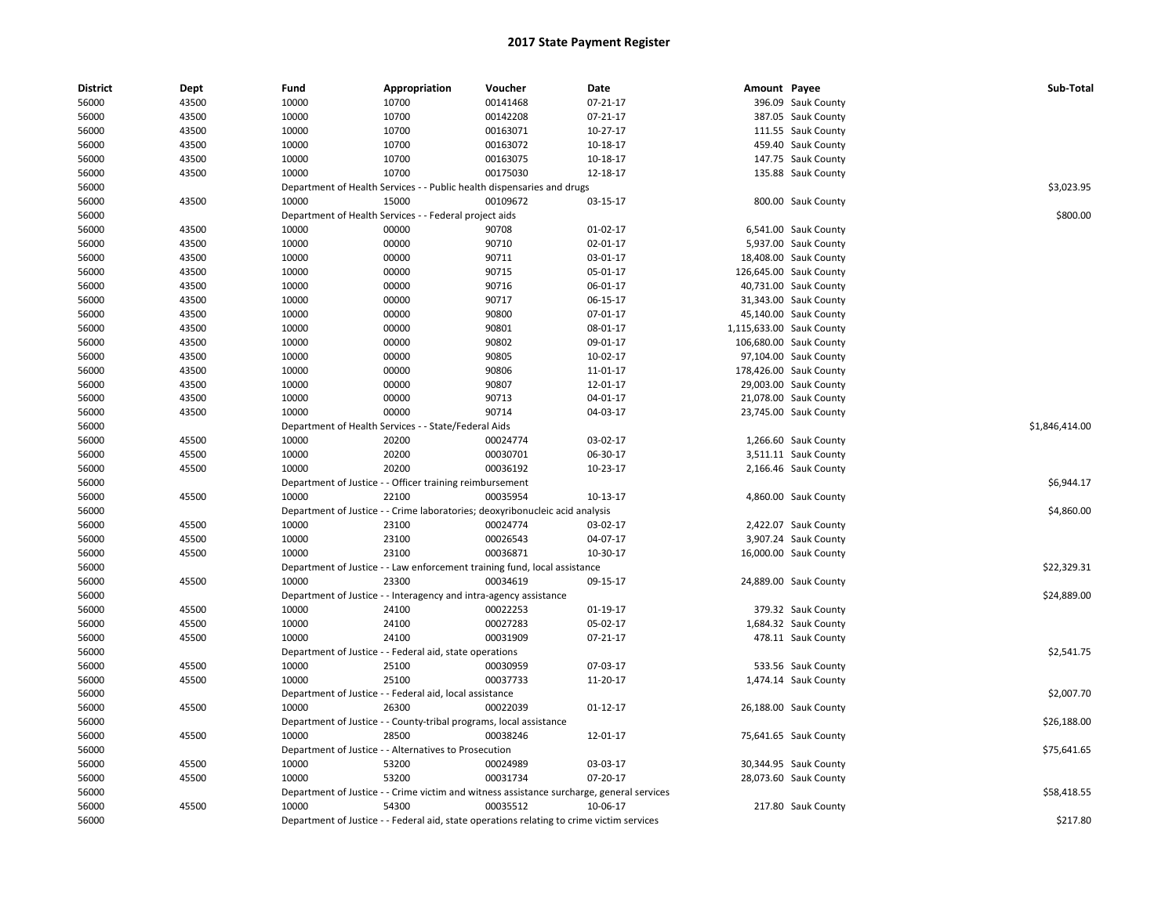| <b>District</b> | Dept           | Fund  | Appropriation                                                      | Voucher                                                                                   | Date                 | Amount Payee |                          | Sub-Total      |
|-----------------|----------------|-------|--------------------------------------------------------------------|-------------------------------------------------------------------------------------------|----------------------|--------------|--------------------------|----------------|
| 56000           | 43500          | 10000 | 10700                                                              | 00141468                                                                                  | $07 - 21 - 17$       |              | 396.09 Sauk County       |                |
| 56000           | 43500          | 10000 | 10700                                                              | 00142208                                                                                  | $07 - 21 - 17$       |              | 387.05 Sauk County       |                |
| 56000           | 43500          | 10000 | 10700                                                              | 00163071                                                                                  | 10-27-17             |              | 111.55 Sauk County       |                |
| 56000           | 43500          | 10000 | 10700                                                              | 00163072                                                                                  | 10-18-17             |              | 459.40 Sauk County       |                |
| 56000           | 43500          | 10000 | 10700                                                              | 00163075                                                                                  | 10-18-17             |              | 147.75 Sauk County       |                |
| 56000           | 43500          | 10000 | 10700                                                              | 00175030                                                                                  | 12-18-17             |              | 135.88 Sauk County       |                |
| 56000           |                |       |                                                                    | Department of Health Services - - Public health dispensaries and drugs                    |                      |              |                          | \$3,023.95     |
| 56000           | 43500          | 10000 | 15000                                                              | 00109672                                                                                  | 03-15-17             |              | 800.00 Sauk County       |                |
| 56000           |                |       | Department of Health Services - - Federal project aids             |                                                                                           |                      |              |                          | \$800.00       |
| 56000           | 43500          | 10000 | 00000                                                              | 90708                                                                                     | 01-02-17             |              | 6,541.00 Sauk County     |                |
| 56000           | 43500          | 10000 | 00000                                                              | 90710                                                                                     | 02-01-17             |              | 5,937.00 Sauk County     |                |
| 56000           | 43500          | 10000 | 00000                                                              | 90711                                                                                     | 03-01-17             |              | 18,408.00 Sauk County    |                |
| 56000           | 43500          | 10000 | 00000                                                              | 90715                                                                                     | 05-01-17             |              | 126,645.00 Sauk County   |                |
| 56000           | 43500          | 10000 | 00000                                                              | 90716                                                                                     | 06-01-17             |              | 40,731.00 Sauk County    |                |
| 56000           | 43500          | 10000 | 00000                                                              | 90717                                                                                     | 06-15-17             |              | 31,343.00 Sauk County    |                |
| 56000           | 43500          | 10000 | 00000                                                              | 90800                                                                                     | 07-01-17             |              | 45,140.00 Sauk County    |                |
| 56000           | 43500          | 10000 | 00000                                                              | 90801                                                                                     | 08-01-17             |              | 1,115,633.00 Sauk County |                |
| 56000           | 43500          | 10000 | 00000                                                              | 90802                                                                                     | 09-01-17             |              | 106,680.00 Sauk County   |                |
| 56000           | 43500          | 10000 | 00000                                                              | 90805                                                                                     | 10-02-17             |              | 97,104.00 Sauk County    |                |
| 56000           | 43500          | 10000 | 00000                                                              | 90806                                                                                     | 11-01-17             |              | 178,426.00 Sauk County   |                |
| 56000           | 43500          | 10000 | 00000                                                              | 90807                                                                                     | 12-01-17             |              | 29,003.00 Sauk County    |                |
| 56000           | 43500          | 10000 | 00000                                                              | 90713                                                                                     | 04-01-17             |              | 21,078.00 Sauk County    |                |
| 56000           | 43500          | 10000 | 00000                                                              | 90714                                                                                     | 04-03-17             |              | 23,745.00 Sauk County    |                |
| 56000           |                |       | Department of Health Services - - State/Federal Aids               |                                                                                           |                      |              |                          | \$1,846,414.00 |
| 56000           | 45500          | 10000 | 20200                                                              | 00024774                                                                                  | 03-02-17             |              | 1,266.60 Sauk County     |                |
| 56000           | 45500          | 10000 | 20200                                                              | 00030701                                                                                  | 06-30-17             |              | 3,511.11 Sauk County     |                |
| 56000           | 45500          | 10000 | 20200                                                              | 00036192                                                                                  | 10-23-17             |              | 2,166.46 Sauk County     |                |
| 56000           |                |       | Department of Justice - - Officer training reimbursement           |                                                                                           |                      |              |                          | \$6,944.17     |
| 56000           | 45500          | 10000 | 22100                                                              | 00035954                                                                                  | 10-13-17             |              | 4,860.00 Sauk County     |                |
| 56000           |                |       |                                                                    | Department of Justice - - Crime laboratories; deoxyribonucleic acid analysis              |                      |              |                          | \$4,860.00     |
| 56000           | 45500          | 10000 | 23100                                                              | 00024774                                                                                  | 03-02-17             |              | 2,422.07 Sauk County     |                |
| 56000           | 45500          | 10000 | 23100                                                              | 00026543                                                                                  | 04-07-17             |              | 3,907.24 Sauk County     |                |
| 56000           | 45500          | 10000 | 23100                                                              | 00036871                                                                                  | 10-30-17             |              | 16,000.00 Sauk County    |                |
| 56000           |                |       |                                                                    | Department of Justice - - Law enforcement training fund, local assistance                 |                      |              |                          | \$22,329.31    |
| 56000           | 45500          | 10000 | 23300                                                              | 00034619                                                                                  | 09-15-17             |              | 24,889.00 Sauk County    |                |
| 56000           |                |       | Department of Justice - - Interagency and intra-agency assistance  |                                                                                           |                      |              |                          | \$24,889.00    |
| 56000           | 45500          | 10000 | 24100                                                              | 00022253                                                                                  | 01-19-17             |              | 379.32 Sauk County       |                |
| 56000           | 45500          | 10000 | 24100                                                              | 00027283                                                                                  | 05-02-17             |              | 1,684.32 Sauk County     |                |
| 56000           | 45500          | 10000 | 24100                                                              | 00031909                                                                                  | 07-21-17             |              | 478.11 Sauk County       |                |
| 56000           |                |       | Department of Justice - - Federal aid, state operations            |                                                                                           |                      |              |                          | \$2,541.75     |
|                 |                | 10000 | 25100                                                              |                                                                                           |                      |              |                          |                |
| 56000           | 45500<br>45500 | 10000 | 25100                                                              | 00030959<br>00037733                                                                      | 07-03-17<br>11-20-17 |              | 533.56 Sauk County       |                |
| 56000<br>56000  |                |       | Department of Justice - - Federal aid, local assistance            |                                                                                           |                      |              | 1,474.14 Sauk County     | \$2,007.70     |
|                 | 45500          | 10000 | 26300                                                              | 00022039                                                                                  |                      |              |                          |                |
| 56000           |                |       |                                                                    |                                                                                           | $01 - 12 - 17$       |              | 26,188.00 Sauk County    |                |
| 56000           |                |       | Department of Justice - - County-tribal programs, local assistance |                                                                                           |                      |              |                          | \$26,188.00    |
| 56000           | 45500          | 10000 | 28500                                                              | 00038246                                                                                  | 12-01-17             |              | 75,641.65 Sauk County    |                |
| 56000           |                |       | Department of Justice - - Alternatives to Prosecution              |                                                                                           |                      |              |                          | \$75,641.65    |
| 56000           | 45500          | 10000 | 53200                                                              | 00024989                                                                                  | 03-03-17             |              | 30,344.95 Sauk County    |                |
| 56000           | 45500          | 10000 | 53200                                                              | 00031734                                                                                  | 07-20-17             |              | 28,073.60 Sauk County    |                |
| 56000           |                |       |                                                                    | Department of Justice - - Crime victim and witness assistance surcharge, general services |                      |              |                          | \$58,418.55    |
| 56000           | 45500          | 10000 | 54300                                                              | 00035512                                                                                  | 10-06-17             |              | 217.80 Sauk County       |                |
| 56000           |                |       |                                                                    | Department of Justice - - Federal aid, state operations relating to crime victim services |                      |              |                          | \$217.80       |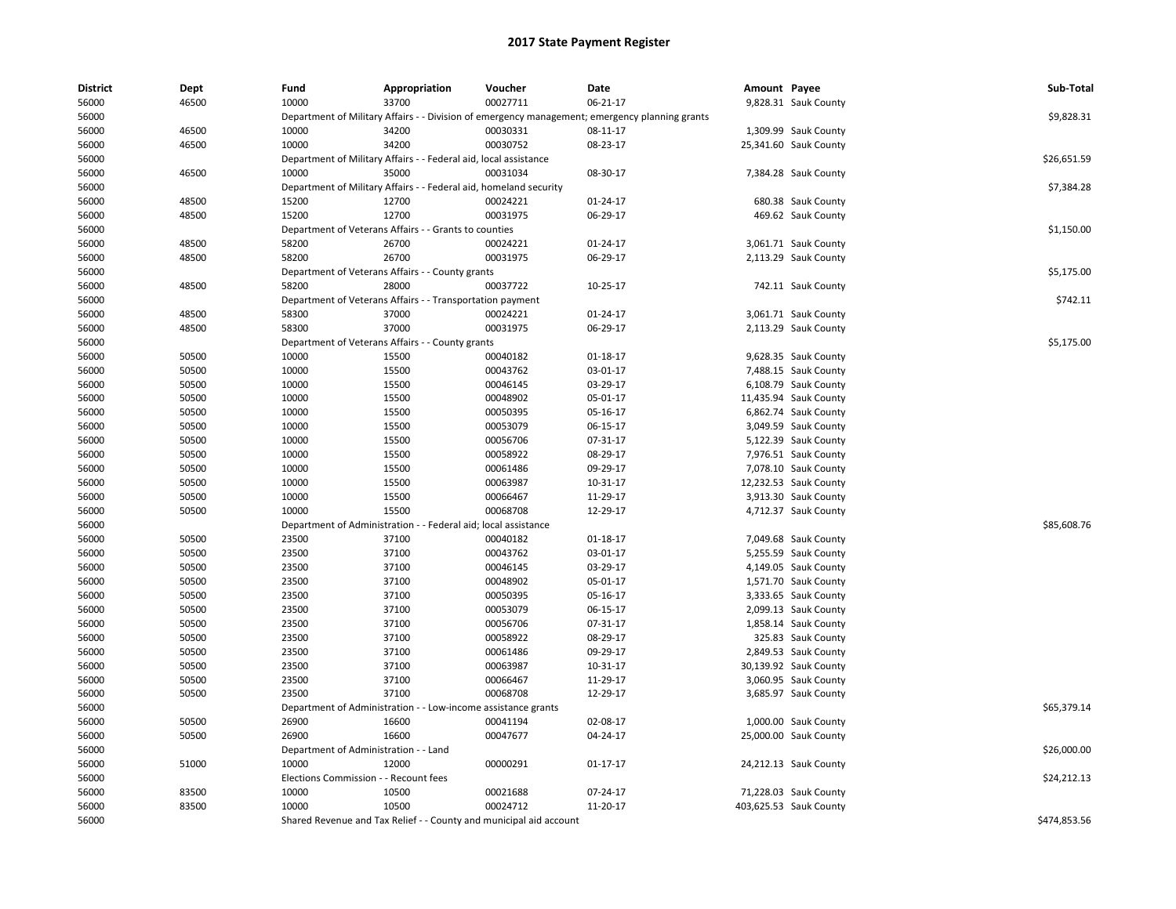| <b>District</b> | Dept  | Fund                                  | Appropriation                                                      | Voucher                         | Date                                                                                           | Amount Payee |                        | Sub-Total    |
|-----------------|-------|---------------------------------------|--------------------------------------------------------------------|---------------------------------|------------------------------------------------------------------------------------------------|--------------|------------------------|--------------|
| 56000           | 46500 | 10000                                 | 33700                                                              | 00027711                        | 06-21-17                                                                                       |              | 9,828.31 Sauk County   |              |
| 56000           |       |                                       |                                                                    |                                 | Department of Military Affairs - - Division of emergency management; emergency planning grants |              |                        | \$9,828.31   |
| 56000           | 46500 | 10000                                 | 34200                                                              | 00030331                        | 08-11-17                                                                                       |              | 1,309.99 Sauk County   |              |
| 56000           | 46500 | 10000                                 | 34200                                                              | 00030752                        | 08-23-17                                                                                       |              | 25,341.60 Sauk County  |              |
| 56000           |       |                                       | Department of Military Affairs - - Federal aid, local assistance   |                                 |                                                                                                |              |                        | \$26,651.59  |
| 56000           | 46500 | 10000                                 | 35000                                                              | 00031034                        | 08-30-17                                                                                       |              | 7,384.28 Sauk County   |              |
| 56000           |       |                                       | Department of Military Affairs - - Federal aid, homeland security  |                                 |                                                                                                |              |                        | \$7,384.28   |
| 56000           | 48500 | 15200                                 | 12700                                                              | 00024221                        | 01-24-17                                                                                       |              | 680.38 Sauk County     |              |
| 56000           | 48500 | 15200                                 | 12700                                                              | 00031975                        | 06-29-17                                                                                       |              | 469.62 Sauk County     |              |
| 56000           |       |                                       | Department of Veterans Affairs - - Grants to counties              |                                 |                                                                                                |              |                        | \$1,150.00   |
| 56000           | 48500 | 58200                                 | 26700                                                              | 00024221                        | 01-24-17                                                                                       |              | 3,061.71 Sauk County   |              |
| 56000           | 48500 | 58200                                 | 26700                                                              | 00031975                        | 06-29-17                                                                                       |              | 2,113.29 Sauk County   |              |
| 56000           |       |                                       | Department of Veterans Affairs - - County grants                   |                                 |                                                                                                |              |                        | \$5,175.00   |
| 56000           | 48500 | 58200                                 | 28000                                                              | 00037722                        | 10-25-17                                                                                       |              | 742.11 Sauk County     |              |
| 56000           |       |                                       | Department of Veterans Affairs - - Transportation payment          |                                 |                                                                                                |              |                        | \$742.11     |
| 56000           | 48500 | 58300                                 | 37000                                                              | 00024221                        | 01-24-17                                                                                       |              | 3,061.71 Sauk County   |              |
| 56000           | 48500 | 58300                                 | 37000                                                              | 00031975                        | 06-29-17                                                                                       |              | 2,113.29 Sauk County   |              |
| 56000           |       |                                       | Department of Veterans Affairs - - County grants                   |                                 |                                                                                                |              |                        | \$5,175.00   |
| 56000           | 50500 | 10000                                 | 15500                                                              | 00040182                        | 01-18-17                                                                                       |              | 9,628.35 Sauk County   |              |
| 56000           | 50500 | 10000                                 | 15500                                                              | 00043762                        | 03-01-17                                                                                       |              | 7,488.15 Sauk County   |              |
| 56000           | 50500 | 10000                                 | 15500                                                              | 00046145                        | 03-29-17                                                                                       |              | 6,108.79 Sauk County   |              |
| 56000           | 50500 | 10000                                 | 15500                                                              | 00048902                        | 05-01-17                                                                                       |              | 11,435.94 Sauk County  |              |
| 56000           | 50500 | 10000                                 | 15500                                                              | 00050395                        | 05-16-17                                                                                       |              | 6,862.74 Sauk County   |              |
| 56000           | 50500 | 10000                                 | 15500                                                              | 00053079                        | 06-15-17                                                                                       |              | 3,049.59 Sauk County   |              |
| 56000           | 50500 | 10000                                 | 15500                                                              | 00056706                        | 07-31-17                                                                                       |              | 5,122.39 Sauk County   |              |
| 56000           | 50500 | 10000                                 | 15500                                                              | 00058922                        | 08-29-17                                                                                       |              | 7,976.51 Sauk County   |              |
| 56000           | 50500 | 10000                                 | 15500                                                              | 00061486                        | 09-29-17                                                                                       |              | 7,078.10 Sauk County   |              |
| 56000           | 50500 | 10000                                 | 15500                                                              | 00063987                        | 10-31-17                                                                                       |              | 12,232.53 Sauk County  |              |
| 56000           | 50500 | 10000                                 | 15500                                                              | 00066467                        | 11-29-17                                                                                       |              | 3,913.30 Sauk County   |              |
| 56000           | 50500 | 10000                                 | 15500                                                              | 00068708                        | 12-29-17                                                                                       |              | 4,712.37 Sauk County   |              |
| 56000           |       | Department of Administration          |                                                                    | - Federal aid; local assistance |                                                                                                |              |                        | \$85,608.76  |
| 56000           | 50500 | 23500                                 | 37100                                                              | 00040182                        | 01-18-17                                                                                       |              | 7,049.68 Sauk County   |              |
| 56000           | 50500 | 23500                                 | 37100                                                              | 00043762                        | 03-01-17                                                                                       |              | 5,255.59 Sauk County   |              |
| 56000           | 50500 | 23500                                 | 37100                                                              | 00046145                        | 03-29-17                                                                                       |              | 4,149.05 Sauk County   |              |
| 56000           | 50500 | 23500                                 | 37100                                                              | 00048902                        | 05-01-17                                                                                       |              | 1,571.70 Sauk County   |              |
| 56000           | 50500 | 23500                                 | 37100                                                              | 00050395                        | 05-16-17                                                                                       |              | 3,333.65 Sauk County   |              |
| 56000           | 50500 | 23500                                 | 37100                                                              | 00053079                        | 06-15-17                                                                                       |              | 2,099.13 Sauk County   |              |
| 56000           | 50500 | 23500                                 | 37100                                                              | 00056706                        | 07-31-17                                                                                       |              | 1,858.14 Sauk County   |              |
| 56000           | 50500 | 23500                                 | 37100                                                              | 00058922                        | 08-29-17                                                                                       |              | 325.83 Sauk County     |              |
| 56000           | 50500 | 23500                                 | 37100                                                              | 00061486                        | 09-29-17                                                                                       |              | 2,849.53 Sauk County   |              |
| 56000           | 50500 | 23500                                 | 37100                                                              | 00063987                        | 10-31-17                                                                                       |              | 30,139.92 Sauk County  |              |
| 56000           | 50500 | 23500                                 | 37100                                                              | 00066467                        | 11-29-17                                                                                       |              | 3,060.95 Sauk County   |              |
| 56000           | 50500 | 23500                                 | 37100                                                              | 00068708                        | 12-29-17                                                                                       |              | 3,685.97 Sauk County   |              |
| 56000           |       | Department of Administration          |                                                                    | - Low-income assistance grants  |                                                                                                |              |                        | \$65,379.14  |
| 56000           | 50500 | 26900                                 | 16600                                                              | 00041194                        | 02-08-17                                                                                       |              | 1,000.00 Sauk County   |              |
| 56000           | 50500 | 26900                                 | 16600                                                              | 00047677                        | 04-24-17                                                                                       |              | 25,000.00 Sauk County  |              |
| 56000           |       | Department of Administration - - Land |                                                                    |                                 |                                                                                                |              |                        | \$26,000.00  |
|                 | 51000 | 10000                                 | 12000                                                              | 00000291                        | $01 - 17 - 17$                                                                                 |              |                        |              |
| 56000<br>56000  |       | Elections Commission - - Recount fees |                                                                    |                                 |                                                                                                |              | 24,212.13 Sauk County  | \$24,212.13  |
| 56000           | 83500 | 10000                                 | 10500                                                              | 00021688                        | 07-24-17                                                                                       |              | 71,228.03 Sauk County  |              |
|                 | 83500 | 10000                                 | 10500                                                              | 00024712                        | 11-20-17                                                                                       |              |                        |              |
| 56000           |       |                                       |                                                                    |                                 |                                                                                                |              | 403,625.53 Sauk County |              |
| 56000           |       |                                       | Shared Revenue and Tax Relief - - County and municipal aid account |                                 |                                                                                                |              |                        | \$474,853.56 |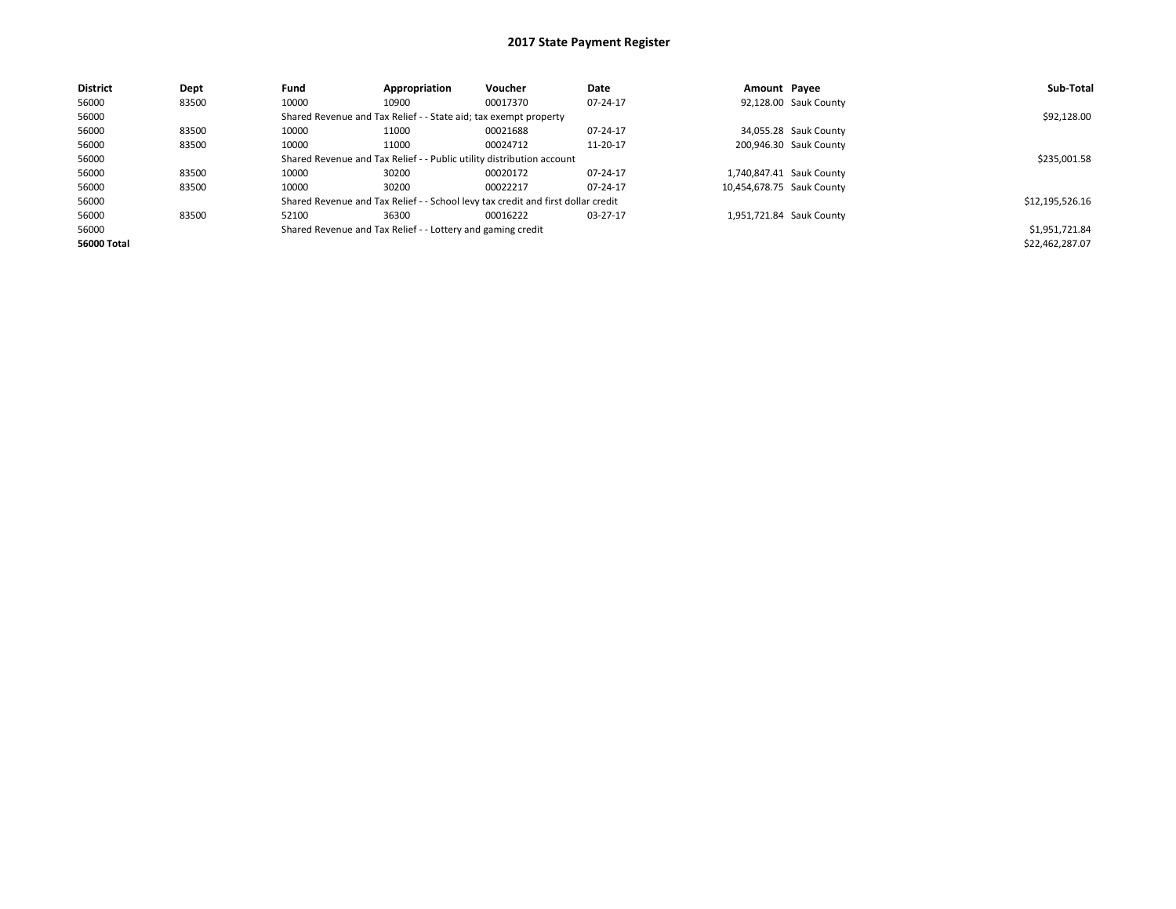| <b>District</b> | Dept  | Fund                                                                  | Appropriation                                                    | Voucher                                                                          | Date     | Amount Payee |                           | Sub-Total       |
|-----------------|-------|-----------------------------------------------------------------------|------------------------------------------------------------------|----------------------------------------------------------------------------------|----------|--------------|---------------------------|-----------------|
| 56000           | 83500 | 10000                                                                 | 10900                                                            | 00017370                                                                         | 07-24-17 |              | 92,128.00 Sauk County     |                 |
| 56000           |       |                                                                       | Shared Revenue and Tax Relief - - State aid; tax exempt property |                                                                                  |          |              |                           | \$92,128.00     |
| 56000           | 83500 | 10000                                                                 | 11000                                                            | 00021688                                                                         | 07-24-17 |              | 34,055.28 Sauk County     |                 |
| 56000           | 83500 | 10000                                                                 | 11000                                                            | 00024712                                                                         | 11-20-17 |              | 200,946.30 Sauk County    |                 |
| 56000           |       | Shared Revenue and Tax Relief - - Public utility distribution account |                                                                  | \$235,001.58                                                                     |          |              |                           |                 |
| 56000           | 83500 | 10000                                                                 | 30200                                                            | 00020172                                                                         | 07-24-17 |              | 1,740,847.41 Sauk County  |                 |
| 56000           | 83500 | 10000                                                                 | 30200                                                            | 00022217                                                                         | 07-24-17 |              | 10.454.678.75 Sauk County |                 |
| 56000           |       |                                                                       |                                                                  | Shared Revenue and Tax Relief - - School levy tax credit and first dollar credit |          |              |                           | \$12,195,526.16 |
| 56000           | 83500 | 52100                                                                 | 36300                                                            | 00016222                                                                         | 03-27-17 |              | 1,951,721.84 Sauk County  |                 |
| 56000           |       |                                                                       | Shared Revenue and Tax Relief - - Lottery and gaming credit      |                                                                                  |          |              |                           | \$1,951,721.84  |
| 56000 Total     |       |                                                                       |                                                                  |                                                                                  |          |              |                           | \$22,462,287.07 |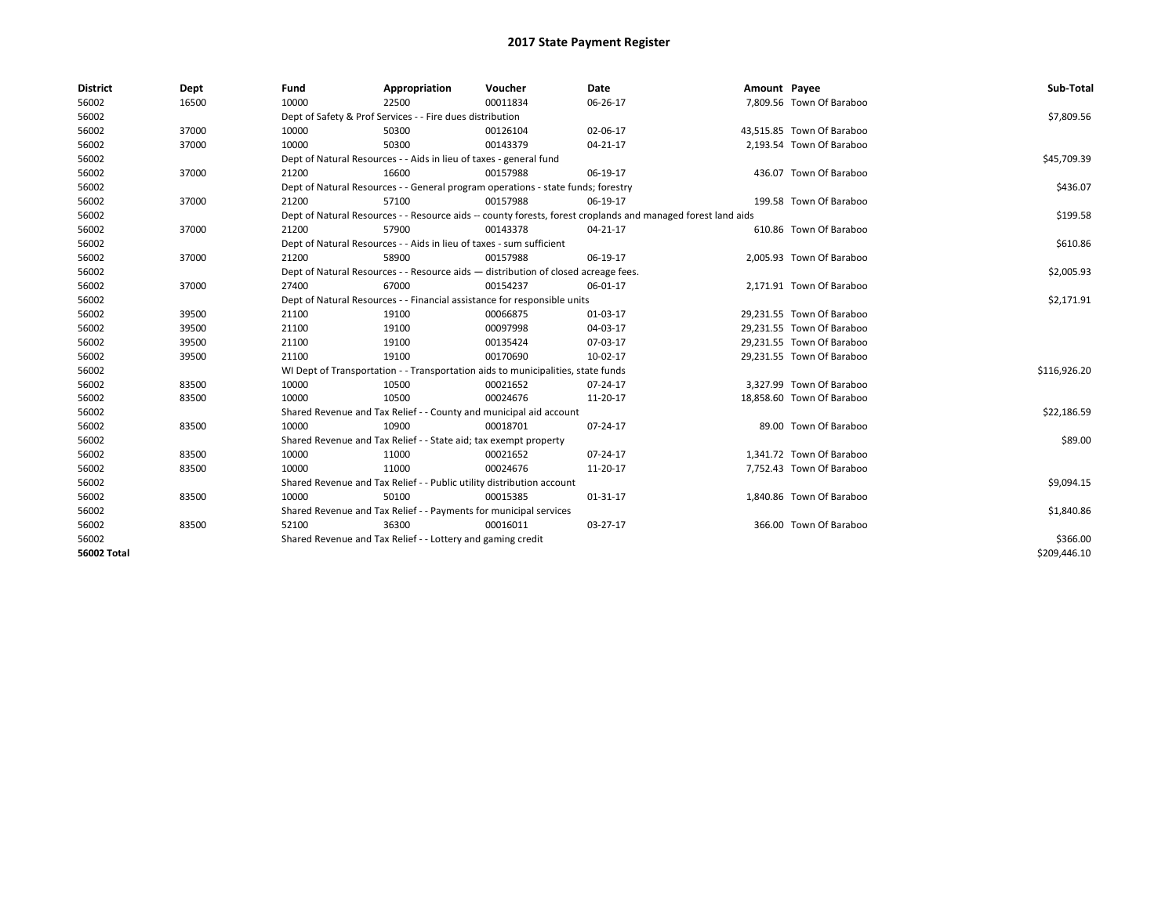| <b>District</b>    | Dept  | Fund                                                                     | Appropriation                                                                      | Voucher    | <b>Date</b>                                                                                                  | Amount Payee |                           | Sub-Total    |
|--------------------|-------|--------------------------------------------------------------------------|------------------------------------------------------------------------------------|------------|--------------------------------------------------------------------------------------------------------------|--------------|---------------------------|--------------|
| 56002              | 16500 | 10000                                                                    | 22500                                                                              | 00011834   | 06-26-17                                                                                                     |              | 7,809.56 Town Of Baraboo  |              |
| 56002              |       |                                                                          | Dept of Safety & Prof Services - - Fire dues distribution                          |            |                                                                                                              |              |                           | \$7,809.56   |
| 56002              | 37000 | 10000                                                                    | 50300                                                                              | 00126104   | 02-06-17                                                                                                     |              | 43,515.85 Town Of Baraboo |              |
| 56002              | 37000 | 10000                                                                    | 50300                                                                              | 00143379   | 04-21-17                                                                                                     |              | 2,193.54 Town Of Baraboo  |              |
| 56002              |       |                                                                          | Dept of Natural Resources - - Aids in lieu of taxes - general fund                 |            |                                                                                                              |              |                           | \$45,709.39  |
| 56002              | 37000 | 21200                                                                    | 16600                                                                              | 00157988   | 06-19-17                                                                                                     |              | 436.07 Town Of Baraboo    |              |
| 56002              |       |                                                                          | Dept of Natural Resources - - General program operations - state funds; forestry   |            |                                                                                                              |              |                           | \$436.07     |
| 56002              | 37000 | 21200                                                                    | 57100                                                                              | 00157988   | 06-19-17                                                                                                     |              | 199.58 Town Of Baraboo    |              |
| 56002              |       |                                                                          |                                                                                    |            | Dept of Natural Resources - - Resource aids -- county forests, forest croplands and managed forest land aids |              |                           | \$199.58     |
| 56002              | 37000 | 21200                                                                    | 57900                                                                              | 00143378   | 04-21-17                                                                                                     |              | 610.86 Town Of Baraboo    |              |
| 56002              |       |                                                                          | Dept of Natural Resources - - Aids in lieu of taxes - sum sufficient               |            |                                                                                                              |              |                           | \$610.86     |
| 56002              | 37000 | 21200                                                                    | 58900                                                                              | 00157988   | 06-19-17                                                                                                     |              | 2,005.93 Town Of Baraboo  |              |
| 56002              |       |                                                                          | Dept of Natural Resources - - Resource aids - distribution of closed acreage fees. |            |                                                                                                              |              |                           | \$2,005.93   |
| 56002              | 37000 | 27400                                                                    | 67000                                                                              | 00154237   | 06-01-17                                                                                                     |              | 2,171.91 Town Of Baraboo  |              |
| 56002              |       | Dept of Natural Resources - - Financial assistance for responsible units |                                                                                    | \$2,171.91 |                                                                                                              |              |                           |              |
| 56002              | 39500 | 21100                                                                    | 19100                                                                              | 00066875   | 01-03-17                                                                                                     |              | 29,231.55 Town Of Baraboo |              |
| 56002              | 39500 | 21100                                                                    | 19100                                                                              | 00097998   | 04-03-17                                                                                                     |              | 29.231.55 Town Of Baraboo |              |
| 56002              | 39500 | 21100                                                                    | 19100                                                                              | 00135424   | 07-03-17                                                                                                     |              | 29,231.55 Town Of Baraboo |              |
| 56002              | 39500 | 21100                                                                    | 19100                                                                              | 00170690   | 10-02-17                                                                                                     |              | 29,231.55 Town Of Baraboo |              |
| 56002              |       |                                                                          | WI Dept of Transportation - - Transportation aids to municipalities, state funds   |            |                                                                                                              |              |                           | \$116,926.20 |
| 56002              | 83500 | 10000                                                                    | 10500                                                                              | 00021652   | 07-24-17                                                                                                     |              | 3.327.99 Town Of Baraboo  |              |
| 56002              | 83500 | 10000                                                                    | 10500                                                                              | 00024676   | 11-20-17                                                                                                     |              | 18,858.60 Town Of Baraboo |              |
| 56002              |       |                                                                          | Shared Revenue and Tax Relief - - County and municipal aid account                 |            |                                                                                                              |              |                           | \$22,186.59  |
| 56002              | 83500 | 10000                                                                    | 10900                                                                              | 00018701   | 07-24-17                                                                                                     |              | 89.00 Town Of Baraboo     |              |
| 56002              |       |                                                                          | Shared Revenue and Tax Relief - - State aid; tax exempt property                   |            |                                                                                                              |              |                           | \$89.00      |
| 56002              | 83500 | 10000                                                                    | 11000                                                                              | 00021652   | 07-24-17                                                                                                     |              | 1,341.72 Town Of Baraboo  |              |
| 56002              | 83500 | 10000                                                                    | 11000                                                                              | 00024676   | 11-20-17                                                                                                     |              | 7,752.43 Town Of Baraboo  |              |
| 56002              |       |                                                                          | Shared Revenue and Tax Relief - - Public utility distribution account              |            |                                                                                                              |              |                           | \$9,094.15   |
| 56002              | 83500 | 10000                                                                    | 50100                                                                              | 00015385   | 01-31-17                                                                                                     |              | 1,840.86 Town Of Baraboo  |              |
| 56002              |       |                                                                          | Shared Revenue and Tax Relief - - Payments for municipal services                  |            |                                                                                                              |              |                           | \$1,840.86   |
| 56002              | 83500 | 52100                                                                    | 36300                                                                              | 00016011   | 03-27-17                                                                                                     |              | 366.00 Town Of Baraboo    |              |
| 56002              |       | Shared Revenue and Tax Relief - - Lottery and gaming credit              |                                                                                    | \$366.00   |                                                                                                              |              |                           |              |
| <b>56002 Total</b> |       |                                                                          |                                                                                    |            |                                                                                                              |              |                           | \$209,446.10 |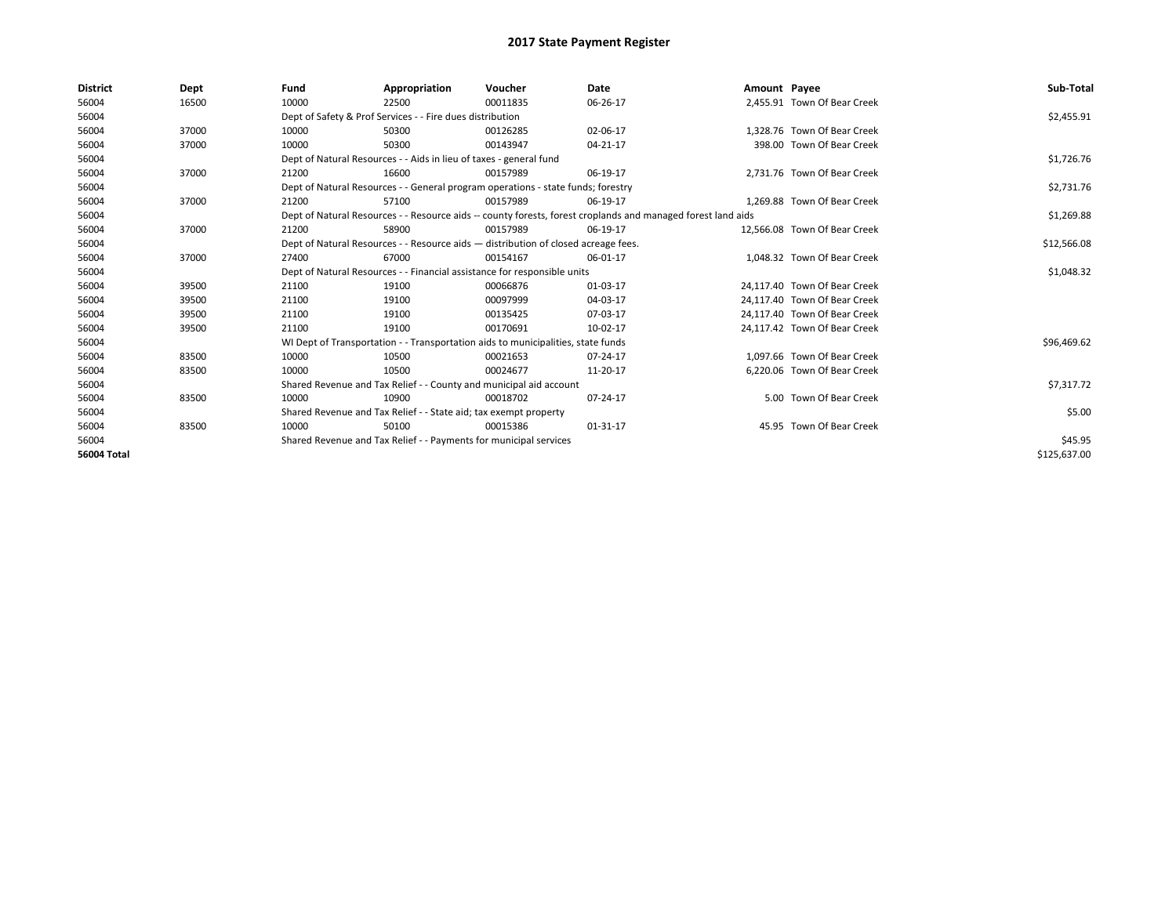| <b>District</b> | Dept  | Fund                                                             | Appropriation                                                                                                | Voucher  | Date           | Amount Payee |                              | Sub-Total    |  |  |
|-----------------|-------|------------------------------------------------------------------|--------------------------------------------------------------------------------------------------------------|----------|----------------|--------------|------------------------------|--------------|--|--|
| 56004           | 16500 | 10000                                                            | 22500                                                                                                        | 00011835 | 06-26-17       |              | 2,455.91 Town Of Bear Creek  |              |  |  |
| 56004           |       |                                                                  | Dept of Safety & Prof Services - - Fire dues distribution                                                    |          |                |              |                              | \$2,455.91   |  |  |
| 56004           | 37000 | 10000                                                            | 50300                                                                                                        | 00126285 | 02-06-17       |              | 1.328.76 Town Of Bear Creek  |              |  |  |
| 56004           | 37000 | 10000                                                            | 50300                                                                                                        | 00143947 | 04-21-17       |              | 398.00 Town Of Bear Creek    |              |  |  |
| 56004           |       |                                                                  | Dept of Natural Resources - - Aids in lieu of taxes - general fund                                           |          |                |              |                              | \$1,726.76   |  |  |
| 56004           | 37000 | 21200                                                            | 16600                                                                                                        | 00157989 | 06-19-17       |              | 2,731.76 Town Of Bear Creek  |              |  |  |
| 56004           |       |                                                                  | Dept of Natural Resources - - General program operations - state funds; forestry                             |          |                |              |                              | \$2,731.76   |  |  |
| 56004           | 37000 | 21200                                                            | 57100                                                                                                        | 00157989 | 06-19-17       |              | 1.269.88 Town Of Bear Creek  |              |  |  |
| 56004           |       |                                                                  | Dept of Natural Resources - - Resource aids -- county forests, forest croplands and managed forest land aids |          | \$1,269.88     |              |                              |              |  |  |
| 56004           | 37000 | 21200                                                            | 58900                                                                                                        | 00157989 | 06-19-17       |              | 12,566.08 Town Of Bear Creek |              |  |  |
| 56004           |       |                                                                  | Dept of Natural Resources - - Resource aids - distribution of closed acreage fees.                           |          |                |              |                              |              |  |  |
| 56004           | 37000 | 27400                                                            | 67000                                                                                                        | 00154167 | 06-01-17       |              | 1,048.32 Town Of Bear Creek  |              |  |  |
| 56004           |       |                                                                  | Dept of Natural Resources - - Financial assistance for responsible units                                     |          |                |              |                              | \$1,048.32   |  |  |
| 56004           | 39500 | 21100                                                            | 19100                                                                                                        | 00066876 | 01-03-17       |              | 24.117.40 Town Of Bear Creek |              |  |  |
| 56004           | 39500 | 21100                                                            | 19100                                                                                                        | 00097999 | 04-03-17       |              | 24,117.40 Town Of Bear Creek |              |  |  |
| 56004           | 39500 | 21100                                                            | 19100                                                                                                        | 00135425 | 07-03-17       |              | 24.117.40 Town Of Bear Creek |              |  |  |
| 56004           | 39500 | 21100                                                            | 19100                                                                                                        | 00170691 | 10-02-17       |              | 24,117.42 Town Of Bear Creek |              |  |  |
| 56004           |       |                                                                  | WI Dept of Transportation - - Transportation aids to municipalities, state funds                             |          |                |              |                              | \$96,469.62  |  |  |
| 56004           | 83500 | 10000                                                            | 10500                                                                                                        | 00021653 | 07-24-17       |              | 1.097.66 Town Of Bear Creek  |              |  |  |
| 56004           | 83500 | 10000                                                            | 10500                                                                                                        | 00024677 | 11-20-17       |              | 6,220.06 Town Of Bear Creek  |              |  |  |
| 56004           |       |                                                                  | Shared Revenue and Tax Relief - - County and municipal aid account                                           |          |                |              |                              | \$7,317.72   |  |  |
| 56004           | 83500 | 10000                                                            | 10900                                                                                                        | 00018702 | 07-24-17       |              | 5.00 Town Of Bear Creek      |              |  |  |
| 56004           |       | Shared Revenue and Tax Relief - - State aid; tax exempt property |                                                                                                              | \$5.00   |                |              |                              |              |  |  |
| 56004           | 83500 | 10000                                                            | 50100                                                                                                        | 00015386 | $01 - 31 - 17$ |              | 45.95 Town Of Bear Creek     |              |  |  |
| 56004           |       |                                                                  | Shared Revenue and Tax Relief - - Payments for municipal services                                            |          |                |              |                              |              |  |  |
| 56004 Total     |       |                                                                  |                                                                                                              |          |                |              |                              | \$125,637.00 |  |  |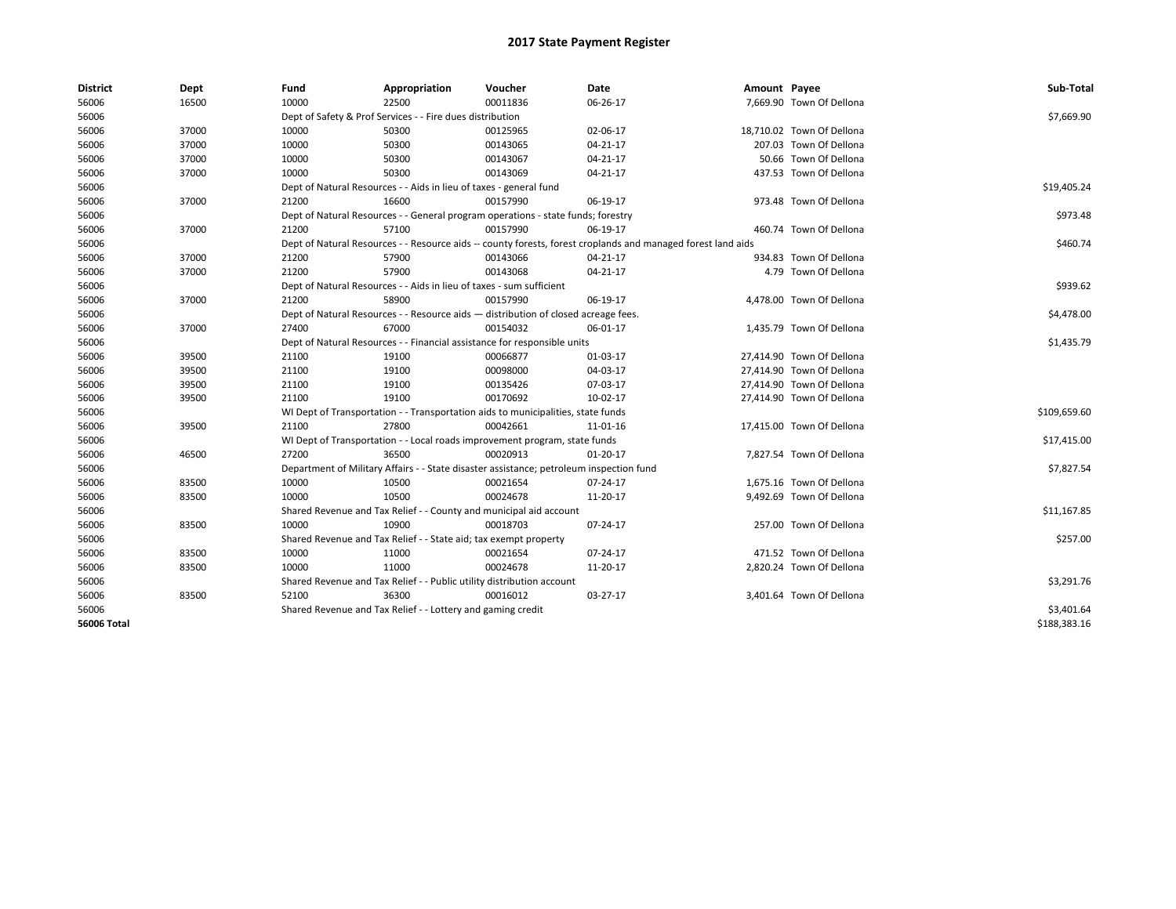| <b>District</b> | Dept  | Fund  | Appropriation                                                                           | Voucher  | Date                                                                                                         | Amount Payee |                           | Sub-Total    |  |  |
|-----------------|-------|-------|-----------------------------------------------------------------------------------------|----------|--------------------------------------------------------------------------------------------------------------|--------------|---------------------------|--------------|--|--|
| 56006           | 16500 | 10000 | 22500                                                                                   | 00011836 | 06-26-17                                                                                                     |              | 7,669.90 Town Of Dellona  |              |  |  |
| 56006           |       |       | Dept of Safety & Prof Services - - Fire dues distribution                               |          |                                                                                                              |              |                           | \$7,669.90   |  |  |
| 56006           | 37000 | 10000 | 50300                                                                                   | 00125965 | 02-06-17                                                                                                     |              | 18,710.02 Town Of Dellona |              |  |  |
| 56006           | 37000 | 10000 | 50300                                                                                   | 00143065 | 04-21-17                                                                                                     |              | 207.03 Town Of Dellona    |              |  |  |
| 56006           | 37000 | 10000 | 50300                                                                                   | 00143067 | 04-21-17                                                                                                     |              | 50.66 Town Of Dellona     |              |  |  |
| 56006           | 37000 | 10000 | 50300                                                                                   | 00143069 | 04-21-17                                                                                                     |              | 437.53 Town Of Dellona    |              |  |  |
| 56006           |       |       | Dept of Natural Resources - - Aids in lieu of taxes - general fund                      |          |                                                                                                              |              |                           | \$19,405.24  |  |  |
| 56006           | 37000 | 21200 | 16600                                                                                   | 00157990 | 06-19-17                                                                                                     |              | 973.48 Town Of Dellona    |              |  |  |
| 56006           |       |       | Dept of Natural Resources - - General program operations - state funds; forestry        |          |                                                                                                              |              |                           | \$973.48     |  |  |
| 56006           | 37000 | 21200 | 57100                                                                                   | 00157990 | 06-19-17                                                                                                     |              | 460.74 Town Of Dellona    |              |  |  |
| 56006           |       |       |                                                                                         |          | Dept of Natural Resources - - Resource aids -- county forests, forest croplands and managed forest land aids |              |                           | \$460.74     |  |  |
| 56006           | 37000 | 21200 | 57900                                                                                   | 00143066 | 04-21-17                                                                                                     |              | 934.83 Town Of Dellona    |              |  |  |
| 56006           | 37000 | 21200 | 57900                                                                                   | 00143068 | $04 - 21 - 17$                                                                                               |              | 4.79 Town Of Dellona      |              |  |  |
| 56006           |       |       | Dept of Natural Resources - - Aids in lieu of taxes - sum sufficient                    |          |                                                                                                              |              |                           | \$939.62     |  |  |
| 56006           | 37000 | 21200 | 58900                                                                                   | 00157990 | 06-19-17                                                                                                     |              | 4,478.00 Town Of Dellona  |              |  |  |
| 56006           |       |       | Dept of Natural Resources - - Resource aids - distribution of closed acreage fees.      |          |                                                                                                              |              |                           |              |  |  |
| 56006           | 37000 | 27400 | 67000                                                                                   | 00154032 | 06-01-17                                                                                                     |              | 1,435.79 Town Of Dellona  | \$4,478.00   |  |  |
| 56006           |       |       | Dept of Natural Resources - - Financial assistance for responsible units                |          |                                                                                                              |              |                           |              |  |  |
| 56006           | 39500 | 21100 | 19100                                                                                   | 00066877 | 01-03-17                                                                                                     |              | 27,414.90 Town Of Dellona | \$1,435.79   |  |  |
| 56006           | 39500 | 21100 | 19100                                                                                   | 00098000 | 04-03-17                                                                                                     |              | 27,414.90 Town Of Dellona |              |  |  |
| 56006           | 39500 | 21100 | 19100                                                                                   | 00135426 | 07-03-17                                                                                                     |              | 27,414.90 Town Of Dellona |              |  |  |
| 56006           | 39500 | 21100 | 19100                                                                                   | 00170692 | 10-02-17                                                                                                     |              | 27,414.90 Town Of Dellona |              |  |  |
| 56006           |       |       | WI Dept of Transportation - - Transportation aids to municipalities, state funds        |          |                                                                                                              |              |                           | \$109,659.60 |  |  |
| 56006           | 39500 | 21100 | 27800                                                                                   | 00042661 | 11-01-16                                                                                                     |              | 17,415.00 Town Of Dellona |              |  |  |
| 56006           |       |       | WI Dept of Transportation - - Local roads improvement program, state funds              |          |                                                                                                              |              |                           | \$17,415.00  |  |  |
| 56006           | 46500 | 27200 | 36500                                                                                   | 00020913 | $01-20-17$                                                                                                   |              | 7,827.54 Town Of Dellona  |              |  |  |
| 56006           |       |       | Department of Military Affairs - - State disaster assistance; petroleum inspection fund |          |                                                                                                              |              |                           | \$7,827.54   |  |  |
| 56006           | 83500 | 10000 | 10500                                                                                   | 00021654 | 07-24-17                                                                                                     |              | 1,675.16 Town Of Dellona  |              |  |  |
| 56006           | 83500 | 10000 | 10500                                                                                   | 00024678 | 11-20-17                                                                                                     |              | 9,492.69 Town Of Dellona  |              |  |  |
| 56006           |       |       | Shared Revenue and Tax Relief - - County and municipal aid account                      |          |                                                                                                              |              |                           | \$11,167.85  |  |  |
| 56006           | 83500 | 10000 | 10900                                                                                   | 00018703 | 07-24-17                                                                                                     |              | 257.00 Town Of Dellona    |              |  |  |
| 56006           |       |       | Shared Revenue and Tax Relief - - State aid; tax exempt property                        |          |                                                                                                              |              |                           | \$257.00     |  |  |
| 56006           | 83500 | 10000 | 11000                                                                                   | 00021654 | 07-24-17                                                                                                     |              | 471.52 Town Of Dellona    |              |  |  |
| 56006           | 83500 | 10000 | 11000                                                                                   | 00024678 | 11-20-17                                                                                                     |              | 2,820.24 Town Of Dellona  |              |  |  |
| 56006           |       |       | Shared Revenue and Tax Relief - - Public utility distribution account                   |          |                                                                                                              |              |                           | \$3,291.76   |  |  |
| 56006           | 83500 | 52100 | 36300                                                                                   | 00016012 | 03-27-17                                                                                                     |              | 3,401.64 Town Of Dellona  |              |  |  |
| 56006           |       |       | Shared Revenue and Tax Relief - - Lottery and gaming credit                             |          |                                                                                                              |              |                           | \$3,401.64   |  |  |
| 56006 Total     |       |       |                                                                                         |          |                                                                                                              |              |                           | \$188,383.16 |  |  |
|                 |       |       |                                                                                         |          |                                                                                                              |              |                           |              |  |  |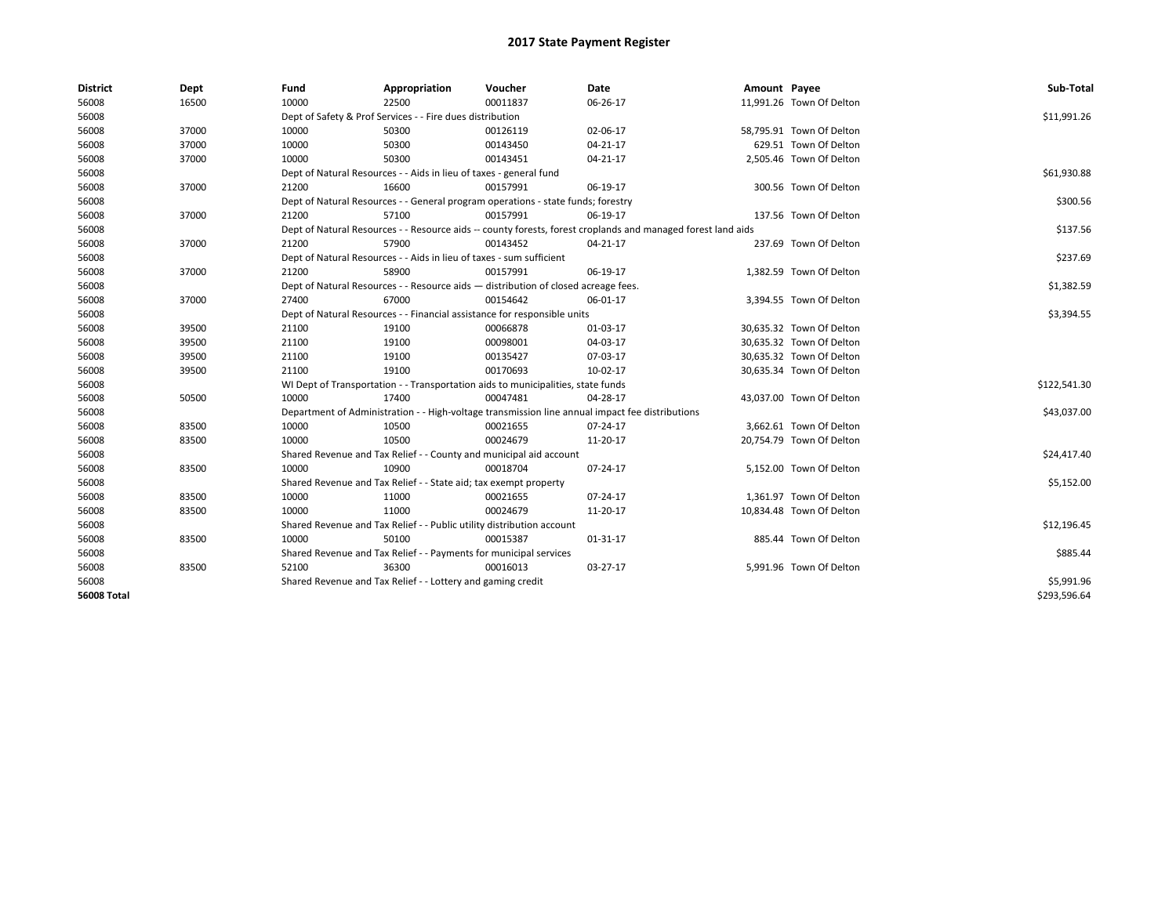| <b>District</b>    | Dept  | Fund                                                                     | Appropriation                                                                      | Voucher    | Date                                                                                                         | Amount Payee |                          | Sub-Total    |
|--------------------|-------|--------------------------------------------------------------------------|------------------------------------------------------------------------------------|------------|--------------------------------------------------------------------------------------------------------------|--------------|--------------------------|--------------|
| 56008              | 16500 | 10000                                                                    | 22500                                                                              | 00011837   | 06-26-17                                                                                                     |              | 11,991.26 Town Of Delton |              |
| 56008              |       |                                                                          | Dept of Safety & Prof Services - - Fire dues distribution                          |            |                                                                                                              |              |                          | \$11,991.26  |
| 56008              | 37000 | 10000                                                                    | 50300                                                                              | 00126119   | 02-06-17                                                                                                     |              | 58,795.91 Town Of Delton |              |
| 56008              | 37000 | 10000                                                                    | 50300                                                                              | 00143450   | 04-21-17                                                                                                     |              | 629.51 Town Of Delton    |              |
| 56008              | 37000 | 10000                                                                    | 50300                                                                              | 00143451   | 04-21-17                                                                                                     |              | 2,505.46 Town Of Delton  |              |
| 56008              |       |                                                                          | Dept of Natural Resources - - Aids in lieu of taxes - general fund                 |            |                                                                                                              |              |                          | \$61,930.88  |
| 56008              | 37000 | 21200                                                                    | 16600                                                                              | 00157991   | 06-19-17                                                                                                     |              | 300.56 Town Of Delton    |              |
| 56008              |       |                                                                          | Dept of Natural Resources - - General program operations - state funds; forestry   |            |                                                                                                              |              |                          | \$300.56     |
| 56008              | 37000 | 21200                                                                    | 57100                                                                              | 00157991   | 06-19-17                                                                                                     |              | 137.56 Town Of Delton    |              |
| 56008              |       |                                                                          |                                                                                    |            | Dept of Natural Resources - - Resource aids -- county forests, forest croplands and managed forest land aids |              |                          | \$137.56     |
| 56008              | 37000 | 21200                                                                    | 57900                                                                              | 00143452   | $04 - 21 - 17$                                                                                               |              | 237.69 Town Of Delton    |              |
| 56008              |       |                                                                          | Dept of Natural Resources - - Aids in lieu of taxes - sum sufficient               |            |                                                                                                              |              |                          | \$237.69     |
| 56008              | 37000 | 21200                                                                    | 58900                                                                              | 00157991   | 06-19-17                                                                                                     |              | 1,382.59 Town Of Delton  |              |
| 56008              |       |                                                                          | Dept of Natural Resources - - Resource aids - distribution of closed acreage fees. |            |                                                                                                              |              |                          | \$1,382.59   |
| 56008              | 37000 | 27400                                                                    | 67000                                                                              | 00154642   | 06-01-17                                                                                                     |              | 3,394.55 Town Of Delton  |              |
| 56008              |       | Dept of Natural Resources - - Financial assistance for responsible units |                                                                                    | \$3,394.55 |                                                                                                              |              |                          |              |
| 56008              | 39500 | 21100                                                                    | 19100                                                                              | 00066878   | 01-03-17                                                                                                     |              | 30,635.32 Town Of Delton |              |
| 56008              | 39500 | 21100                                                                    | 19100                                                                              | 00098001   | 04-03-17                                                                                                     |              | 30,635.32 Town Of Delton |              |
| 56008              | 39500 | 21100                                                                    | 19100                                                                              | 00135427   | 07-03-17                                                                                                     |              | 30,635.32 Town Of Delton |              |
| 56008              | 39500 | 21100                                                                    | 19100                                                                              | 00170693   | 10-02-17                                                                                                     |              | 30,635.34 Town Of Delton |              |
| 56008              |       |                                                                          | WI Dept of Transportation - - Transportation aids to municipalities, state funds   |            |                                                                                                              |              |                          | \$122,541.30 |
| 56008              | 50500 | 10000                                                                    | 17400                                                                              | 00047481   | 04-28-17                                                                                                     |              | 43,037.00 Town Of Delton |              |
| 56008              |       |                                                                          |                                                                                    |            | Department of Administration - - High-voltage transmission line annual impact fee distributions              |              |                          | \$43,037.00  |
| 56008              | 83500 | 10000                                                                    | 10500                                                                              | 00021655   | 07-24-17                                                                                                     |              | 3,662.61 Town Of Delton  |              |
| 56008              | 83500 | 10000                                                                    | 10500                                                                              | 00024679   | 11-20-17                                                                                                     |              | 20,754.79 Town Of Delton |              |
| 56008              |       |                                                                          | Shared Revenue and Tax Relief - - County and municipal aid account                 |            |                                                                                                              |              |                          | \$24,417.40  |
| 56008              | 83500 | 10000                                                                    | 10900                                                                              | 00018704   | 07-24-17                                                                                                     |              | 5,152.00 Town Of Delton  |              |
| 56008              |       |                                                                          | Shared Revenue and Tax Relief - - State aid; tax exempt property                   |            |                                                                                                              |              |                          | \$5,152.00   |
| 56008              | 83500 | 10000                                                                    | 11000                                                                              | 00021655   | 07-24-17                                                                                                     |              | 1,361.97 Town Of Delton  |              |
| 56008              | 83500 | 10000                                                                    | 11000                                                                              | 00024679   | 11-20-17                                                                                                     |              | 10,834.48 Town Of Delton |              |
| 56008              |       |                                                                          | Shared Revenue and Tax Relief - - Public utility distribution account              |            |                                                                                                              |              |                          | \$12,196.45  |
| 56008              | 83500 | 10000                                                                    | 50100                                                                              | 00015387   | 01-31-17                                                                                                     |              | 885.44 Town Of Delton    |              |
| 56008              |       |                                                                          | Shared Revenue and Tax Relief - - Payments for municipal services                  |            |                                                                                                              |              |                          | \$885.44     |
| 56008              | 83500 | 52100                                                                    | 36300                                                                              | 00016013   | 03-27-17                                                                                                     |              | 5,991.96 Town Of Delton  |              |
| 56008              |       |                                                                          | Shared Revenue and Tax Relief - - Lottery and gaming credit                        |            |                                                                                                              |              |                          | \$5,991.96   |
| <b>56008 Total</b> |       |                                                                          |                                                                                    |            |                                                                                                              |              |                          | \$293,596.64 |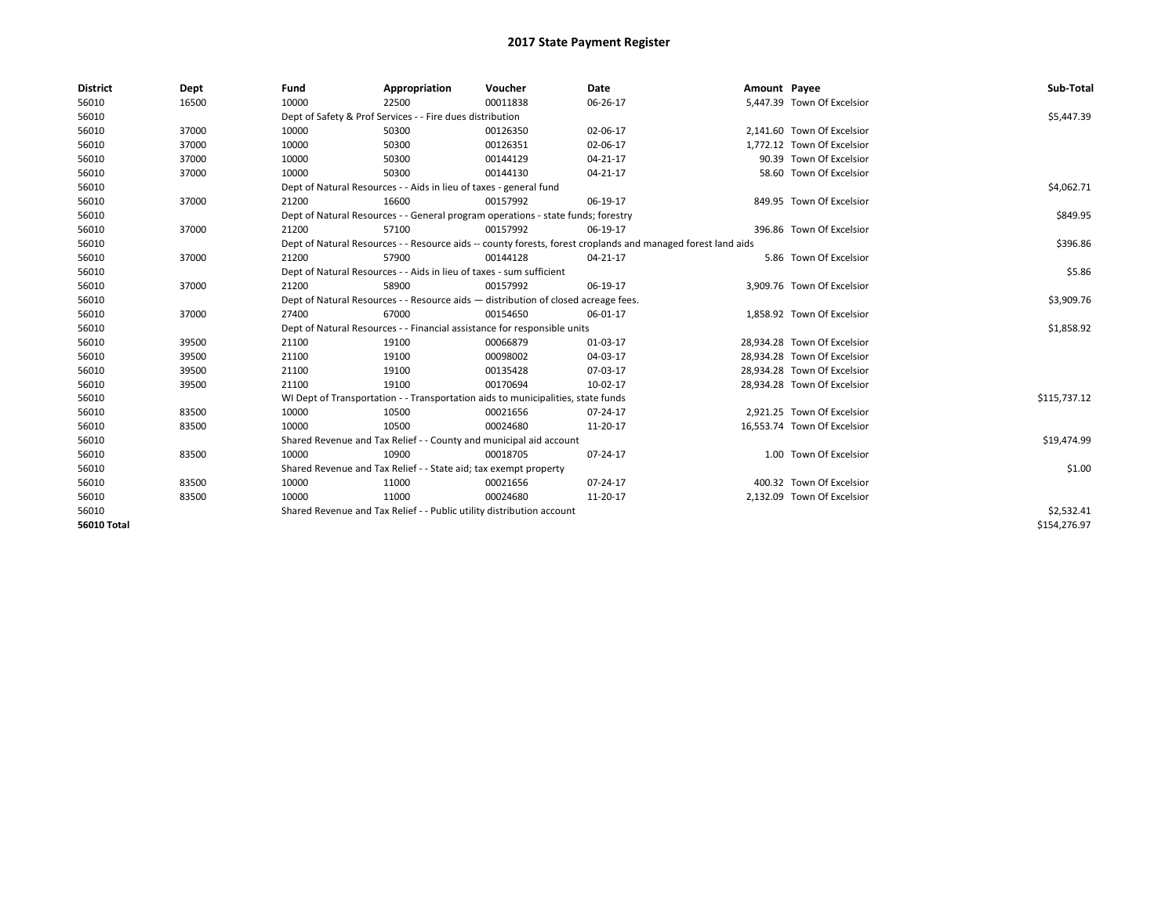| <b>District</b>    | Dept  | Fund  | Appropriation                                                                                                | Voucher  | Date           | Amount Payee |                             | Sub-Total    |  |  |
|--------------------|-------|-------|--------------------------------------------------------------------------------------------------------------|----------|----------------|--------------|-----------------------------|--------------|--|--|
| 56010              | 16500 | 10000 | 22500                                                                                                        | 00011838 | 06-26-17       |              | 5,447.39 Town Of Excelsior  |              |  |  |
| 56010              |       |       | Dept of Safety & Prof Services - - Fire dues distribution                                                    |          |                |              |                             | \$5,447.39   |  |  |
| 56010              | 37000 | 10000 | 50300                                                                                                        | 00126350 | 02-06-17       |              | 2,141.60 Town Of Excelsior  |              |  |  |
| 56010              | 37000 | 10000 | 50300                                                                                                        | 00126351 | 02-06-17       |              | 1,772.12 Town Of Excelsior  |              |  |  |
| 56010              | 37000 | 10000 | 50300                                                                                                        | 00144129 | 04-21-17       |              | 90.39 Town Of Excelsior     |              |  |  |
| 56010              | 37000 | 10000 | 50300                                                                                                        | 00144130 | $04 - 21 - 17$ |              | 58.60 Town Of Excelsior     |              |  |  |
| 56010              |       |       | Dept of Natural Resources - - Aids in lieu of taxes - general fund                                           |          |                |              |                             |              |  |  |
| 56010              | 37000 | 21200 | 16600                                                                                                        | 00157992 | 06-19-17       |              | 849.95 Town Of Excelsior    |              |  |  |
| 56010              |       |       | Dept of Natural Resources - - General program operations - state funds; forestry                             |          |                |              |                             | \$849.95     |  |  |
| 56010              | 37000 | 21200 | 57100                                                                                                        | 00157992 | 06-19-17       |              | 396.86 Town Of Excelsior    |              |  |  |
| 56010              |       |       | Dept of Natural Resources - - Resource aids -- county forests, forest croplands and managed forest land aids |          |                |              |                             | \$396.86     |  |  |
| 56010              | 37000 | 21200 | 57900                                                                                                        | 00144128 | 04-21-17       |              | 5.86 Town Of Excelsior      |              |  |  |
| 56010              |       |       | Dept of Natural Resources - - Aids in lieu of taxes - sum sufficient                                         |          |                |              |                             | \$5.86       |  |  |
| 56010              | 37000 | 21200 | 58900                                                                                                        | 00157992 | 06-19-17       |              | 3,909.76 Town Of Excelsior  |              |  |  |
| 56010              |       |       | Dept of Natural Resources - - Resource aids - distribution of closed acreage fees.                           |          |                |              |                             |              |  |  |
| 56010              | 37000 | 27400 | 67000                                                                                                        | 00154650 | 06-01-17       |              | 1,858.92 Town Of Excelsior  |              |  |  |
| 56010              |       |       | Dept of Natural Resources - - Financial assistance for responsible units                                     |          |                |              |                             | \$1,858.92   |  |  |
| 56010              | 39500 | 21100 | 19100                                                                                                        | 00066879 | 01-03-17       |              | 28.934.28 Town Of Excelsior |              |  |  |
| 56010              | 39500 | 21100 | 19100                                                                                                        | 00098002 | 04-03-17       |              | 28,934.28 Town Of Excelsior |              |  |  |
| 56010              | 39500 | 21100 | 19100                                                                                                        | 00135428 | 07-03-17       |              | 28.934.28 Town Of Excelsior |              |  |  |
| 56010              | 39500 | 21100 | 19100                                                                                                        | 00170694 | 10-02-17       |              | 28,934.28 Town Of Excelsior |              |  |  |
| 56010              |       |       | WI Dept of Transportation - - Transportation aids to municipalities, state funds                             |          |                |              |                             | \$115,737.12 |  |  |
| 56010              | 83500 | 10000 | 10500                                                                                                        | 00021656 | $07 - 24 - 17$ |              | 2,921.25 Town Of Excelsior  |              |  |  |
| 56010              | 83500 | 10000 | 10500                                                                                                        | 00024680 | 11-20-17       |              | 16.553.74 Town Of Excelsior |              |  |  |
| 56010              |       |       | Shared Revenue and Tax Relief - - County and municipal aid account                                           |          |                |              |                             | \$19,474.99  |  |  |
| 56010              | 83500 | 10000 | 10900                                                                                                        | 00018705 | 07-24-17       |              | 1.00 Town Of Excelsior      |              |  |  |
| 56010              |       |       | Shared Revenue and Tax Relief - - State aid; tax exempt property                                             |          |                |              |                             | \$1.00       |  |  |
| 56010              | 83500 | 10000 | 11000                                                                                                        | 00021656 | $07 - 24 - 17$ |              | 400.32 Town Of Excelsior    |              |  |  |
| 56010              | 83500 | 10000 | 11000                                                                                                        | 00024680 | 11-20-17       |              | 2,132.09 Town Of Excelsior  |              |  |  |
| 56010              |       |       | Shared Revenue and Tax Relief - - Public utility distribution account                                        |          |                |              |                             | \$2,532.41   |  |  |
| <b>56010 Total</b> |       |       |                                                                                                              |          |                |              |                             | \$154,276.97 |  |  |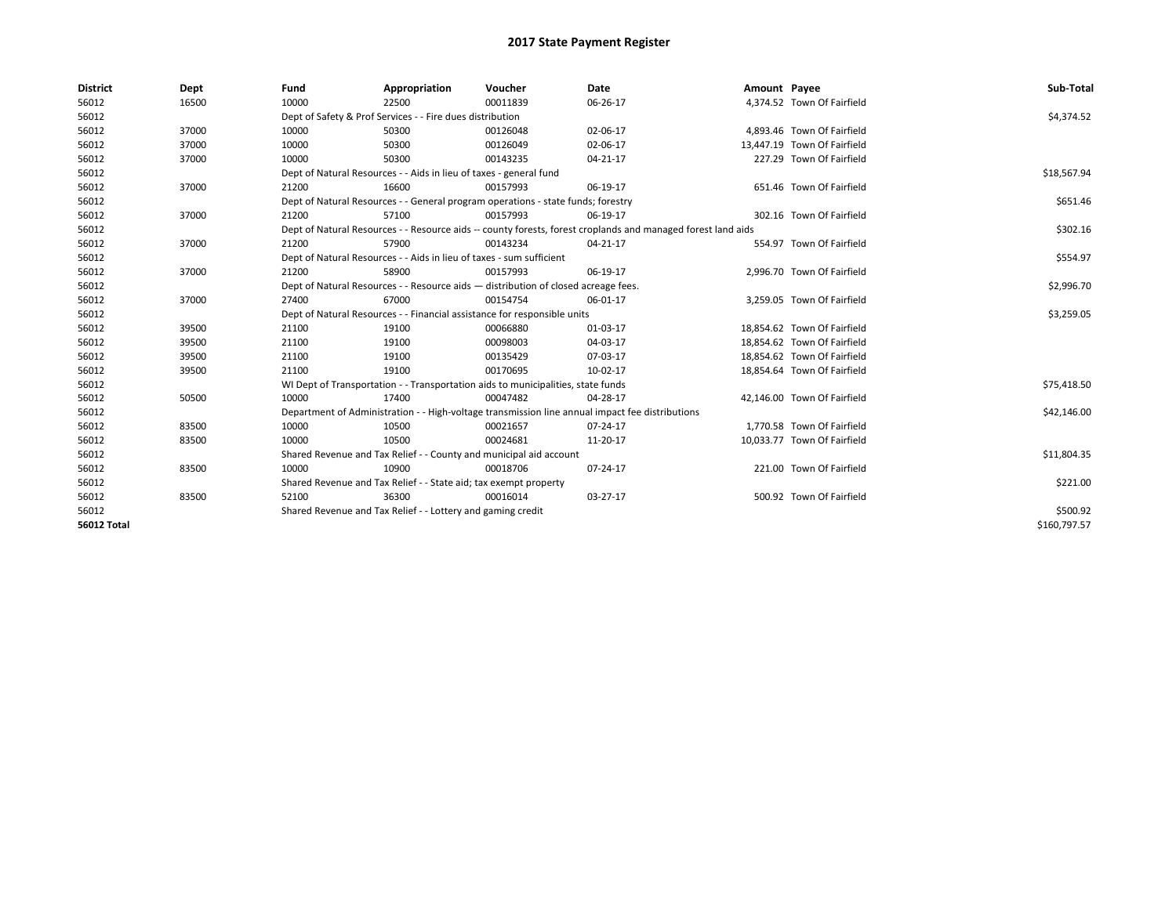| <b>District</b>    | Dept  | Fund  | Appropriation                                                                      | Voucher  | Date                                                                                                         | Amount Payee |                             | Sub-Total    |  |  |
|--------------------|-------|-------|------------------------------------------------------------------------------------|----------|--------------------------------------------------------------------------------------------------------------|--------------|-----------------------------|--------------|--|--|
| 56012              | 16500 | 10000 | 22500                                                                              | 00011839 | 06-26-17                                                                                                     |              | 4,374.52 Town Of Fairfield  |              |  |  |
| 56012              |       |       | Dept of Safety & Prof Services - - Fire dues distribution                          |          |                                                                                                              |              |                             | \$4,374.52   |  |  |
| 56012              | 37000 | 10000 | 50300                                                                              | 00126048 | 02-06-17                                                                                                     |              | 4,893.46 Town Of Fairfield  |              |  |  |
| 56012              | 37000 | 10000 | 50300                                                                              | 00126049 | 02-06-17                                                                                                     |              | 13,447.19 Town Of Fairfield |              |  |  |
| 56012              | 37000 | 10000 | 50300                                                                              | 00143235 | 04-21-17                                                                                                     |              | 227.29 Town Of Fairfield    |              |  |  |
| 56012              |       |       | Dept of Natural Resources - - Aids in lieu of taxes - general fund                 |          |                                                                                                              |              |                             |              |  |  |
| 56012              | 37000 | 21200 | 16600                                                                              | 00157993 | 06-19-17                                                                                                     |              | 651.46 Town Of Fairfield    |              |  |  |
| 56012              |       |       | Dept of Natural Resources - - General program operations - state funds; forestry   |          |                                                                                                              |              |                             |              |  |  |
| 56012              | 37000 | 21200 | 57100                                                                              | 00157993 | 06-19-17                                                                                                     |              | 302.16 Town Of Fairfield    |              |  |  |
| 56012              |       |       |                                                                                    |          | Dept of Natural Resources - - Resource aids -- county forests, forest croplands and managed forest land aids |              |                             | \$302.16     |  |  |
| 56012              | 37000 | 21200 | 57900                                                                              | 00143234 | 04-21-17                                                                                                     |              | 554.97 Town Of Fairfield    |              |  |  |
| 56012              |       |       | Dept of Natural Resources - - Aids in lieu of taxes - sum sufficient               |          |                                                                                                              |              |                             | \$554.97     |  |  |
| 56012              | 37000 | 21200 | 58900                                                                              | 00157993 | 06-19-17                                                                                                     |              | 2,996.70 Town Of Fairfield  |              |  |  |
| 56012              |       |       | Dept of Natural Resources - - Resource aids - distribution of closed acreage fees. |          |                                                                                                              |              |                             |              |  |  |
| 56012              | 37000 | 27400 | 67000                                                                              | 00154754 | 06-01-17                                                                                                     |              | 3,259.05 Town Of Fairfield  |              |  |  |
| 56012              |       |       | Dept of Natural Resources - - Financial assistance for responsible units           |          |                                                                                                              |              |                             | \$3,259.05   |  |  |
| 56012              | 39500 | 21100 | 19100                                                                              | 00066880 | 01-03-17                                                                                                     |              | 18,854.62 Town Of Fairfield |              |  |  |
| 56012              | 39500 | 21100 | 19100                                                                              | 00098003 | 04-03-17                                                                                                     |              | 18,854.62 Town Of Fairfield |              |  |  |
| 56012              | 39500 | 21100 | 19100                                                                              | 00135429 | 07-03-17                                                                                                     |              | 18,854.62 Town Of Fairfield |              |  |  |
| 56012              | 39500 | 21100 | 19100                                                                              | 00170695 | 10-02-17                                                                                                     |              | 18,854.64 Town Of Fairfield |              |  |  |
| 56012              |       |       | WI Dept of Transportation - - Transportation aids to municipalities, state funds   |          |                                                                                                              |              |                             | \$75,418.50  |  |  |
| 56012              | 50500 | 10000 | 17400                                                                              | 00047482 | 04-28-17                                                                                                     |              | 42,146.00 Town Of Fairfield |              |  |  |
| 56012              |       |       |                                                                                    |          | Department of Administration - - High-voltage transmission line annual impact fee distributions              |              |                             | \$42,146.00  |  |  |
| 56012              | 83500 | 10000 | 10500                                                                              | 00021657 | 07-24-17                                                                                                     |              | 1.770.58 Town Of Fairfield  |              |  |  |
| 56012              | 83500 | 10000 | 10500                                                                              | 00024681 | 11-20-17                                                                                                     |              | 10,033.77 Town Of Fairfield |              |  |  |
| 56012              |       |       | Shared Revenue and Tax Relief - - County and municipal aid account                 |          |                                                                                                              |              |                             | \$11,804.35  |  |  |
| 56012              | 83500 | 10000 | 10900                                                                              | 00018706 | 07-24-17                                                                                                     |              | 221.00 Town Of Fairfield    |              |  |  |
| 56012              |       |       | Shared Revenue and Tax Relief - - State aid; tax exempt property                   |          |                                                                                                              |              |                             | \$221.00     |  |  |
| 56012              | 83500 | 52100 | 36300                                                                              | 00016014 | 03-27-17                                                                                                     |              | 500.92 Town Of Fairfield    |              |  |  |
| 56012              |       |       | Shared Revenue and Tax Relief - - Lottery and gaming credit                        |          |                                                                                                              |              |                             | \$500.92     |  |  |
| <b>56012 Total</b> |       |       |                                                                                    |          |                                                                                                              |              |                             | \$160,797.57 |  |  |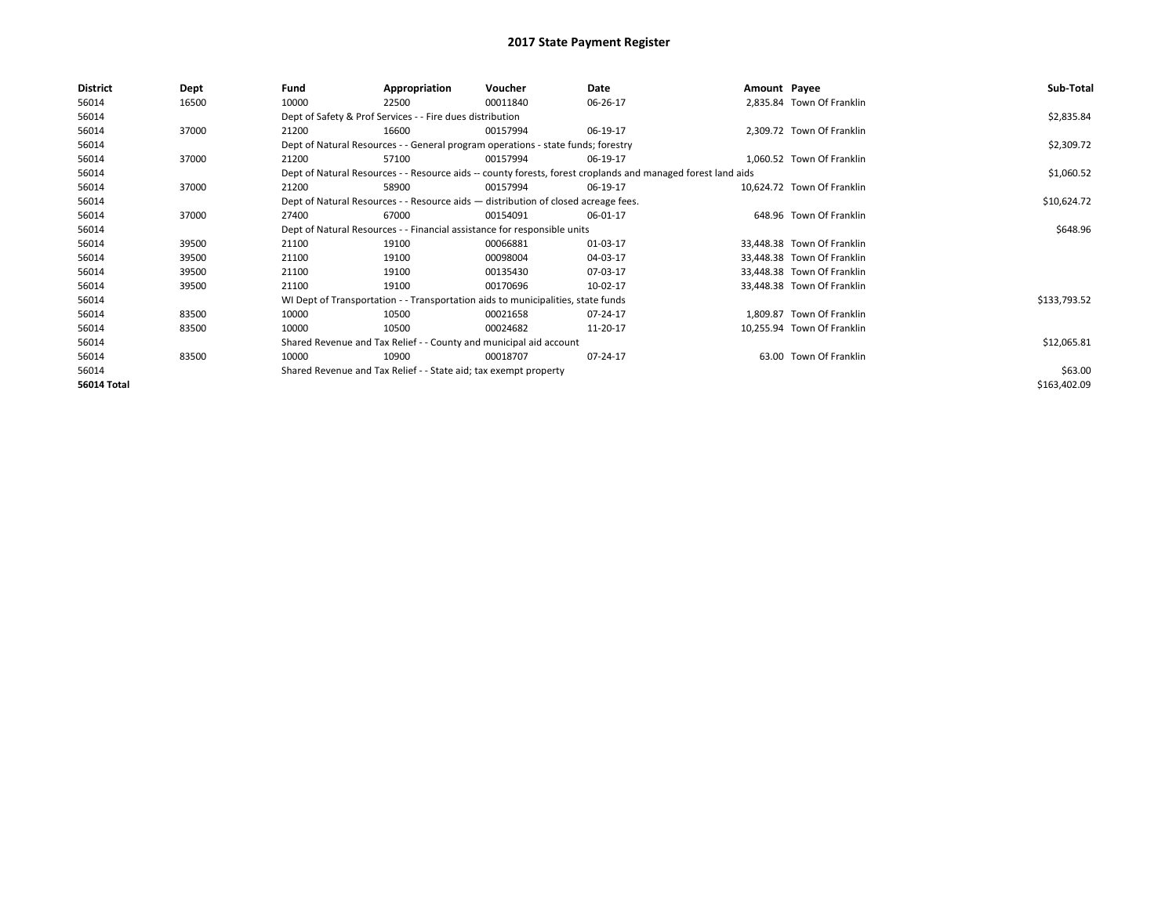| <b>District</b> | Dept  | Fund  | Appropriation                                                                      | Voucher  | Date                                                                                                         | Amount Payee |                            | Sub-Total    |  |  |
|-----------------|-------|-------|------------------------------------------------------------------------------------|----------|--------------------------------------------------------------------------------------------------------------|--------------|----------------------------|--------------|--|--|
| 56014           | 16500 | 10000 | 22500                                                                              | 00011840 | 06-26-17                                                                                                     |              | 2,835.84 Town Of Franklin  |              |  |  |
| 56014           |       |       | Dept of Safety & Prof Services - - Fire dues distribution                          |          |                                                                                                              |              |                            | \$2,835.84   |  |  |
| 56014           | 37000 | 21200 | 16600                                                                              | 00157994 | 06-19-17                                                                                                     |              | 2,309.72 Town Of Franklin  |              |  |  |
| 56014           |       |       | Dept of Natural Resources - - General program operations - state funds; forestry   |          |                                                                                                              |              |                            | \$2,309.72   |  |  |
| 56014           | 37000 | 21200 | 57100                                                                              | 00157994 | 06-19-17                                                                                                     |              | 1,060.52 Town Of Franklin  |              |  |  |
| 56014           |       |       |                                                                                    |          | Dept of Natural Resources - - Resource aids -- county forests, forest croplands and managed forest land aids |              |                            | \$1,060.52   |  |  |
| 56014           | 37000 | 21200 | 58900                                                                              | 00157994 | 06-19-17                                                                                                     |              | 10,624.72 Town Of Franklin |              |  |  |
| 56014           |       |       | Dept of Natural Resources - - Resource aids - distribution of closed acreage fees. |          |                                                                                                              |              |                            | \$10,624.72  |  |  |
| 56014           | 37000 | 27400 | 67000                                                                              | 00154091 | 06-01-17                                                                                                     |              | 648.96 Town Of Franklin    |              |  |  |
| 56014           |       |       | Dept of Natural Resources - - Financial assistance for responsible units           |          |                                                                                                              |              |                            |              |  |  |
| 56014           | 39500 | 21100 | 19100                                                                              | 00066881 | 01-03-17                                                                                                     |              | 33,448.38 Town Of Franklin |              |  |  |
| 56014           | 39500 | 21100 | 19100                                                                              | 00098004 | 04-03-17                                                                                                     |              | 33,448.38 Town Of Franklin |              |  |  |
| 56014           | 39500 | 21100 | 19100                                                                              | 00135430 | 07-03-17                                                                                                     |              | 33,448.38 Town Of Franklin |              |  |  |
| 56014           | 39500 | 21100 | 19100                                                                              | 00170696 | 10-02-17                                                                                                     |              | 33,448.38 Town Of Franklin |              |  |  |
| 56014           |       |       | WI Dept of Transportation - - Transportation aids to municipalities, state funds   |          |                                                                                                              |              |                            | \$133,793.52 |  |  |
| 56014           | 83500 | 10000 | 10500                                                                              | 00021658 | 07-24-17                                                                                                     |              | 1,809.87 Town Of Franklin  |              |  |  |
| 56014           | 83500 | 10000 | 10500                                                                              | 00024682 | 11-20-17                                                                                                     |              | 10,255.94 Town Of Franklin |              |  |  |
| 56014           |       |       | Shared Revenue and Tax Relief - - County and municipal aid account                 |          |                                                                                                              |              |                            | \$12,065.81  |  |  |
| 56014           | 83500 | 10000 | 10900                                                                              | 00018707 | 07-24-17                                                                                                     |              | 63.00 Town Of Franklin     |              |  |  |
| 56014           |       |       | Shared Revenue and Tax Relief - - State aid; tax exempt property                   |          |                                                                                                              |              |                            | \$63.00      |  |  |
| 56014 Total     |       |       |                                                                                    |          |                                                                                                              |              |                            | \$163,402.09 |  |  |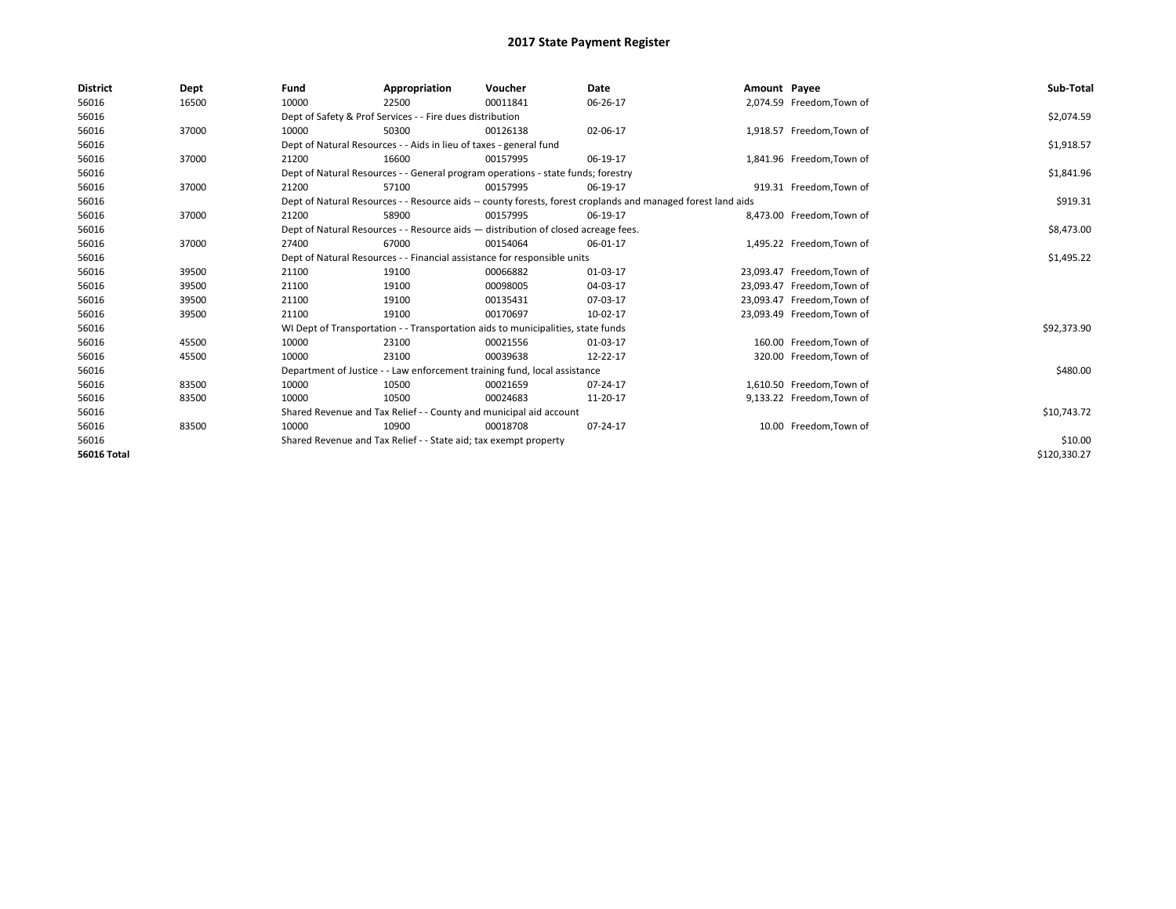| <b>District</b>    | Dept  | Fund  | Appropriation                                                                      | Voucher  | Date                                                                                                         | Amount Payee |                            | Sub-Total    |
|--------------------|-------|-------|------------------------------------------------------------------------------------|----------|--------------------------------------------------------------------------------------------------------------|--------------|----------------------------|--------------|
| 56016              | 16500 | 10000 | 22500                                                                              | 00011841 | 06-26-17                                                                                                     |              | 2,074.59 Freedom, Town of  |              |
| 56016              |       |       | Dept of Safety & Prof Services - - Fire dues distribution                          |          |                                                                                                              |              |                            | \$2,074.59   |
| 56016              | 37000 | 10000 | 50300                                                                              | 00126138 | 02-06-17                                                                                                     |              | 1,918.57 Freedom, Town of  |              |
| 56016              |       |       | Dept of Natural Resources - - Aids in lieu of taxes - general fund                 |          |                                                                                                              |              |                            | \$1,918.57   |
| 56016              | 37000 | 21200 | 16600                                                                              | 00157995 | 06-19-17                                                                                                     |              | 1,841.96 Freedom, Town of  |              |
| 56016              |       |       | Dept of Natural Resources - - General program operations - state funds; forestry   |          |                                                                                                              |              |                            | \$1,841.96   |
| 56016              | 37000 | 21200 | 57100                                                                              | 00157995 | 06-19-17                                                                                                     |              | 919.31 Freedom, Town of    |              |
| 56016              |       |       |                                                                                    |          | Dept of Natural Resources - - Resource aids -- county forests, forest croplands and managed forest land aids |              |                            | \$919.31     |
| 56016              | 37000 | 21200 | 58900                                                                              | 00157995 | 06-19-17                                                                                                     |              | 8,473.00 Freedom, Town of  |              |
| 56016              |       |       | Dept of Natural Resources - - Resource aids - distribution of closed acreage fees. |          |                                                                                                              |              |                            | \$8,473.00   |
| 56016              | 37000 | 27400 | 67000                                                                              | 00154064 | 06-01-17                                                                                                     |              | 1,495.22 Freedom, Town of  |              |
| 56016              |       |       | Dept of Natural Resources - - Financial assistance for responsible units           |          | \$1,495.22                                                                                                   |              |                            |              |
| 56016              | 39500 | 21100 | 19100                                                                              | 00066882 | 01-03-17                                                                                                     |              | 23,093.47 Freedom, Town of |              |
| 56016              | 39500 | 21100 | 19100                                                                              | 00098005 | 04-03-17                                                                                                     |              | 23,093.47 Freedom, Town of |              |
| 56016              | 39500 | 21100 | 19100                                                                              | 00135431 | 07-03-17                                                                                                     |              | 23,093.47 Freedom, Town of |              |
| 56016              | 39500 | 21100 | 19100                                                                              | 00170697 | 10-02-17                                                                                                     |              | 23,093.49 Freedom, Town of |              |
| 56016              |       |       | WI Dept of Transportation - - Transportation aids to municipalities, state funds   |          |                                                                                                              |              |                            | \$92,373.90  |
| 56016              | 45500 | 10000 | 23100                                                                              | 00021556 | 01-03-17                                                                                                     |              | 160.00 Freedom, Town of    |              |
| 56016              | 45500 | 10000 | 23100                                                                              | 00039638 | 12-22-17                                                                                                     |              | 320.00 Freedom, Town of    |              |
| 56016              |       |       | Department of Justice - - Law enforcement training fund, local assistance          |          |                                                                                                              |              |                            | \$480.00     |
| 56016              | 83500 | 10000 | 10500                                                                              | 00021659 | 07-24-17                                                                                                     |              | 1,610.50 Freedom, Town of  |              |
| 56016              | 83500 | 10000 | 10500                                                                              | 00024683 | 11-20-17                                                                                                     |              | 9,133.22 Freedom, Town of  |              |
| 56016              |       |       | Shared Revenue and Tax Relief - - County and municipal aid account                 |          |                                                                                                              |              |                            | \$10,743.72  |
| 56016              | 83500 | 10000 | 10900                                                                              | 00018708 | 07-24-17                                                                                                     |              | 10.00 Freedom, Town of     |              |
| 56016              |       |       | Shared Revenue and Tax Relief - - State aid; tax exempt property                   |          |                                                                                                              |              |                            | \$10.00      |
| <b>56016 Total</b> |       |       |                                                                                    |          |                                                                                                              |              |                            | \$120,330.27 |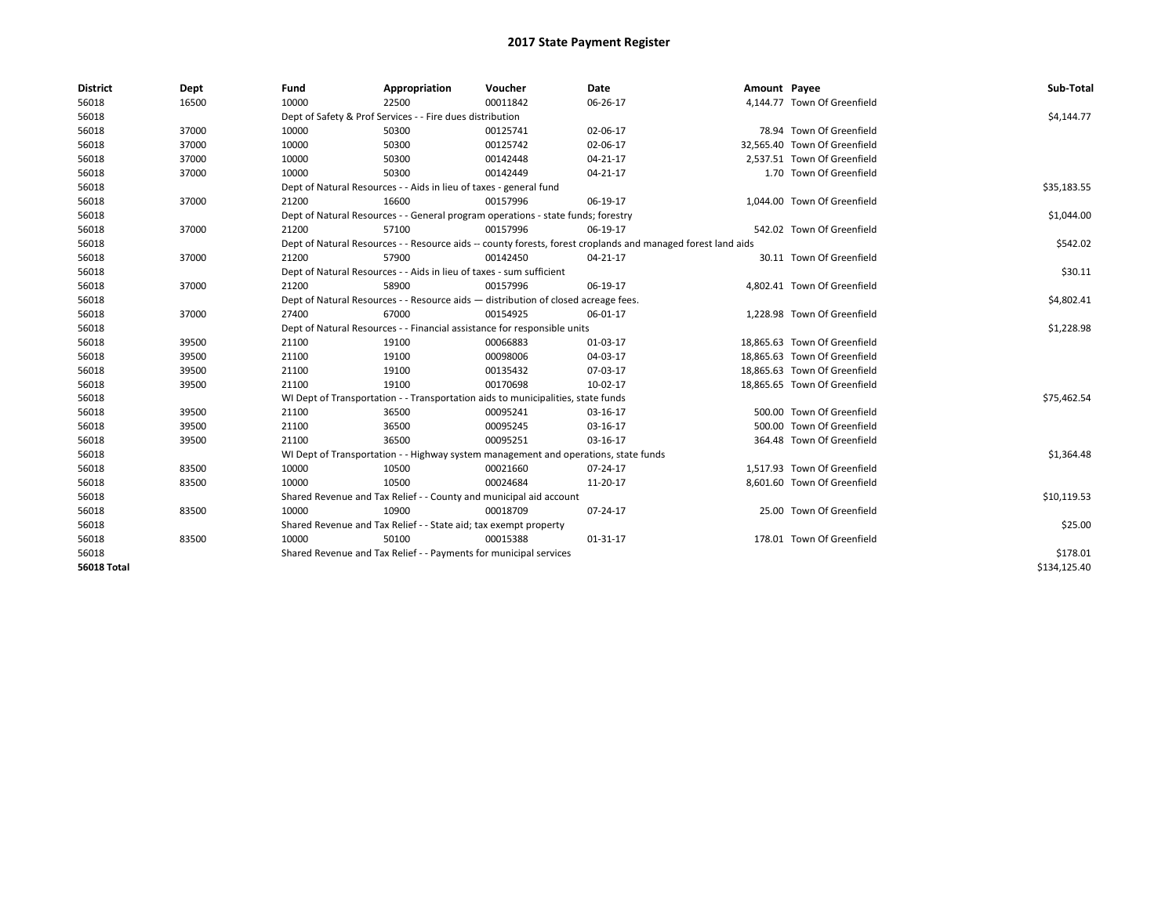| <b>District</b>    | Dept  | Fund  | Appropriation                                                                                                | Voucher  | Date     | Amount Payee |                              | Sub-Total    |  |  |
|--------------------|-------|-------|--------------------------------------------------------------------------------------------------------------|----------|----------|--------------|------------------------------|--------------|--|--|
| 56018              | 16500 | 10000 | 22500                                                                                                        | 00011842 | 06-26-17 |              | 4,144.77 Town Of Greenfield  |              |  |  |
| 56018              |       |       | Dept of Safety & Prof Services - - Fire dues distribution                                                    |          |          |              |                              | \$4,144.77   |  |  |
| 56018              | 37000 | 10000 | 50300                                                                                                        | 00125741 | 02-06-17 |              | 78.94 Town Of Greenfield     |              |  |  |
| 56018              | 37000 | 10000 | 50300                                                                                                        | 00125742 | 02-06-17 |              | 32,565.40 Town Of Greenfield |              |  |  |
| 56018              | 37000 | 10000 | 50300                                                                                                        | 00142448 | 04-21-17 |              | 2,537.51 Town Of Greenfield  |              |  |  |
| 56018              | 37000 | 10000 | 50300                                                                                                        | 00142449 | 04-21-17 |              | 1.70 Town Of Greenfield      |              |  |  |
| 56018              |       |       | Dept of Natural Resources - - Aids in lieu of taxes - general fund                                           |          |          |              |                              | \$35,183.55  |  |  |
| 56018              | 37000 | 21200 | 16600                                                                                                        | 00157996 | 06-19-17 |              | 1,044.00 Town Of Greenfield  |              |  |  |
| 56018              |       |       | Dept of Natural Resources - - General program operations - state funds; forestry                             |          |          |              |                              | \$1,044.00   |  |  |
| 56018              | 37000 | 21200 | 57100                                                                                                        | 00157996 | 06-19-17 |              | 542.02 Town Of Greenfield    |              |  |  |
| 56018              |       |       | Dept of Natural Resources - - Resource aids -- county forests, forest croplands and managed forest land aids |          |          |              |                              |              |  |  |
| 56018              | 37000 | 21200 | 57900                                                                                                        | 00142450 | 04-21-17 |              | 30.11 Town Of Greenfield     |              |  |  |
| 56018              |       |       | Dept of Natural Resources - - Aids in lieu of taxes - sum sufficient                                         |          |          |              |                              | \$30.11      |  |  |
| 56018              | 37000 | 21200 | 58900                                                                                                        | 00157996 | 06-19-17 |              | 4,802.41 Town Of Greenfield  |              |  |  |
| 56018              |       |       | Dept of Natural Resources - - Resource aids - distribution of closed acreage fees.                           |          |          |              |                              | \$4,802.41   |  |  |
| 56018              | 37000 | 27400 | 67000                                                                                                        | 00154925 | 06-01-17 |              | 1,228.98 Town Of Greenfield  |              |  |  |
| 56018              |       |       | Dept of Natural Resources - - Financial assistance for responsible units                                     |          |          |              |                              |              |  |  |
| 56018              | 39500 | 21100 | 19100                                                                                                        | 00066883 | 01-03-17 |              | 18,865.63 Town Of Greenfield |              |  |  |
| 56018              | 39500 | 21100 | 19100                                                                                                        | 00098006 | 04-03-17 |              | 18.865.63 Town Of Greenfield |              |  |  |
| 56018              | 39500 | 21100 | 19100                                                                                                        | 00135432 | 07-03-17 |              | 18.865.63 Town Of Greenfield |              |  |  |
| 56018              | 39500 | 21100 | 19100                                                                                                        | 00170698 | 10-02-17 |              | 18,865.65 Town Of Greenfield |              |  |  |
| 56018              |       |       | WI Dept of Transportation - - Transportation aids to municipalities, state funds                             |          |          |              |                              | \$75,462.54  |  |  |
| 56018              | 39500 | 21100 | 36500                                                                                                        | 00095241 | 03-16-17 |              | 500.00 Town Of Greenfield    |              |  |  |
| 56018              | 39500 | 21100 | 36500                                                                                                        | 00095245 | 03-16-17 |              | 500.00 Town Of Greenfield    |              |  |  |
| 56018              | 39500 | 21100 | 36500                                                                                                        | 00095251 | 03-16-17 |              | 364.48 Town Of Greenfield    |              |  |  |
| 56018              |       |       | WI Dept of Transportation - - Highway system management and operations, state funds                          |          |          |              |                              | \$1,364.48   |  |  |
| 56018              | 83500 | 10000 | 10500                                                                                                        | 00021660 | 07-24-17 |              | 1,517.93 Town Of Greenfield  |              |  |  |
| 56018              | 83500 | 10000 | 10500                                                                                                        | 00024684 | 11-20-17 |              | 8,601.60 Town Of Greenfield  |              |  |  |
| 56018              |       |       | Shared Revenue and Tax Relief - - County and municipal aid account                                           |          |          |              |                              | \$10,119.53  |  |  |
| 56018              | 83500 | 10000 | 10900                                                                                                        | 00018709 | 07-24-17 |              | 25.00 Town Of Greenfield     |              |  |  |
| 56018              |       |       | Shared Revenue and Tax Relief - - State aid; tax exempt property                                             |          |          |              |                              | \$25.00      |  |  |
| 56018              | 83500 | 10000 | 50100                                                                                                        | 00015388 | 01-31-17 |              | 178.01 Town Of Greenfield    |              |  |  |
| 56018              |       |       | Shared Revenue and Tax Relief - - Payments for municipal services                                            |          |          |              |                              | \$178.01     |  |  |
| <b>56018 Total</b> |       |       |                                                                                                              |          |          |              |                              | \$134,125.40 |  |  |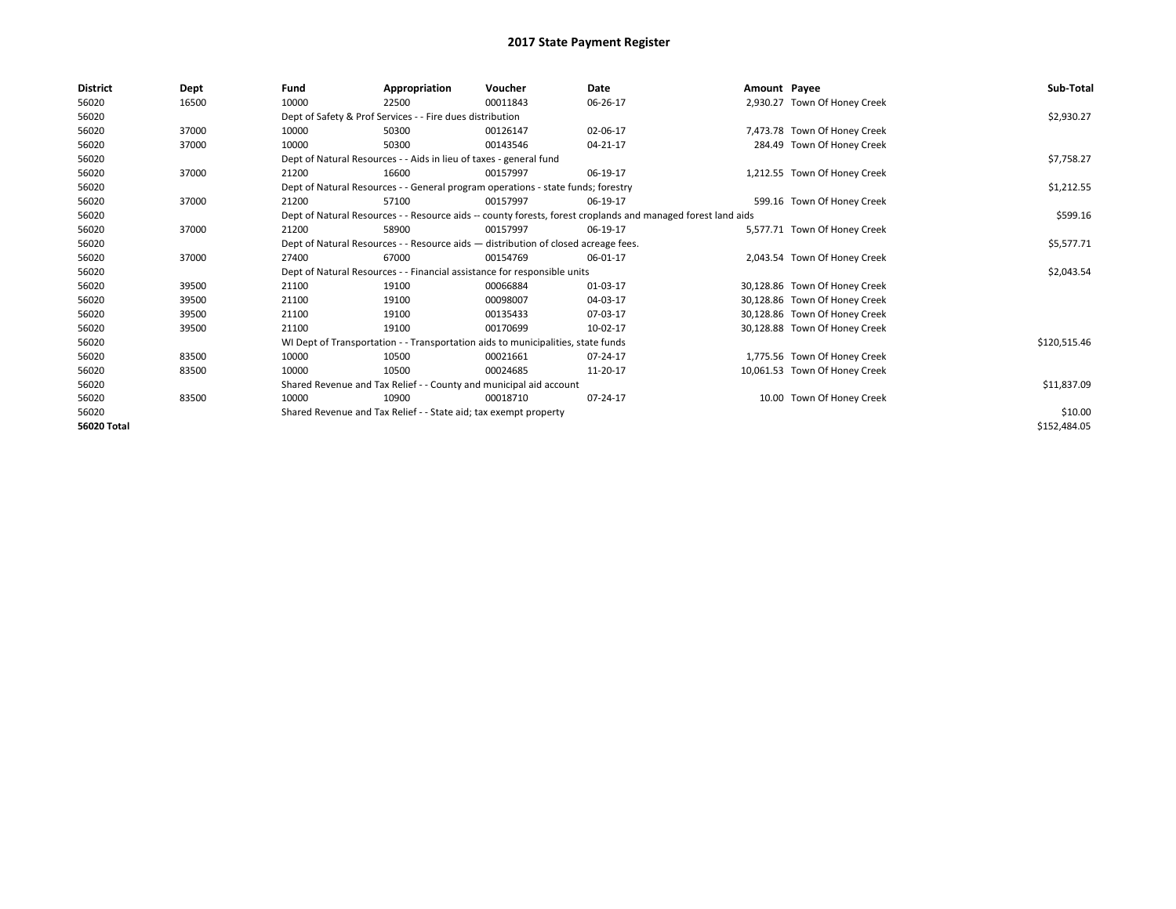| <b>District</b>    | Dept  | Fund  | Appropriation                                                      | Voucher                                                                            | Date                                                                                                         | Amount Payee |                               | Sub-Total    |
|--------------------|-------|-------|--------------------------------------------------------------------|------------------------------------------------------------------------------------|--------------------------------------------------------------------------------------------------------------|--------------|-------------------------------|--------------|
| 56020              | 16500 | 10000 | 22500                                                              | 00011843                                                                           | 06-26-17                                                                                                     |              | 2,930.27 Town Of Honey Creek  |              |
| 56020              |       |       | Dept of Safety & Prof Services - - Fire dues distribution          |                                                                                    |                                                                                                              |              |                               | \$2,930.27   |
| 56020              | 37000 | 10000 | 50300                                                              | 00126147                                                                           | 02-06-17                                                                                                     |              | 7,473.78 Town Of Honey Creek  |              |
| 56020              | 37000 | 10000 | 50300                                                              | 00143546                                                                           | 04-21-17                                                                                                     |              | 284.49 Town Of Honey Creek    |              |
| 56020              |       |       | Dept of Natural Resources - - Aids in lieu of taxes - general fund |                                                                                    |                                                                                                              |              |                               | \$7,758.27   |
| 56020              | 37000 | 21200 | 16600                                                              | 00157997                                                                           | 06-19-17                                                                                                     |              | 1,212.55 Town Of Honey Creek  |              |
| 56020              |       |       |                                                                    | Dept of Natural Resources - - General program operations - state funds; forestry   |                                                                                                              |              |                               | \$1,212.55   |
| 56020              | 37000 | 21200 | 57100                                                              | 00157997                                                                           | 06-19-17                                                                                                     |              | 599.16 Town Of Honey Creek    |              |
| 56020              |       |       |                                                                    |                                                                                    | Dept of Natural Resources - - Resource aids -- county forests, forest croplands and managed forest land aids |              |                               | \$599.16     |
| 56020              | 37000 | 21200 | 58900                                                              | 00157997                                                                           | 06-19-17                                                                                                     |              | 5,577.71 Town Of Honey Creek  |              |
| 56020              |       |       |                                                                    | Dept of Natural Resources - - Resource aids - distribution of closed acreage fees. |                                                                                                              |              |                               | \$5,577.71   |
| 56020              | 37000 | 27400 | 67000                                                              | 00154769                                                                           | 06-01-17                                                                                                     |              | 2,043.54 Town Of Honey Creek  |              |
| 56020              |       |       |                                                                    | Dept of Natural Resources - - Financial assistance for responsible units           |                                                                                                              |              |                               | \$2,043.54   |
| 56020              | 39500 | 21100 | 19100                                                              | 00066884                                                                           | 01-03-17                                                                                                     |              | 30,128.86 Town Of Honey Creek |              |
| 56020              | 39500 | 21100 | 19100                                                              | 00098007                                                                           | 04-03-17                                                                                                     |              | 30,128.86 Town Of Honey Creek |              |
| 56020              | 39500 | 21100 | 19100                                                              | 00135433                                                                           | 07-03-17                                                                                                     |              | 30,128.86 Town Of Honey Creek |              |
| 56020              | 39500 | 21100 | 19100                                                              | 00170699                                                                           | 10-02-17                                                                                                     |              | 30,128.88 Town Of Honey Creek |              |
| 56020              |       |       |                                                                    | WI Dept of Transportation - - Transportation aids to municipalities, state funds   |                                                                                                              |              |                               | \$120,515.46 |
| 56020              | 83500 | 10000 | 10500                                                              | 00021661                                                                           | 07-24-17                                                                                                     |              | 1,775.56 Town Of Honey Creek  |              |
| 56020              | 83500 | 10000 | 10500                                                              | 00024685                                                                           | 11-20-17                                                                                                     |              | 10,061.53 Town Of Honey Creek |              |
| 56020              |       |       |                                                                    | Shared Revenue and Tax Relief - - County and municipal aid account                 |                                                                                                              |              |                               | \$11,837.09  |
| 56020              | 83500 | 10000 | 10900                                                              | 00018710                                                                           | 07-24-17                                                                                                     |              | 10.00 Town Of Honey Creek     |              |
| 56020              |       |       | Shared Revenue and Tax Relief - - State aid; tax exempt property   |                                                                                    |                                                                                                              |              |                               | \$10.00      |
| <b>56020 Total</b> |       |       |                                                                    |                                                                                    |                                                                                                              |              |                               | \$152,484.05 |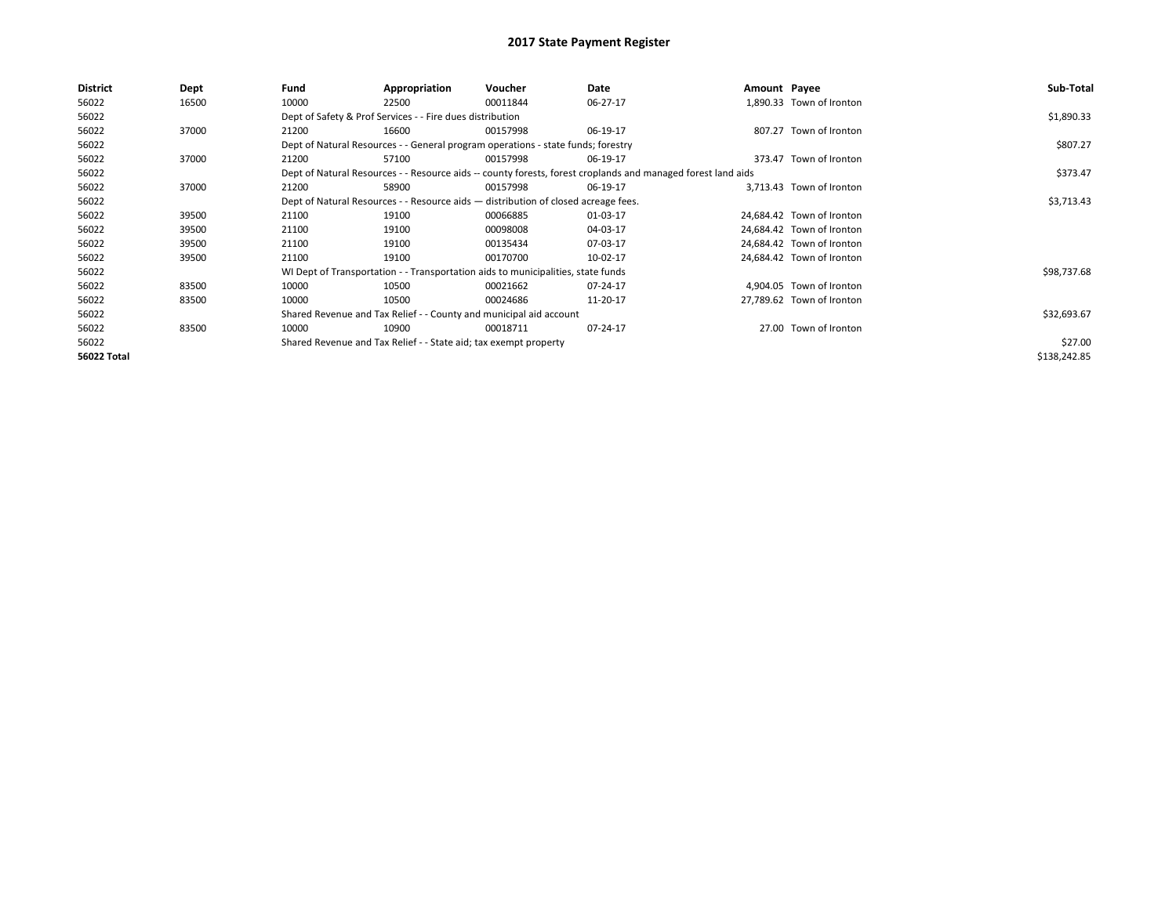| <b>District</b> | Dept  | Fund  | Appropriation                                                                      | Voucher  | Date                                                                                                         | Amount Payee |                           | Sub-Total    |
|-----------------|-------|-------|------------------------------------------------------------------------------------|----------|--------------------------------------------------------------------------------------------------------------|--------------|---------------------------|--------------|
| 56022           | 16500 | 10000 | 22500                                                                              | 00011844 | 06-27-17                                                                                                     |              | 1,890.33 Town of Ironton  |              |
| 56022           |       |       | Dept of Safety & Prof Services - - Fire dues distribution                          |          |                                                                                                              |              |                           | \$1,890.33   |
| 56022           | 37000 | 21200 | 16600                                                                              | 00157998 | 06-19-17                                                                                                     |              | 807.27 Town of Ironton    |              |
| 56022           |       |       | Dept of Natural Resources - - General program operations - state funds; forestry   |          |                                                                                                              |              |                           | \$807.27     |
| 56022           | 37000 | 21200 | 57100                                                                              | 00157998 | 06-19-17                                                                                                     |              | 373.47 Town of Ironton    |              |
| 56022           |       |       |                                                                                    |          | Dept of Natural Resources - - Resource aids -- county forests, forest croplands and managed forest land aids |              |                           | \$373.47     |
| 56022           | 37000 | 21200 | 58900                                                                              | 00157998 | 06-19-17                                                                                                     |              | 3.713.43 Town of Ironton  |              |
| 56022           |       |       | Dept of Natural Resources - - Resource aids - distribution of closed acreage fees. |          |                                                                                                              |              |                           | \$3,713.43   |
| 56022           | 39500 | 21100 | 19100                                                                              | 00066885 | 01-03-17                                                                                                     |              | 24,684.42 Town of Ironton |              |
| 56022           | 39500 | 21100 | 19100                                                                              | 00098008 | 04-03-17                                                                                                     |              | 24,684.42 Town of Ironton |              |
| 56022           | 39500 | 21100 | 19100                                                                              | 00135434 | 07-03-17                                                                                                     |              | 24,684.42 Town of Ironton |              |
| 56022           | 39500 | 21100 | 19100                                                                              | 00170700 | 10-02-17                                                                                                     |              | 24,684.42 Town of Ironton |              |
| 56022           |       |       | WI Dept of Transportation - - Transportation aids to municipalities, state funds   |          |                                                                                                              |              |                           | \$98,737.68  |
| 56022           | 83500 | 10000 | 10500                                                                              | 00021662 | 07-24-17                                                                                                     |              | 4,904.05 Town of Ironton  |              |
| 56022           | 83500 | 10000 | 10500                                                                              | 00024686 | 11-20-17                                                                                                     |              | 27,789.62 Town of Ironton |              |
| 56022           |       |       | Shared Revenue and Tax Relief - - County and municipal aid account                 |          |                                                                                                              |              |                           | \$32,693.67  |
| 56022           | 83500 | 10000 | 10900                                                                              | 00018711 | 07-24-17                                                                                                     |              | 27.00 Town of Ironton     |              |
| 56022           |       |       | Shared Revenue and Tax Relief - - State aid; tax exempt property                   |          |                                                                                                              |              |                           | \$27.00      |
| 56022 Total     |       |       |                                                                                    |          |                                                                                                              |              |                           | \$138,242.85 |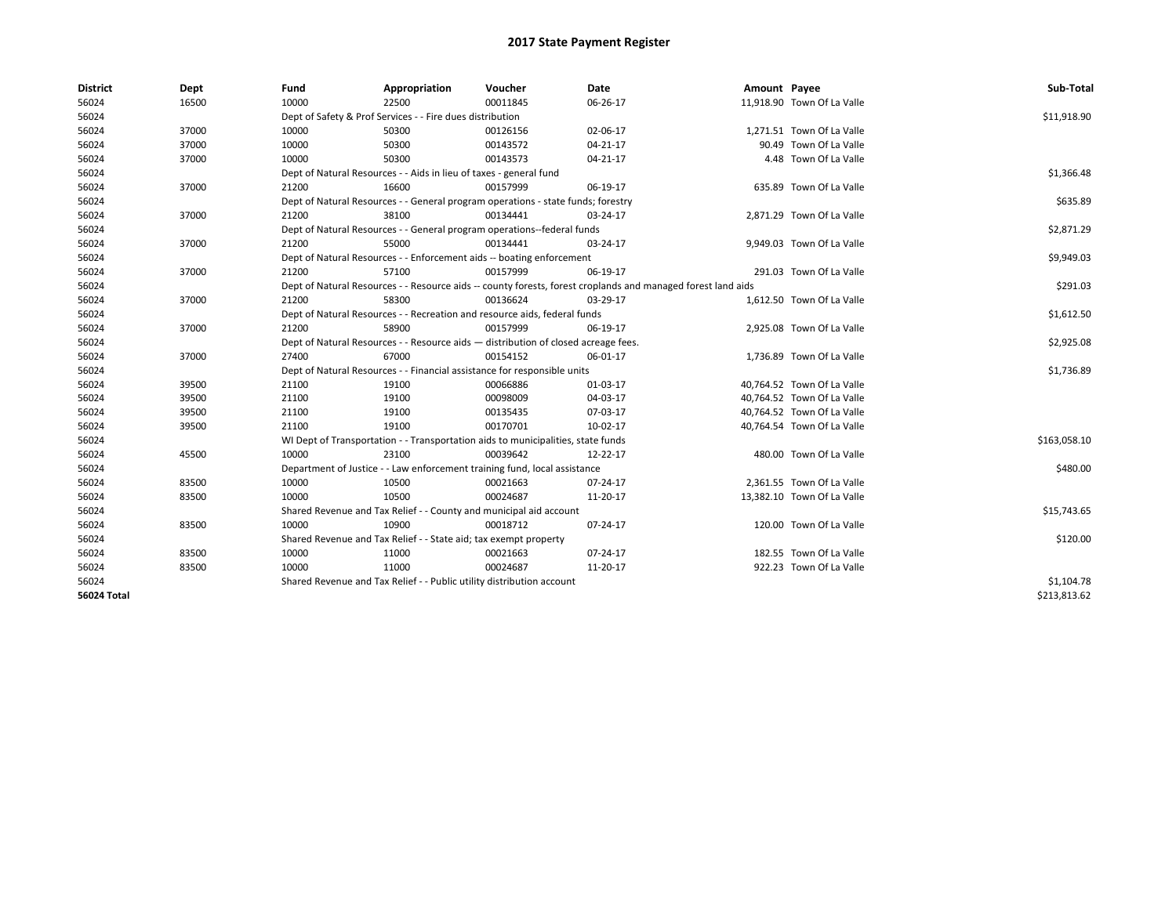| <b>District</b>    | Dept  | Fund  | Appropriation                                                                      | Voucher  | Date                                                                                                         | Amount Payee |                            | Sub-Total    |
|--------------------|-------|-------|------------------------------------------------------------------------------------|----------|--------------------------------------------------------------------------------------------------------------|--------------|----------------------------|--------------|
| 56024              | 16500 | 10000 | 22500                                                                              | 00011845 | 06-26-17                                                                                                     |              | 11,918.90 Town Of La Valle |              |
| 56024              |       |       | Dept of Safety & Prof Services - - Fire dues distribution                          |          |                                                                                                              |              |                            | \$11,918.90  |
| 56024              | 37000 | 10000 | 50300                                                                              | 00126156 | 02-06-17                                                                                                     |              | 1,271.51 Town Of La Valle  |              |
| 56024              | 37000 | 10000 | 50300                                                                              | 00143572 | 04-21-17                                                                                                     |              | 90.49 Town Of La Valle     |              |
| 56024              | 37000 | 10000 | 50300                                                                              | 00143573 | 04-21-17                                                                                                     |              | 4.48 Town Of La Valle      |              |
| 56024              |       |       | Dept of Natural Resources - - Aids in lieu of taxes - general fund                 |          |                                                                                                              |              |                            | \$1,366.48   |
| 56024              | 37000 | 21200 | 16600                                                                              | 00157999 | 06-19-17                                                                                                     |              | 635.89 Town Of La Valle    |              |
| 56024              |       |       | Dept of Natural Resources - - General program operations - state funds; forestry   |          |                                                                                                              |              |                            | \$635.89     |
| 56024              | 37000 | 21200 | 38100                                                                              | 00134441 | 03-24-17                                                                                                     |              | 2,871.29 Town Of La Valle  |              |
| 56024              |       |       | Dept of Natural Resources - - General program operations--federal funds            |          |                                                                                                              |              |                            | \$2,871.29   |
| 56024              | 37000 | 21200 | 55000                                                                              | 00134441 | 03-24-17                                                                                                     |              | 9,949.03 Town Of La Valle  |              |
| 56024              |       |       | Dept of Natural Resources - - Enforcement aids -- boating enforcement              |          |                                                                                                              |              |                            | \$9,949.03   |
| 56024              | 37000 | 21200 | 57100                                                                              | 00157999 | 06-19-17                                                                                                     |              | 291.03 Town Of La Valle    |              |
| 56024              |       |       |                                                                                    |          | Dept of Natural Resources - - Resource aids -- county forests, forest croplands and managed forest land aids |              |                            | \$291.03     |
| 56024              | 37000 | 21200 | 58300                                                                              | 00136624 | 03-29-17                                                                                                     |              | 1,612.50 Town Of La Valle  |              |
| 56024              |       |       | Dept of Natural Resources - - Recreation and resource aids, federal funds          |          |                                                                                                              |              |                            | \$1,612.50   |
| 56024              | 37000 | 21200 | 58900                                                                              | 00157999 | 06-19-17                                                                                                     |              | 2,925.08 Town Of La Valle  |              |
| 56024              |       |       | Dept of Natural Resources - - Resource aids - distribution of closed acreage fees. |          |                                                                                                              |              |                            | \$2,925.08   |
| 56024              | 37000 | 27400 | 67000                                                                              | 00154152 | 06-01-17                                                                                                     |              | 1,736.89 Town Of La Valle  |              |
| 56024              |       |       | Dept of Natural Resources - - Financial assistance for responsible units           |          |                                                                                                              |              |                            | \$1,736.89   |
| 56024              | 39500 | 21100 | 19100                                                                              | 00066886 | 01-03-17                                                                                                     |              | 40,764.52 Town Of La Valle |              |
| 56024              | 39500 | 21100 | 19100                                                                              | 00098009 | 04-03-17                                                                                                     |              | 40,764.52 Town Of La Valle |              |
| 56024              | 39500 | 21100 | 19100                                                                              | 00135435 | 07-03-17                                                                                                     |              | 40,764.52 Town Of La Valle |              |
| 56024              | 39500 | 21100 | 19100                                                                              | 00170701 | 10-02-17                                                                                                     |              | 40,764.54 Town Of La Valle |              |
| 56024              |       |       | WI Dept of Transportation - - Transportation aids to municipalities, state funds   |          |                                                                                                              |              |                            | \$163,058.10 |
| 56024              | 45500 | 10000 | 23100                                                                              | 00039642 | 12-22-17                                                                                                     |              | 480.00 Town Of La Valle    |              |
| 56024              |       |       | Department of Justice - - Law enforcement training fund, local assistance          |          |                                                                                                              |              |                            | \$480.00     |
| 56024              | 83500 | 10000 | 10500                                                                              | 00021663 | 07-24-17                                                                                                     |              | 2,361.55 Town Of La Valle  |              |
| 56024              | 83500 | 10000 | 10500                                                                              | 00024687 | 11-20-17                                                                                                     |              | 13,382.10 Town Of La Valle |              |
| 56024              |       |       | Shared Revenue and Tax Relief - - County and municipal aid account                 |          |                                                                                                              |              |                            | \$15,743.65  |
| 56024              | 83500 | 10000 | 10900                                                                              | 00018712 | 07-24-17                                                                                                     |              | 120.00 Town Of La Valle    |              |
| 56024              |       |       | Shared Revenue and Tax Relief - - State aid; tax exempt property                   |          |                                                                                                              |              |                            | \$120.00     |
| 56024              | 83500 | 10000 | 11000                                                                              | 00021663 | 07-24-17                                                                                                     |              | 182.55 Town Of La Valle    |              |
| 56024              | 83500 | 10000 | 11000                                                                              | 00024687 | 11-20-17                                                                                                     |              | 922.23 Town Of La Valle    |              |
| 56024              |       |       | Shared Revenue and Tax Relief - - Public utility distribution account              |          |                                                                                                              |              |                            | \$1,104.78   |
| <b>56024 Total</b> |       |       |                                                                                    |          |                                                                                                              |              |                            | \$213,813.62 |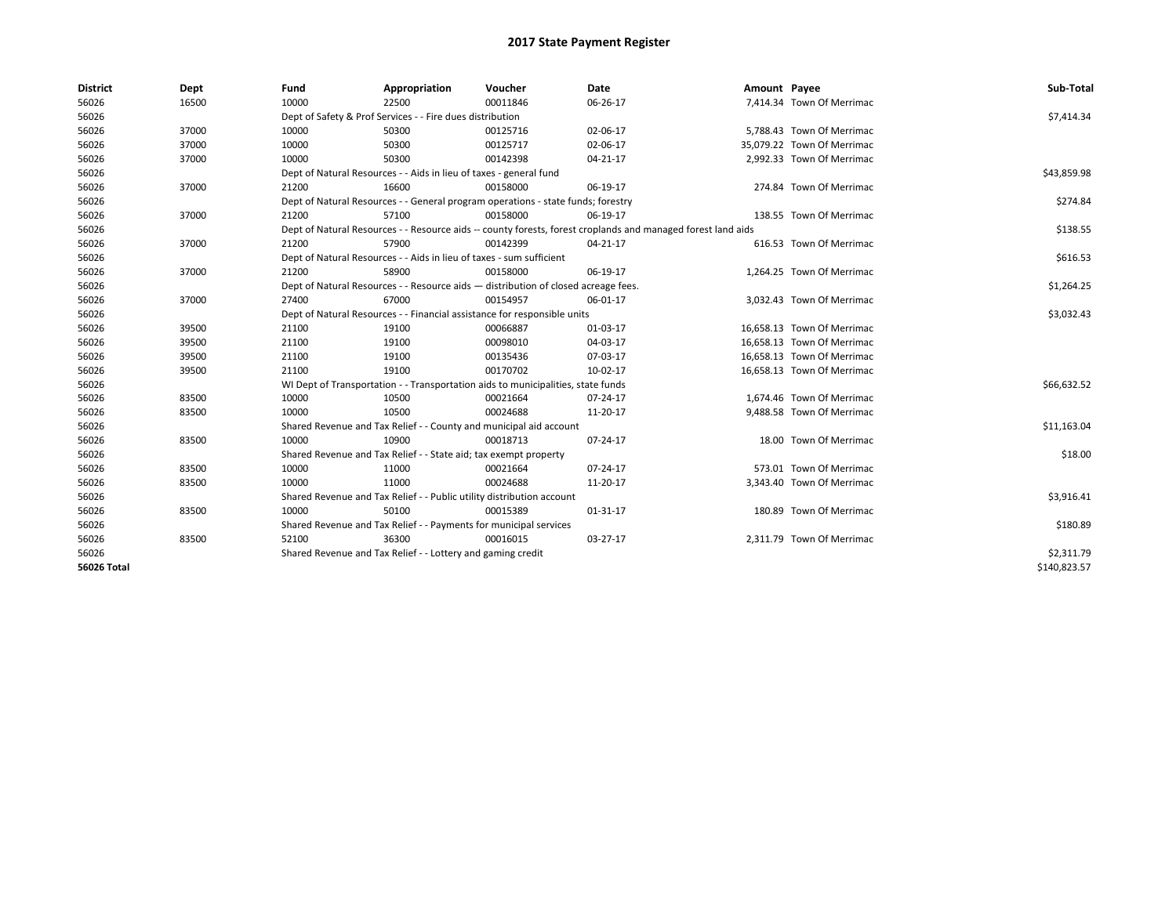| <b>District</b>    | Dept  | Fund  | Appropriation                                                                      | Voucher  | Date                                                                                                         | Amount Payee |                            | Sub-Total    |  |
|--------------------|-------|-------|------------------------------------------------------------------------------------|----------|--------------------------------------------------------------------------------------------------------------|--------------|----------------------------|--------------|--|
| 56026              | 16500 | 10000 | 22500                                                                              | 00011846 | 06-26-17                                                                                                     |              | 7,414.34 Town Of Merrimac  |              |  |
| 56026              |       |       | Dept of Safety & Prof Services - - Fire dues distribution                          |          |                                                                                                              |              |                            | \$7,414.34   |  |
| 56026              | 37000 | 10000 | 50300                                                                              | 00125716 | 02-06-17                                                                                                     |              | 5,788.43 Town Of Merrimac  |              |  |
| 56026              | 37000 | 10000 | 50300                                                                              | 00125717 | 02-06-17                                                                                                     |              | 35.079.22 Town Of Merrimac |              |  |
| 56026              | 37000 | 10000 | 50300                                                                              | 00142398 | 04-21-17                                                                                                     |              | 2,992.33 Town Of Merrimac  |              |  |
| 56026              |       |       | Dept of Natural Resources - - Aids in lieu of taxes - general fund                 |          |                                                                                                              |              |                            | \$43,859.98  |  |
| 56026              | 37000 | 21200 | 16600                                                                              | 00158000 | 06-19-17                                                                                                     |              | 274.84 Town Of Merrimac    |              |  |
| 56026              |       |       | Dept of Natural Resources - - General program operations - state funds; forestry   |          |                                                                                                              |              |                            | \$274.84     |  |
| 56026              | 37000 | 21200 | 57100                                                                              | 00158000 | 06-19-17                                                                                                     |              | 138.55 Town Of Merrimac    |              |  |
| 56026              |       |       |                                                                                    |          | Dept of Natural Resources - - Resource aids -- county forests, forest croplands and managed forest land aids |              |                            | \$138.55     |  |
| 56026              | 37000 | 21200 | 57900                                                                              | 00142399 | 04-21-17                                                                                                     |              | 616.53 Town Of Merrimac    |              |  |
| 56026              |       |       | Dept of Natural Resources - - Aids in lieu of taxes - sum sufficient               |          |                                                                                                              |              |                            | \$616.53     |  |
| 56026              | 37000 | 21200 | 58900                                                                              | 00158000 | 06-19-17                                                                                                     |              | 1,264.25 Town Of Merrimac  |              |  |
| 56026              |       |       | Dept of Natural Resources - - Resource aids - distribution of closed acreage fees. |          |                                                                                                              |              |                            |              |  |
| 56026              | 37000 | 27400 | 67000                                                                              | 00154957 | 06-01-17                                                                                                     |              | 3,032.43 Town Of Merrimac  |              |  |
| 56026              |       |       | Dept of Natural Resources - - Financial assistance for responsible units           |          | \$3,032.43                                                                                                   |              |                            |              |  |
| 56026              | 39500 | 21100 | 19100                                                                              | 00066887 | 01-03-17                                                                                                     |              | 16,658.13 Town Of Merrimac |              |  |
| 56026              | 39500 | 21100 | 19100                                                                              | 00098010 | 04-03-17                                                                                                     |              | 16,658.13 Town Of Merrimac |              |  |
| 56026              | 39500 | 21100 | 19100                                                                              | 00135436 | 07-03-17                                                                                                     |              | 16,658.13 Town Of Merrimac |              |  |
| 56026              | 39500 | 21100 | 19100                                                                              | 00170702 | 10-02-17                                                                                                     |              | 16,658.13 Town Of Merrimac |              |  |
| 56026              |       |       | WI Dept of Transportation - - Transportation aids to municipalities, state funds   |          |                                                                                                              |              |                            | \$66,632.52  |  |
| 56026              | 83500 | 10000 | 10500                                                                              | 00021664 | 07-24-17                                                                                                     |              | 1,674.46 Town Of Merrimac  |              |  |
| 56026              | 83500 | 10000 | 10500                                                                              | 00024688 | 11-20-17                                                                                                     |              | 9,488.58 Town Of Merrimac  |              |  |
| 56026              |       |       | Shared Revenue and Tax Relief - - County and municipal aid account                 |          |                                                                                                              |              |                            | \$11,163.04  |  |
| 56026              | 83500 | 10000 | 10900                                                                              | 00018713 | 07-24-17                                                                                                     |              | 18.00 Town Of Merrimac     |              |  |
| 56026              |       |       | Shared Revenue and Tax Relief - - State aid; tax exempt property                   |          |                                                                                                              |              |                            | \$18.00      |  |
| 56026              | 83500 | 10000 | 11000                                                                              | 00021664 | 07-24-17                                                                                                     |              | 573.01 Town Of Merrimac    |              |  |
| 56026              | 83500 | 10000 | 11000                                                                              | 00024688 | 11-20-17                                                                                                     |              | 3,343.40 Town Of Merrimac  |              |  |
| 56026              |       |       | Shared Revenue and Tax Relief - - Public utility distribution account              |          |                                                                                                              |              |                            | \$3,916.41   |  |
| 56026              | 83500 | 10000 | 50100                                                                              | 00015389 | 01-31-17                                                                                                     |              | 180.89 Town Of Merrimac    |              |  |
| 56026              |       |       | Shared Revenue and Tax Relief - - Payments for municipal services                  |          |                                                                                                              |              |                            | \$180.89     |  |
| 56026              | 83500 | 52100 | 36300                                                                              | 00016015 | 03-27-17                                                                                                     |              | 2,311.79 Town Of Merrimac  |              |  |
| 56026              |       |       | Shared Revenue and Tax Relief - - Lottery and gaming credit                        |          |                                                                                                              |              |                            | \$2,311.79   |  |
| <b>56026 Total</b> |       |       |                                                                                    |          |                                                                                                              |              |                            | \$140,823.57 |  |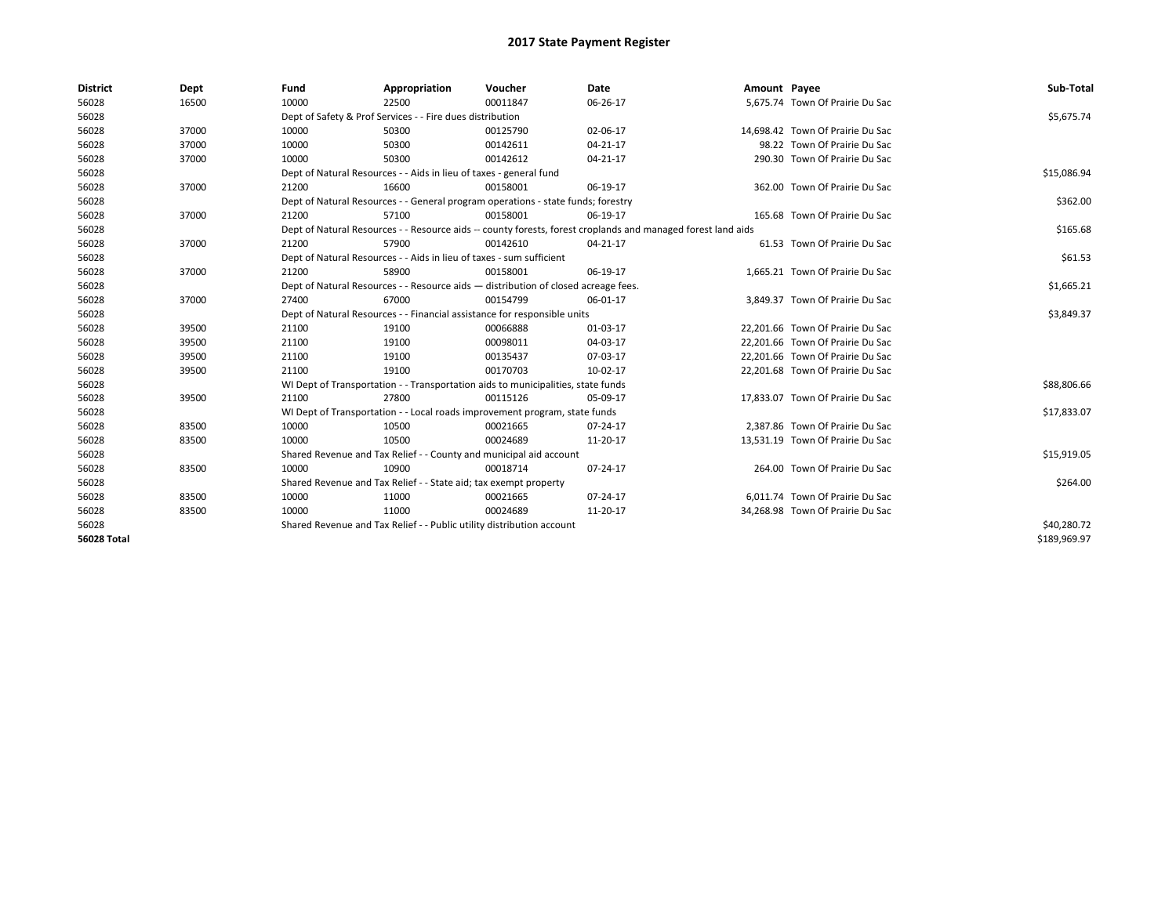| <b>District</b>    | Dept  | Fund                                                                               | Appropriation                                                         | Voucher                                                                          | Date                                                                                                         | Amount Payee |                                  | Sub-Total    |
|--------------------|-------|------------------------------------------------------------------------------------|-----------------------------------------------------------------------|----------------------------------------------------------------------------------|--------------------------------------------------------------------------------------------------------------|--------------|----------------------------------|--------------|
| 56028              | 16500 | 10000                                                                              | 22500                                                                 | 00011847                                                                         | 06-26-17                                                                                                     |              | 5,675.74 Town Of Prairie Du Sac  |              |
| 56028              |       |                                                                                    | Dept of Safety & Prof Services - - Fire dues distribution             |                                                                                  |                                                                                                              |              |                                  | \$5,675.74   |
| 56028              | 37000 | 10000                                                                              | 50300                                                                 | 00125790                                                                         | 02-06-17                                                                                                     |              | 14,698.42 Town Of Prairie Du Sac |              |
| 56028              | 37000 | 10000                                                                              | 50300                                                                 | 00142611                                                                         | 04-21-17                                                                                                     |              | 98.22 Town Of Prairie Du Sac     |              |
| 56028              | 37000 | 10000                                                                              | 50300                                                                 | 00142612                                                                         | 04-21-17                                                                                                     |              | 290.30 Town Of Prairie Du Sac    |              |
| 56028              |       |                                                                                    | Dept of Natural Resources - - Aids in lieu of taxes - general fund    |                                                                                  |                                                                                                              |              |                                  | \$15,086.94  |
| 56028              | 37000 | 21200                                                                              | 16600                                                                 | 00158001                                                                         | 06-19-17                                                                                                     |              | 362.00 Town Of Prairie Du Sac    |              |
| 56028              |       |                                                                                    |                                                                       | Dept of Natural Resources - - General program operations - state funds; forestry |                                                                                                              |              |                                  | \$362.00     |
| 56028              | 37000 | 21200                                                                              | 57100                                                                 | 00158001                                                                         | 06-19-17                                                                                                     |              | 165.68 Town Of Prairie Du Sac    |              |
| 56028              |       |                                                                                    |                                                                       |                                                                                  | Dept of Natural Resources - - Resource aids -- county forests, forest croplands and managed forest land aids |              |                                  | \$165.68     |
| 56028              | 37000 | 21200                                                                              | 57900                                                                 | 00142610                                                                         | 04-21-17                                                                                                     |              | 61.53 Town Of Prairie Du Sac     |              |
| 56028              |       |                                                                                    | Dept of Natural Resources - - Aids in lieu of taxes - sum sufficient  |                                                                                  |                                                                                                              |              |                                  | \$61.53      |
| 56028              | 37000 | 21200                                                                              | 58900                                                                 | 00158001                                                                         | 06-19-17                                                                                                     |              | 1,665.21 Town Of Prairie Du Sac  |              |
| 56028              |       | Dept of Natural Resources - - Resource aids - distribution of closed acreage fees. |                                                                       | \$1,665.21                                                                       |                                                                                                              |              |                                  |              |
| 56028              | 37000 | 27400                                                                              | 67000                                                                 | 00154799                                                                         | 06-01-17                                                                                                     |              | 3,849.37 Town Of Prairie Du Sac  |              |
| 56028              |       |                                                                                    |                                                                       | Dept of Natural Resources - - Financial assistance for responsible units         |                                                                                                              |              |                                  | \$3,849.37   |
| 56028              | 39500 | 21100                                                                              | 19100                                                                 | 00066888                                                                         | 01-03-17                                                                                                     |              | 22,201.66 Town Of Prairie Du Sac |              |
| 56028              | 39500 | 21100                                                                              | 19100                                                                 | 00098011                                                                         | 04-03-17                                                                                                     |              | 22,201.66 Town Of Prairie Du Sac |              |
| 56028              | 39500 | 21100                                                                              | 19100                                                                 | 00135437                                                                         | 07-03-17                                                                                                     |              | 22,201.66 Town Of Prairie Du Sac |              |
| 56028              | 39500 | 21100                                                                              | 19100                                                                 | 00170703                                                                         | 10-02-17                                                                                                     |              | 22,201.68 Town Of Prairie Du Sac |              |
| 56028              |       |                                                                                    |                                                                       | WI Dept of Transportation - - Transportation aids to municipalities, state funds |                                                                                                              |              |                                  | \$88,806.66  |
| 56028              | 39500 | 21100                                                                              | 27800                                                                 | 00115126                                                                         | 05-09-17                                                                                                     |              | 17,833.07 Town Of Prairie Du Sac |              |
| 56028              |       |                                                                                    |                                                                       | WI Dept of Transportation - - Local roads improvement program, state funds       |                                                                                                              |              |                                  | \$17,833.07  |
| 56028              | 83500 | 10000                                                                              | 10500                                                                 | 00021665                                                                         | 07-24-17                                                                                                     |              | 2.387.86 Town Of Prairie Du Sac  |              |
| 56028              | 83500 | 10000                                                                              | 10500                                                                 | 00024689                                                                         | 11-20-17                                                                                                     |              | 13,531.19 Town Of Prairie Du Sac |              |
| 56028              |       |                                                                                    |                                                                       | Shared Revenue and Tax Relief - - County and municipal aid account               |                                                                                                              |              |                                  | \$15,919.05  |
| 56028              | 83500 | 10000                                                                              | 10900                                                                 | 00018714                                                                         | 07-24-17                                                                                                     |              | 264.00 Town Of Prairie Du Sac    |              |
| 56028              |       |                                                                                    | Shared Revenue and Tax Relief - - State aid; tax exempt property      |                                                                                  |                                                                                                              |              |                                  | \$264.00     |
| 56028              | 83500 | 10000                                                                              | 11000                                                                 | 00021665                                                                         | 07-24-17                                                                                                     |              | 6.011.74 Town Of Prairie Du Sac  |              |
| 56028              | 83500 | 10000                                                                              | 11000                                                                 | 00024689                                                                         | 11-20-17                                                                                                     |              | 34,268.98 Town Of Prairie Du Sac |              |
| 56028              |       |                                                                                    | Shared Revenue and Tax Relief - - Public utility distribution account |                                                                                  |                                                                                                              |              |                                  | \$40,280.72  |
| <b>56028 Total</b> |       |                                                                                    |                                                                       |                                                                                  |                                                                                                              |              |                                  | \$189,969.97 |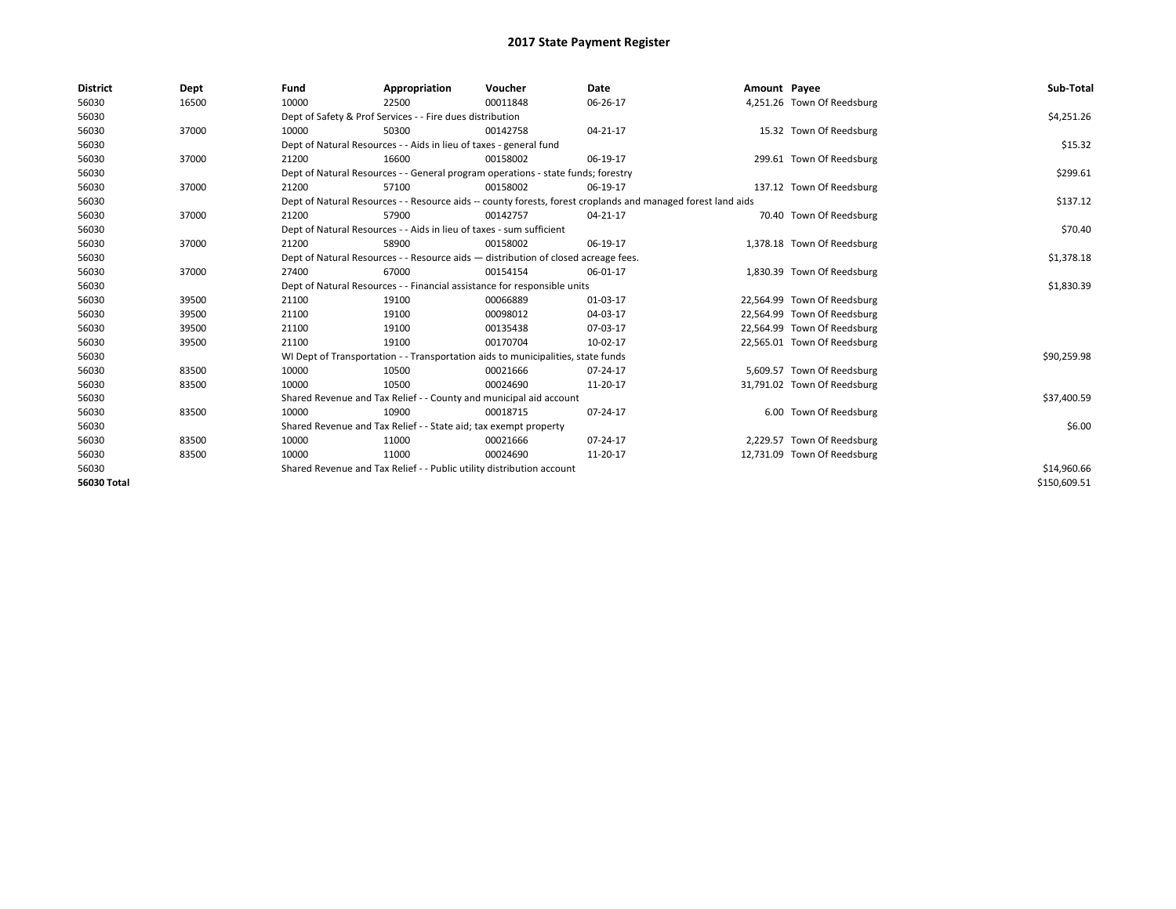| <b>District</b>    | Dept  | Fund  | Appropriation                                                                      | Voucher  | Date                                                                                                         | Amount Payee |                             | Sub-Total    |
|--------------------|-------|-------|------------------------------------------------------------------------------------|----------|--------------------------------------------------------------------------------------------------------------|--------------|-----------------------------|--------------|
| 56030              | 16500 | 10000 | 22500                                                                              | 00011848 | 06-26-17                                                                                                     |              | 4,251.26 Town Of Reedsburg  |              |
| 56030              |       |       | Dept of Safety & Prof Services - - Fire dues distribution                          |          |                                                                                                              |              |                             | \$4,251.26   |
| 56030              | 37000 | 10000 | 50300                                                                              | 00142758 | 04-21-17                                                                                                     |              | 15.32 Town Of Reedsburg     |              |
| 56030              |       |       | Dept of Natural Resources - - Aids in lieu of taxes - general fund                 |          |                                                                                                              |              |                             | \$15.32      |
| 56030              | 37000 | 21200 | 16600                                                                              | 00158002 | 06-19-17                                                                                                     |              | 299.61 Town Of Reedsburg    |              |
| 56030              |       |       | Dept of Natural Resources - - General program operations - state funds; forestry   |          |                                                                                                              |              |                             | \$299.61     |
| 56030              | 37000 | 21200 | 57100                                                                              | 00158002 | 06-19-17                                                                                                     |              | 137.12 Town Of Reedsburg    |              |
| 56030              |       |       |                                                                                    |          | Dept of Natural Resources - - Resource aids -- county forests, forest croplands and managed forest land aids |              |                             | \$137.12     |
| 56030              | 37000 | 21200 | 57900                                                                              | 00142757 | 04-21-17                                                                                                     |              | 70.40 Town Of Reedsburg     |              |
| 56030              |       |       | Dept of Natural Resources - - Aids in lieu of taxes - sum sufficient               |          |                                                                                                              |              |                             | \$70.40      |
| 56030              | 37000 | 21200 | 58900                                                                              | 00158002 | 06-19-17                                                                                                     |              | 1,378.18 Town Of Reedsburg  |              |
| 56030              |       |       | Dept of Natural Resources - - Resource aids - distribution of closed acreage fees. |          |                                                                                                              |              |                             | \$1,378.18   |
| 56030              | 37000 | 27400 | 67000                                                                              | 00154154 | 06-01-17                                                                                                     |              | 1,830.39 Town Of Reedsburg  |              |
| 56030              |       |       | Dept of Natural Resources - - Financial assistance for responsible units           |          |                                                                                                              |              |                             | \$1,830.39   |
| 56030              | 39500 | 21100 | 19100                                                                              | 00066889 | 01-03-17                                                                                                     |              | 22,564.99 Town Of Reedsburg |              |
| 56030              | 39500 | 21100 | 19100                                                                              | 00098012 | 04-03-17                                                                                                     |              | 22,564.99 Town Of Reedsburg |              |
| 56030              | 39500 | 21100 | 19100                                                                              | 00135438 | 07-03-17                                                                                                     |              | 22,564.99 Town Of Reedsburg |              |
| 56030              | 39500 | 21100 | 19100                                                                              | 00170704 | 10-02-17                                                                                                     |              | 22,565.01 Town Of Reedsburg |              |
| 56030              |       |       | WI Dept of Transportation - - Transportation aids to municipalities, state funds   |          |                                                                                                              |              |                             | \$90,259.98  |
| 56030              | 83500 | 10000 | 10500                                                                              | 00021666 | 07-24-17                                                                                                     |              | 5,609.57 Town Of Reedsburg  |              |
| 56030              | 83500 | 10000 | 10500                                                                              | 00024690 | 11-20-17                                                                                                     |              | 31,791.02 Town Of Reedsburg |              |
| 56030              |       |       | Shared Revenue and Tax Relief - - County and municipal aid account                 |          |                                                                                                              |              |                             | \$37,400.59  |
| 56030              | 83500 | 10000 | 10900                                                                              | 00018715 | 07-24-17                                                                                                     |              | 6.00 Town Of Reedsburg      |              |
| 56030              |       |       | Shared Revenue and Tax Relief - - State aid; tax exempt property                   |          |                                                                                                              |              |                             | \$6.00       |
| 56030              | 83500 | 10000 | 11000                                                                              | 00021666 | 07-24-17                                                                                                     |              | 2,229.57 Town Of Reedsburg  |              |
| 56030              | 83500 | 10000 | 11000                                                                              | 00024690 | 11-20-17                                                                                                     |              | 12,731.09 Town Of Reedsburg |              |
| 56030              |       |       | Shared Revenue and Tax Relief - - Public utility distribution account              |          |                                                                                                              |              |                             | \$14,960.66  |
| <b>56030 Total</b> |       |       |                                                                                    |          |                                                                                                              |              |                             | \$150,609.51 |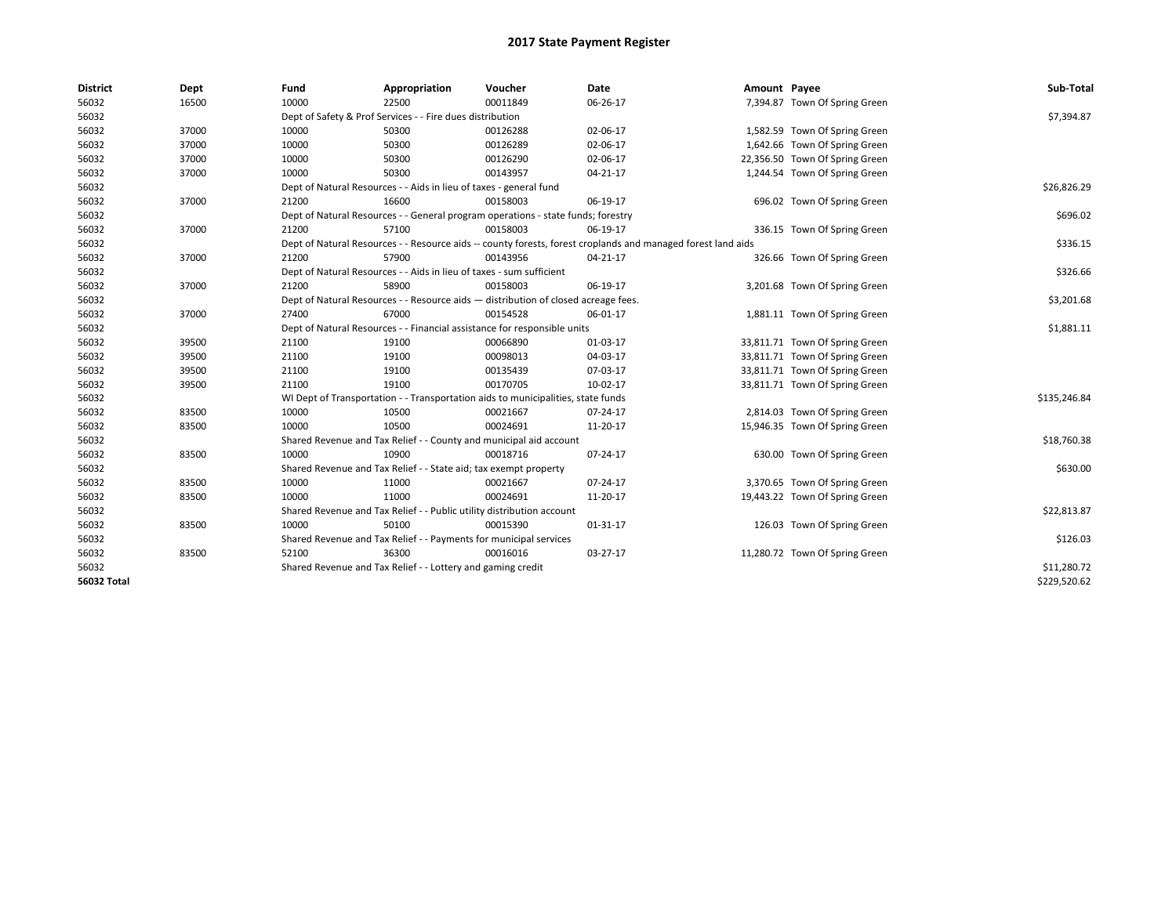| <b>District</b> | Dept  | Fund  | Appropriation                                                                      | Voucher  | Date                                                                                                         | Amount Payee |                                | Sub-Total    |  |  |
|-----------------|-------|-------|------------------------------------------------------------------------------------|----------|--------------------------------------------------------------------------------------------------------------|--------------|--------------------------------|--------------|--|--|
| 56032           | 16500 | 10000 | 22500                                                                              | 00011849 | 06-26-17                                                                                                     |              | 7,394.87 Town Of Spring Green  |              |  |  |
| 56032           |       |       | Dept of Safety & Prof Services - - Fire dues distribution                          |          |                                                                                                              |              |                                | \$7,394.87   |  |  |
| 56032           | 37000 | 10000 | 50300                                                                              | 00126288 | 02-06-17                                                                                                     |              | 1,582.59 Town Of Spring Green  |              |  |  |
| 56032           | 37000 | 10000 | 50300                                                                              | 00126289 | 02-06-17                                                                                                     |              | 1,642.66 Town Of Spring Green  |              |  |  |
| 56032           | 37000 | 10000 | 50300                                                                              | 00126290 | 02-06-17                                                                                                     |              | 22,356.50 Town Of Spring Green |              |  |  |
| 56032           | 37000 | 10000 | 50300                                                                              | 00143957 | $04 - 21 - 17$                                                                                               |              | 1,244.54 Town Of Spring Green  |              |  |  |
| 56032           |       |       | Dept of Natural Resources - - Aids in lieu of taxes - general fund                 |          |                                                                                                              |              |                                | \$26,826.29  |  |  |
| 56032           | 37000 | 21200 | 16600                                                                              | 00158003 | 06-19-17                                                                                                     |              | 696.02 Town Of Spring Green    |              |  |  |
| 56032           |       |       | Dept of Natural Resources - - General program operations - state funds; forestry   |          |                                                                                                              |              |                                | \$696.02     |  |  |
| 56032           | 37000 | 21200 | 57100                                                                              | 00158003 | 06-19-17                                                                                                     |              | 336.15 Town Of Spring Green    |              |  |  |
| 56032           |       |       |                                                                                    |          | Dept of Natural Resources - - Resource aids -- county forests, forest croplands and managed forest land aids |              |                                | \$336.15     |  |  |
| 56032           | 37000 | 21200 | 57900                                                                              | 00143956 | 04-21-17                                                                                                     |              | 326.66 Town Of Spring Green    |              |  |  |
| 56032           |       |       | Dept of Natural Resources - - Aids in lieu of taxes - sum sufficient               |          |                                                                                                              |              |                                | \$326.66     |  |  |
| 56032           | 37000 | 21200 | 58900                                                                              | 00158003 | 06-19-17                                                                                                     |              | 3,201.68 Town Of Spring Green  |              |  |  |
| 56032           |       |       | Dept of Natural Resources - - Resource aids - distribution of closed acreage fees. |          |                                                                                                              |              |                                |              |  |  |
| 56032           | 37000 | 27400 | 67000                                                                              | 00154528 | 06-01-17                                                                                                     |              | 1,881.11 Town Of Spring Green  |              |  |  |
| 56032           |       |       | Dept of Natural Resources - - Financial assistance for responsible units           |          |                                                                                                              |              |                                |              |  |  |
| 56032           | 39500 | 21100 | 19100                                                                              | 00066890 | 01-03-17                                                                                                     |              | 33,811.71 Town Of Spring Green |              |  |  |
| 56032           | 39500 | 21100 | 19100                                                                              | 00098013 | 04-03-17                                                                                                     |              | 33,811.71 Town Of Spring Green |              |  |  |
| 56032           | 39500 | 21100 | 19100                                                                              | 00135439 | 07-03-17                                                                                                     |              | 33,811.71 Town Of Spring Green |              |  |  |
| 56032           | 39500 | 21100 | 19100                                                                              | 00170705 | 10-02-17                                                                                                     |              | 33,811.71 Town Of Spring Green |              |  |  |
| 56032           |       |       | WI Dept of Transportation - - Transportation aids to municipalities, state funds   |          |                                                                                                              |              |                                | \$135,246.84 |  |  |
| 56032           | 83500 | 10000 | 10500                                                                              | 00021667 | 07-24-17                                                                                                     |              | 2,814.03 Town Of Spring Green  |              |  |  |
| 56032           | 83500 | 10000 | 10500                                                                              | 00024691 | 11-20-17                                                                                                     |              | 15,946.35 Town Of Spring Green |              |  |  |
| 56032           |       |       | Shared Revenue and Tax Relief - - County and municipal aid account                 |          |                                                                                                              |              |                                | \$18,760.38  |  |  |
| 56032           | 83500 | 10000 | 10900                                                                              | 00018716 | 07-24-17                                                                                                     |              | 630.00 Town Of Spring Green    |              |  |  |
| 56032           |       |       | Shared Revenue and Tax Relief - - State aid; tax exempt property                   |          |                                                                                                              |              |                                | \$630.00     |  |  |
| 56032           | 83500 | 10000 | 11000                                                                              | 00021667 | 07-24-17                                                                                                     |              | 3,370.65 Town Of Spring Green  |              |  |  |
| 56032           | 83500 | 10000 | 11000                                                                              | 00024691 | 11-20-17                                                                                                     |              | 19,443.22 Town Of Spring Green |              |  |  |
| 56032           |       |       | Shared Revenue and Tax Relief - - Public utility distribution account              |          |                                                                                                              |              |                                | \$22,813.87  |  |  |
| 56032           | 83500 | 10000 | 50100                                                                              | 00015390 | 01-31-17                                                                                                     |              | 126.03 Town Of Spring Green    |              |  |  |
| 56032           |       |       | Shared Revenue and Tax Relief - - Payments for municipal services                  |          |                                                                                                              |              |                                | \$126.03     |  |  |
| 56032           | 83500 | 52100 | 36300                                                                              | 00016016 | 03-27-17                                                                                                     |              | 11,280.72 Town Of Spring Green |              |  |  |
| 56032           |       |       | Shared Revenue and Tax Relief - - Lottery and gaming credit                        |          |                                                                                                              |              |                                | \$11,280.72  |  |  |
| 56032 Total     |       |       |                                                                                    |          |                                                                                                              |              |                                | \$229,520.62 |  |  |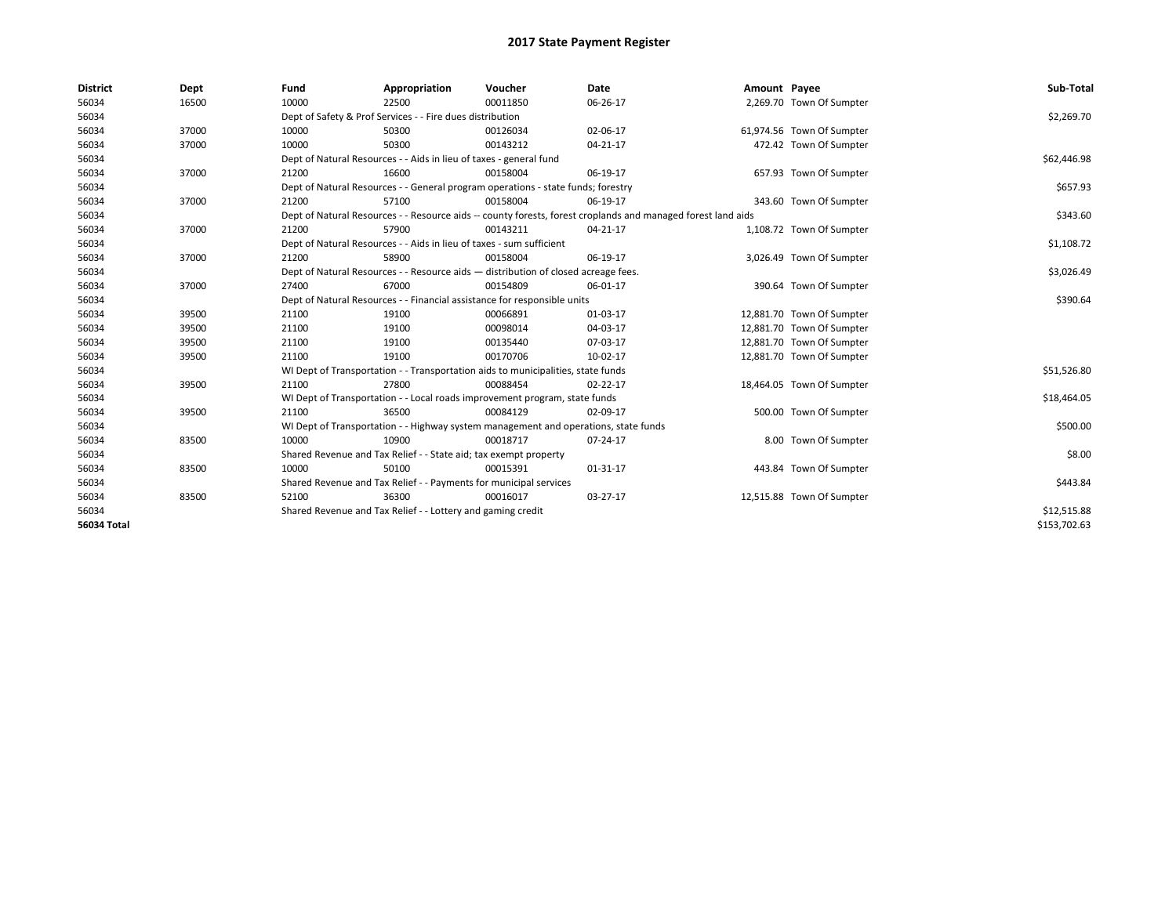| <b>District</b>    | Dept  | Fund  | Appropriation                                                                       | Voucher  | Date                                                                                                         | Amount Payee |                           | Sub-Total    |  |  |
|--------------------|-------|-------|-------------------------------------------------------------------------------------|----------|--------------------------------------------------------------------------------------------------------------|--------------|---------------------------|--------------|--|--|
| 56034              | 16500 | 10000 | 22500                                                                               | 00011850 | 06-26-17                                                                                                     |              | 2,269.70 Town Of Sumpter  |              |  |  |
| 56034              |       |       | Dept of Safety & Prof Services - - Fire dues distribution                           |          |                                                                                                              |              |                           | \$2,269.70   |  |  |
| 56034              | 37000 | 10000 | 50300                                                                               | 00126034 | 02-06-17                                                                                                     |              | 61,974.56 Town Of Sumpter |              |  |  |
| 56034              | 37000 | 10000 | 50300                                                                               | 00143212 | 04-21-17                                                                                                     |              | 472.42 Town Of Sumpter    |              |  |  |
| 56034              |       |       | Dept of Natural Resources - - Aids in lieu of taxes - general fund                  |          |                                                                                                              |              |                           |              |  |  |
| 56034              | 37000 | 21200 | 16600                                                                               | 00158004 | 06-19-17                                                                                                     |              | 657.93 Town Of Sumpter    |              |  |  |
| 56034              |       |       | Dept of Natural Resources - - General program operations - state funds; forestry    |          |                                                                                                              |              |                           | \$657.93     |  |  |
| 56034              | 37000 | 21200 | 57100                                                                               | 00158004 | 06-19-17                                                                                                     |              | 343.60 Town Of Sumpter    |              |  |  |
| 56034              |       |       |                                                                                     |          | Dept of Natural Resources - - Resource aids -- county forests, forest croplands and managed forest land aids |              |                           | \$343.60     |  |  |
| 56034              | 37000 | 21200 | 57900                                                                               | 00143211 | 04-21-17                                                                                                     |              | 1,108.72 Town Of Sumpter  |              |  |  |
| 56034              |       |       | Dept of Natural Resources - - Aids in lieu of taxes - sum sufficient                |          |                                                                                                              |              |                           | \$1,108.72   |  |  |
| 56034              | 37000 | 21200 | 58900                                                                               | 00158004 | 06-19-17                                                                                                     |              | 3,026.49 Town Of Sumpter  |              |  |  |
| 56034              |       |       | Dept of Natural Resources - - Resource aids - distribution of closed acreage fees.  |          |                                                                                                              |              |                           | \$3,026.49   |  |  |
| 56034              | 37000 | 27400 | 67000                                                                               | 00154809 | 06-01-17                                                                                                     |              | 390.64 Town Of Sumpter    |              |  |  |
| 56034              |       |       | Dept of Natural Resources - - Financial assistance for responsible units            |          |                                                                                                              |              |                           |              |  |  |
| 56034              | 39500 | 21100 | 19100                                                                               | 00066891 | 01-03-17                                                                                                     |              | 12,881.70 Town Of Sumpter |              |  |  |
| 56034              | 39500 | 21100 | 19100                                                                               | 00098014 | 04-03-17                                                                                                     |              | 12,881.70 Town Of Sumpter |              |  |  |
| 56034              | 39500 | 21100 | 19100                                                                               | 00135440 | 07-03-17                                                                                                     |              | 12,881.70 Town Of Sumpter |              |  |  |
| 56034              | 39500 | 21100 | 19100                                                                               | 00170706 | 10-02-17                                                                                                     |              | 12,881.70 Town Of Sumpter |              |  |  |
| 56034              |       |       | WI Dept of Transportation - - Transportation aids to municipalities, state funds    |          |                                                                                                              |              |                           | \$51,526.80  |  |  |
| 56034              | 39500 | 21100 | 27800                                                                               | 00088454 | 02-22-17                                                                                                     |              | 18,464.05 Town Of Sumpter |              |  |  |
| 56034              |       |       | WI Dept of Transportation - - Local roads improvement program, state funds          |          |                                                                                                              |              |                           | \$18,464.05  |  |  |
| 56034              | 39500 | 21100 | 36500                                                                               | 00084129 | 02-09-17                                                                                                     |              | 500.00 Town Of Sumpter    |              |  |  |
| 56034              |       |       | WI Dept of Transportation - - Highway system management and operations, state funds |          |                                                                                                              |              |                           | \$500.00     |  |  |
| 56034              | 83500 | 10000 | 10900                                                                               | 00018717 | 07-24-17                                                                                                     |              | 8.00 Town Of Sumpter      |              |  |  |
| 56034              |       |       | Shared Revenue and Tax Relief - - State aid; tax exempt property                    |          |                                                                                                              |              |                           | \$8.00       |  |  |
| 56034              | 83500 | 10000 | 50100                                                                               | 00015391 | 01-31-17                                                                                                     |              | 443.84 Town Of Sumpter    |              |  |  |
| 56034              |       |       | Shared Revenue and Tax Relief - - Payments for municipal services                   |          |                                                                                                              |              |                           | \$443.84     |  |  |
| 56034              | 83500 | 52100 | 36300                                                                               | 00016017 | 03-27-17                                                                                                     |              | 12,515.88 Town Of Sumpter |              |  |  |
| 56034              |       |       | Shared Revenue and Tax Relief - - Lottery and gaming credit                         |          |                                                                                                              |              |                           | \$12,515.88  |  |  |
| <b>56034 Total</b> |       |       |                                                                                     |          |                                                                                                              |              |                           | \$153,702.63 |  |  |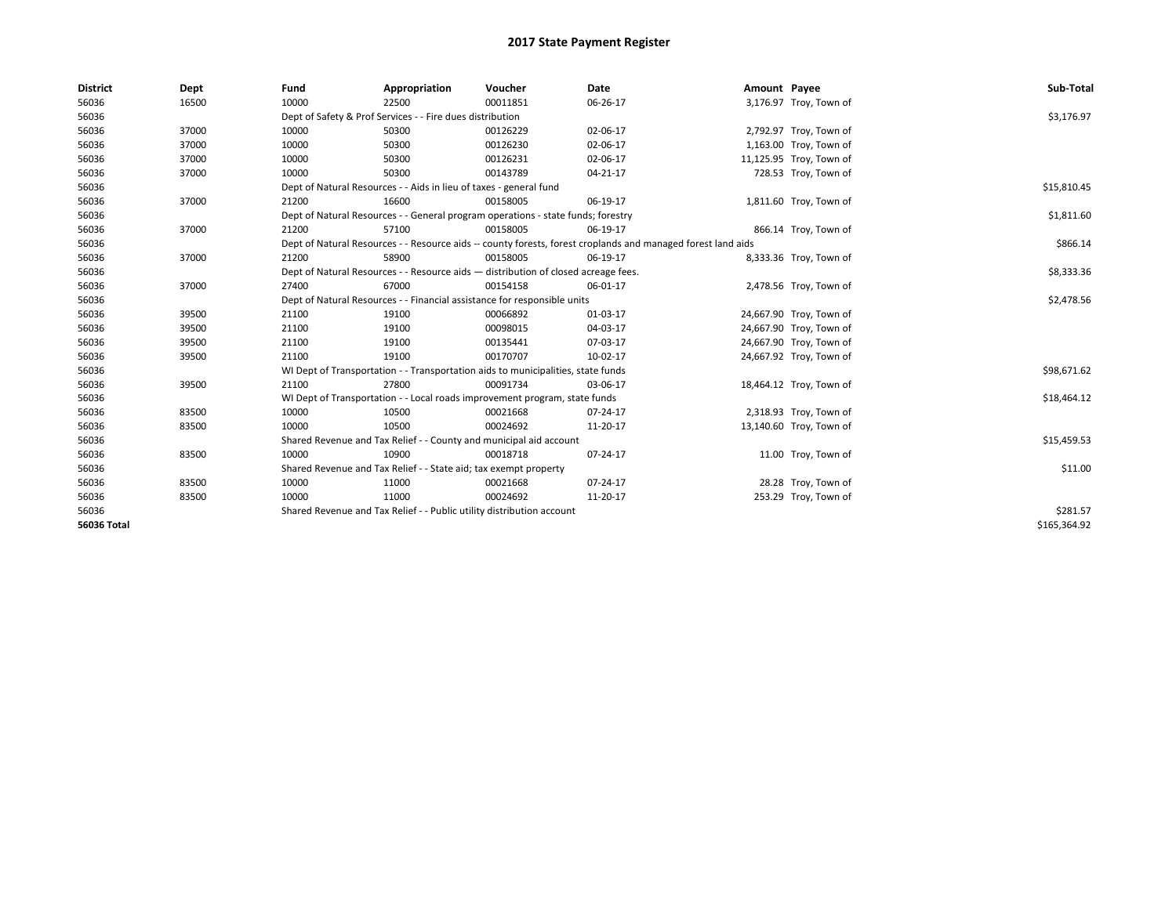| <b>District</b>    | Dept  | Fund                                                                     | Appropriation                                                                      | Voucher    | Date                                                                                                         | Amount Payee |                         | Sub-Total    |
|--------------------|-------|--------------------------------------------------------------------------|------------------------------------------------------------------------------------|------------|--------------------------------------------------------------------------------------------------------------|--------------|-------------------------|--------------|
| 56036              | 16500 | 10000                                                                    | 22500                                                                              | 00011851   | 06-26-17                                                                                                     |              | 3,176.97 Troy, Town of  |              |
| 56036              |       |                                                                          | Dept of Safety & Prof Services - - Fire dues distribution                          |            |                                                                                                              |              |                         | \$3,176.97   |
| 56036              | 37000 | 10000                                                                    | 50300                                                                              | 00126229   | 02-06-17                                                                                                     |              | 2,792.97 Troy, Town of  |              |
| 56036              | 37000 | 10000                                                                    | 50300                                                                              | 00126230   | 02-06-17                                                                                                     |              | 1,163.00 Troy, Town of  |              |
| 56036              | 37000 | 10000                                                                    | 50300                                                                              | 00126231   | 02-06-17                                                                                                     |              | 11,125.95 Troy, Town of |              |
| 56036              | 37000 | 10000                                                                    | 50300                                                                              | 00143789   | $04 - 21 - 17$                                                                                               |              | 728.53 Troy, Town of    |              |
| 56036              |       |                                                                          | Dept of Natural Resources - - Aids in lieu of taxes - general fund                 |            |                                                                                                              |              |                         | \$15,810.45  |
| 56036              | 37000 | 21200                                                                    | 16600                                                                              | 00158005   | 06-19-17                                                                                                     |              | 1,811.60 Troy, Town of  |              |
| 56036              |       |                                                                          | Dept of Natural Resources - - General program operations - state funds; forestry   |            |                                                                                                              |              |                         | \$1,811.60   |
| 56036              | 37000 | 21200                                                                    | 57100                                                                              | 00158005   | 06-19-17                                                                                                     |              | 866.14 Troy, Town of    |              |
| 56036              |       |                                                                          |                                                                                    |            | Dept of Natural Resources - - Resource aids -- county forests, forest croplands and managed forest land aids |              |                         | \$866.14     |
| 56036              | 37000 | 21200                                                                    | 58900                                                                              | 00158005   | 06-19-17                                                                                                     |              | 8,333.36 Troy, Town of  |              |
| 56036              |       |                                                                          | Dept of Natural Resources - - Resource aids - distribution of closed acreage fees. |            |                                                                                                              |              |                         | \$8,333.36   |
| 56036              | 37000 | 27400                                                                    | 67000                                                                              | 00154158   | 06-01-17                                                                                                     |              | 2,478.56 Troy, Town of  |              |
| 56036              |       | Dept of Natural Resources - - Financial assistance for responsible units |                                                                                    | \$2,478.56 |                                                                                                              |              |                         |              |
| 56036              | 39500 | 21100                                                                    | 19100                                                                              | 00066892   | 01-03-17                                                                                                     |              | 24,667.90 Troy, Town of |              |
| 56036              | 39500 | 21100                                                                    | 19100                                                                              | 00098015   | 04-03-17                                                                                                     |              | 24,667.90 Troy, Town of |              |
| 56036              | 39500 | 21100                                                                    | 19100                                                                              | 00135441   | 07-03-17                                                                                                     |              | 24,667.90 Troy, Town of |              |
| 56036              | 39500 | 21100                                                                    | 19100                                                                              | 00170707   | 10-02-17                                                                                                     |              | 24,667.92 Troy, Town of |              |
| 56036              |       |                                                                          | WI Dept of Transportation - - Transportation aids to municipalities, state funds   |            |                                                                                                              |              |                         | \$98,671.62  |
| 56036              | 39500 | 21100                                                                    | 27800                                                                              | 00091734   | 03-06-17                                                                                                     |              | 18,464.12 Troy, Town of |              |
| 56036              |       |                                                                          | WI Dept of Transportation - - Local roads improvement program, state funds         |            |                                                                                                              |              |                         | \$18,464.12  |
| 56036              | 83500 | 10000                                                                    | 10500                                                                              | 00021668   | $07 - 24 - 17$                                                                                               |              | 2,318.93 Troy, Town of  |              |
| 56036              | 83500 | 10000                                                                    | 10500                                                                              | 00024692   | 11-20-17                                                                                                     |              | 13,140.60 Troy, Town of |              |
| 56036              |       |                                                                          | Shared Revenue and Tax Relief - - County and municipal aid account                 |            |                                                                                                              |              |                         | \$15,459.53  |
| 56036              | 83500 | 10000                                                                    | 10900                                                                              | 00018718   | 07-24-17                                                                                                     |              | 11.00 Troy, Town of     |              |
| 56036              |       |                                                                          | Shared Revenue and Tax Relief - - State aid; tax exempt property                   |            |                                                                                                              |              |                         | \$11.00      |
| 56036              | 83500 | 10000                                                                    | 11000                                                                              | 00021668   | 07-24-17                                                                                                     |              | 28.28 Troy, Town of     |              |
| 56036              | 83500 | 10000                                                                    | 11000                                                                              | 00024692   | 11-20-17                                                                                                     |              | 253.29 Troy, Town of    |              |
| 56036              |       |                                                                          | Shared Revenue and Tax Relief - - Public utility distribution account              |            |                                                                                                              |              |                         | \$281.57     |
| <b>56036 Total</b> |       |                                                                          |                                                                                    |            |                                                                                                              |              |                         | \$165,364.92 |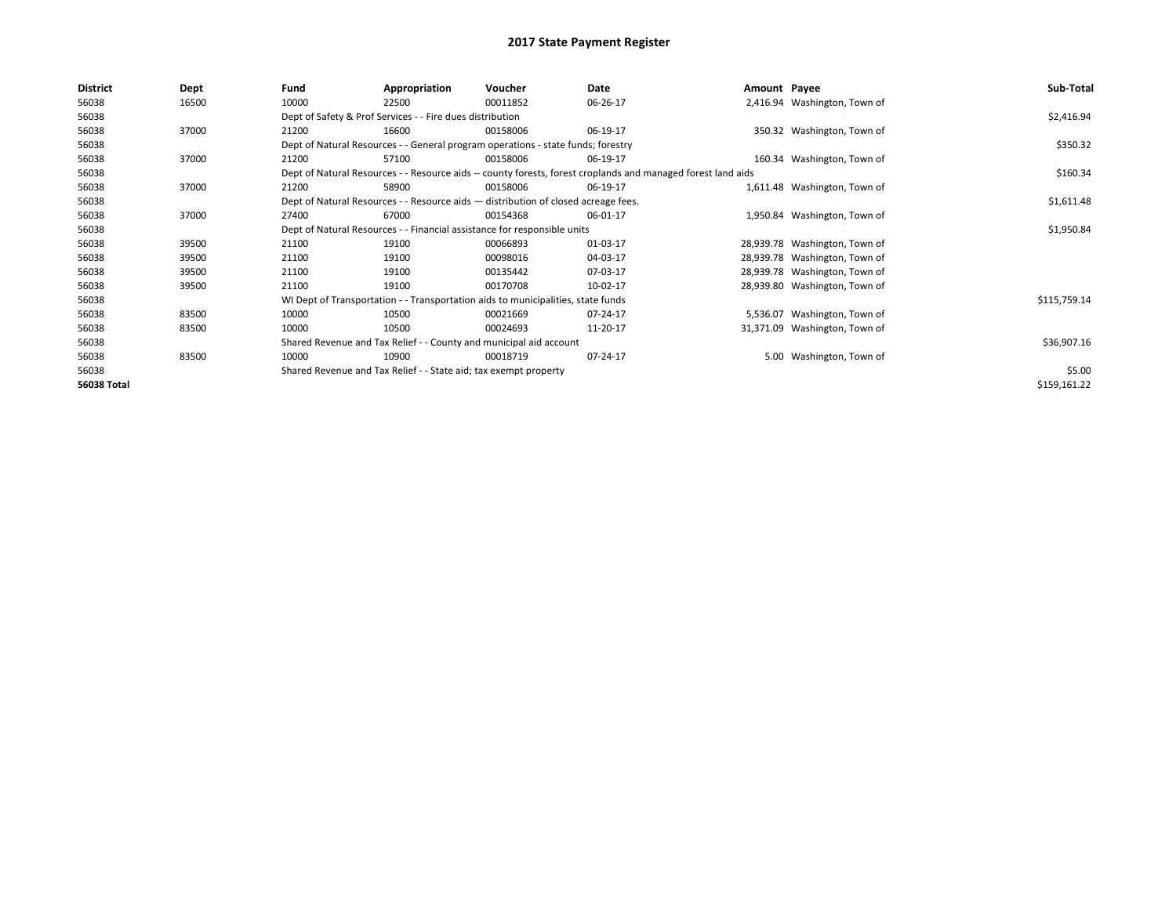| <b>District</b> | Dept  | Fund  | Appropriation                                                                      | Voucher  | Date                                                                                                         | Amount Payee |                               | Sub-Total    |
|-----------------|-------|-------|------------------------------------------------------------------------------------|----------|--------------------------------------------------------------------------------------------------------------|--------------|-------------------------------|--------------|
| 56038           | 16500 | 10000 | 22500                                                                              | 00011852 | 06-26-17                                                                                                     |              | 2,416.94 Washington, Town of  |              |
| 56038           |       |       | Dept of Safety & Prof Services - - Fire dues distribution                          |          |                                                                                                              |              |                               | \$2,416.94   |
| 56038           | 37000 | 21200 | 16600                                                                              | 00158006 | 06-19-17                                                                                                     |              | 350.32 Washington, Town of    |              |
| 56038           |       |       | Dept of Natural Resources - - General program operations - state funds; forestry   |          |                                                                                                              |              |                               | \$350.32     |
| 56038           | 37000 | 21200 | 57100                                                                              | 00158006 | 06-19-17                                                                                                     |              | 160.34 Washington, Town of    |              |
| 56038           |       |       |                                                                                    |          | Dept of Natural Resources - - Resource aids -- county forests, forest croplands and managed forest land aids |              |                               | \$160.34     |
| 56038           | 37000 | 21200 | 58900                                                                              | 00158006 | 06-19-17                                                                                                     |              | 1,611.48 Washington, Town of  |              |
| 56038           |       |       | Dept of Natural Resources - - Resource aids - distribution of closed acreage fees. |          |                                                                                                              |              |                               | \$1,611.48   |
| 56038           | 37000 | 27400 | 67000                                                                              | 00154368 | 06-01-17                                                                                                     |              | 1,950.84 Washington, Town of  |              |
| 56038           |       |       | Dept of Natural Resources - - Financial assistance for responsible units           |          |                                                                                                              |              |                               | \$1,950.84   |
| 56038           | 39500 | 21100 | 19100                                                                              | 00066893 | 01-03-17                                                                                                     |              | 28,939.78 Washington, Town of |              |
| 56038           | 39500 | 21100 | 19100                                                                              | 00098016 | 04-03-17                                                                                                     |              | 28,939.78 Washington, Town of |              |
| 56038           | 39500 | 21100 | 19100                                                                              | 00135442 | 07-03-17                                                                                                     |              | 28,939.78 Washington, Town of |              |
| 56038           | 39500 | 21100 | 19100                                                                              | 00170708 | 10-02-17                                                                                                     |              | 28,939.80 Washington, Town of |              |
| 56038           |       |       | WI Dept of Transportation - - Transportation aids to municipalities, state funds   |          |                                                                                                              |              |                               | \$115,759.14 |
| 56038           | 83500 | 10000 | 10500                                                                              | 00021669 | 07-24-17                                                                                                     |              | 5,536.07 Washington, Town of  |              |
| 56038           | 83500 | 10000 | 10500                                                                              | 00024693 | 11-20-17                                                                                                     |              | 31,371.09 Washington, Town of |              |
| 56038           |       |       | Shared Revenue and Tax Relief - - County and municipal aid account                 |          |                                                                                                              |              |                               | \$36,907.16  |
| 56038           | 83500 | 10000 | 10900                                                                              | 00018719 | 07-24-17                                                                                                     |              | 5.00 Washington, Town of      |              |
| 56038           |       |       | Shared Revenue and Tax Relief - - State aid; tax exempt property                   |          |                                                                                                              |              |                               | \$5.00       |
| 56038 Total     |       |       |                                                                                    |          |                                                                                                              |              |                               | \$159,161.22 |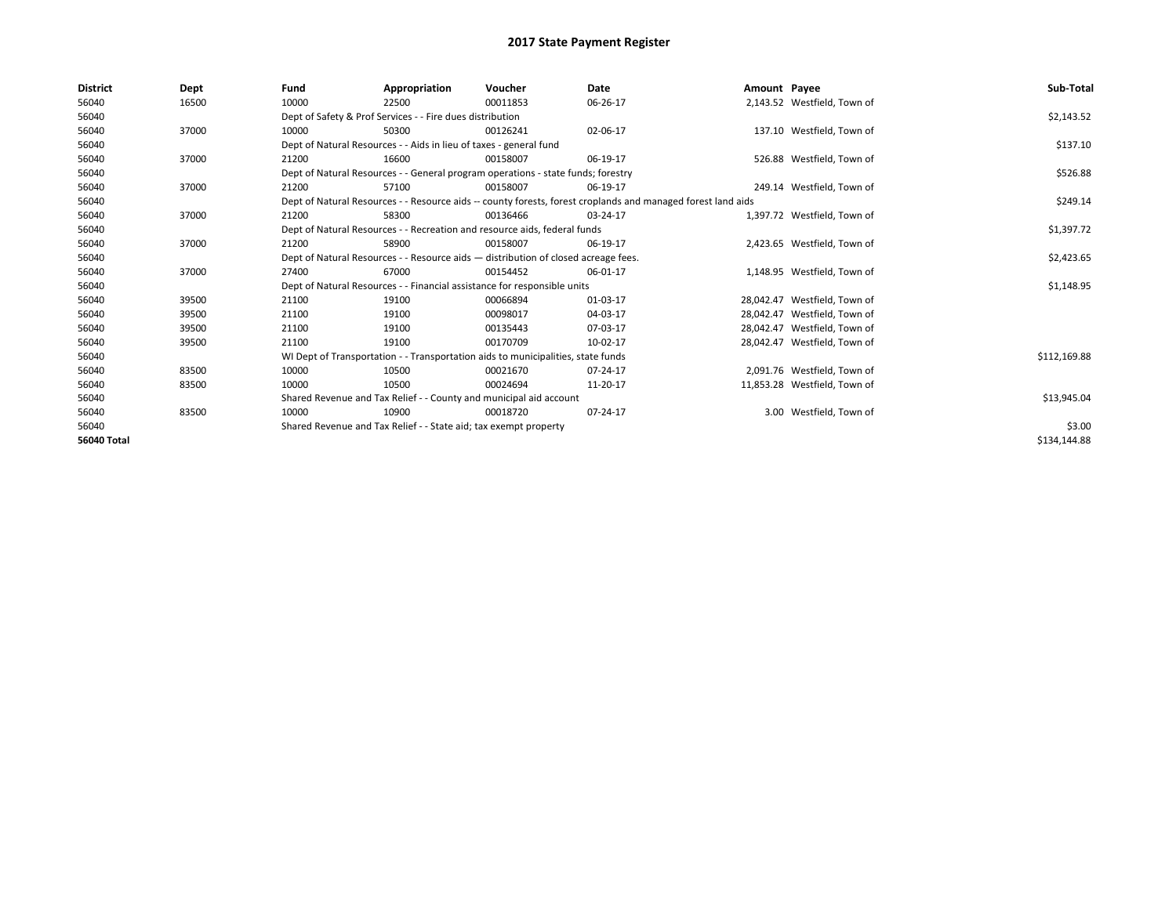| <b>District</b>    | Dept  | Fund                                                                                                         | Appropriation                                                                      | Voucher  | Date           | Amount Payee |                              | Sub-Total    |  |  |
|--------------------|-------|--------------------------------------------------------------------------------------------------------------|------------------------------------------------------------------------------------|----------|----------------|--------------|------------------------------|--------------|--|--|
| 56040              | 16500 | 10000                                                                                                        | 22500                                                                              | 00011853 | 06-26-17       |              | 2,143.52 Westfield, Town of  |              |  |  |
| 56040              |       |                                                                                                              | Dept of Safety & Prof Services - - Fire dues distribution                          |          |                |              |                              | \$2,143.52   |  |  |
| 56040              | 37000 | 10000                                                                                                        | 50300                                                                              | 00126241 | 02-06-17       |              | 137.10 Westfield, Town of    |              |  |  |
| 56040              |       |                                                                                                              | Dept of Natural Resources - - Aids in lieu of taxes - general fund                 |          |                |              |                              | \$137.10     |  |  |
| 56040              | 37000 | 21200                                                                                                        | 16600                                                                              | 00158007 | 06-19-17       |              | 526.88 Westfield, Town of    |              |  |  |
| 56040              |       |                                                                                                              | Dept of Natural Resources - - General program operations - state funds; forestry   |          |                |              |                              |              |  |  |
| 56040              | 37000 | 21200                                                                                                        | 57100                                                                              | 00158007 | 06-19-17       |              | 249.14 Westfield. Town of    |              |  |  |
| 56040              |       | Dept of Natural Resources - - Resource aids -- county forests, forest croplands and managed forest land aids |                                                                                    | \$249.14 |                |              |                              |              |  |  |
| 56040              | 37000 | 21200                                                                                                        | 58300                                                                              | 00136466 | 03-24-17       |              | 1,397.72 Westfield, Town of  |              |  |  |
| 56040              |       |                                                                                                              | Dept of Natural Resources - - Recreation and resource aids, federal funds          |          |                |              |                              | \$1,397.72   |  |  |
| 56040              | 37000 | 21200                                                                                                        | 58900                                                                              | 00158007 | 06-19-17       |              | 2,423.65 Westfield, Town of  |              |  |  |
| 56040              |       |                                                                                                              | Dept of Natural Resources - - Resource aids - distribution of closed acreage fees. |          |                |              |                              | \$2,423.65   |  |  |
| 56040              | 37000 | 27400                                                                                                        | 67000                                                                              | 00154452 | 06-01-17       |              | 1,148.95 Westfield, Town of  |              |  |  |
| 56040              |       |                                                                                                              | Dept of Natural Resources - - Financial assistance for responsible units           |          |                |              |                              | \$1,148.95   |  |  |
| 56040              | 39500 | 21100                                                                                                        | 19100                                                                              | 00066894 | 01-03-17       |              | 28,042.47 Westfield, Town of |              |  |  |
| 56040              | 39500 | 21100                                                                                                        | 19100                                                                              | 00098017 | 04-03-17       |              | 28,042.47 Westfield, Town of |              |  |  |
| 56040              | 39500 | 21100                                                                                                        | 19100                                                                              | 00135443 | 07-03-17       |              | 28.042.47 Westfield. Town of |              |  |  |
| 56040              | 39500 | 21100                                                                                                        | 19100                                                                              | 00170709 | 10-02-17       |              | 28,042.47 Westfield, Town of |              |  |  |
| 56040              |       |                                                                                                              | WI Dept of Transportation - - Transportation aids to municipalities, state funds   |          |                |              |                              | \$112,169.88 |  |  |
| 56040              | 83500 | 10000                                                                                                        | 10500                                                                              | 00021670 | $07 - 24 - 17$ |              | 2,091.76 Westfield, Town of  |              |  |  |
| 56040              | 83500 | 10000                                                                                                        | 10500                                                                              | 00024694 | 11-20-17       |              | 11,853.28 Westfield, Town of |              |  |  |
| 56040              |       |                                                                                                              | Shared Revenue and Tax Relief - - County and municipal aid account                 |          |                |              |                              | \$13,945.04  |  |  |
| 56040              | 83500 | 10000                                                                                                        | 10900                                                                              | 00018720 | 07-24-17       |              | 3.00 Westfield, Town of      |              |  |  |
| 56040              |       |                                                                                                              | Shared Revenue and Tax Relief - - State aid; tax exempt property                   |          |                |              |                              | \$3.00       |  |  |
| <b>56040 Total</b> |       |                                                                                                              |                                                                                    |          |                |              |                              | \$134,144.88 |  |  |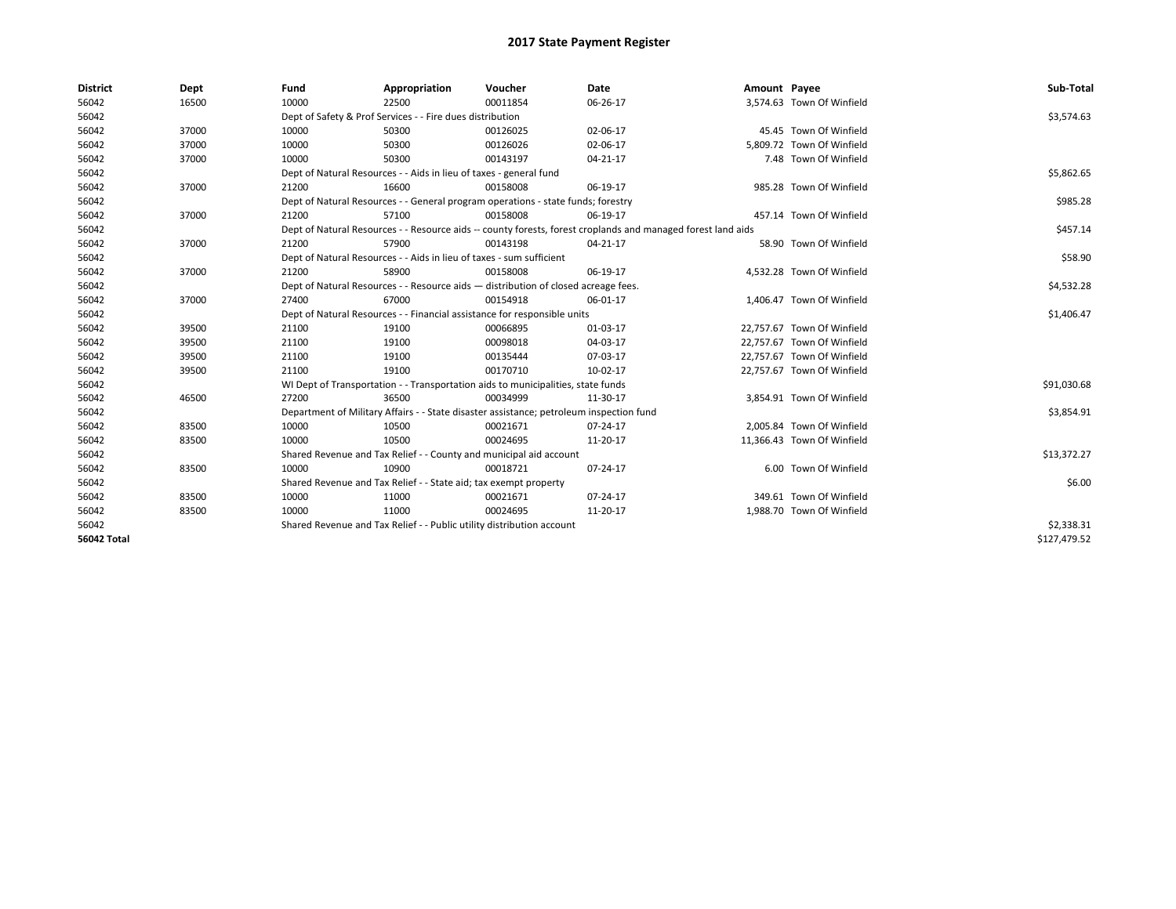| <b>District</b>    | Dept  | Fund  | Appropriation                                                                           | Voucher  | Date                                                                                                         | Amount Payee |                            | Sub-Total    |
|--------------------|-------|-------|-----------------------------------------------------------------------------------------|----------|--------------------------------------------------------------------------------------------------------------|--------------|----------------------------|--------------|
| 56042              | 16500 | 10000 | 22500                                                                                   | 00011854 | 06-26-17                                                                                                     |              | 3,574.63 Town Of Winfield  |              |
| 56042              |       |       | Dept of Safety & Prof Services - - Fire dues distribution                               |          |                                                                                                              |              |                            | \$3,574.63   |
| 56042              | 37000 | 10000 | 50300                                                                                   | 00126025 | 02-06-17                                                                                                     |              | 45.45 Town Of Winfield     |              |
| 56042              | 37000 | 10000 | 50300                                                                                   | 00126026 | 02-06-17                                                                                                     |              | 5,809.72 Town Of Winfield  |              |
| 56042              | 37000 | 10000 | 50300                                                                                   | 00143197 | 04-21-17                                                                                                     |              | 7.48 Town Of Winfield      |              |
| 56042              |       |       | Dept of Natural Resources - - Aids in lieu of taxes - general fund                      |          |                                                                                                              |              |                            | \$5,862.65   |
| 56042              | 37000 | 21200 | 16600                                                                                   | 00158008 | 06-19-17                                                                                                     |              | 985.28 Town Of Winfield    |              |
| 56042              |       |       | Dept of Natural Resources - - General program operations - state funds; forestry        |          |                                                                                                              |              |                            | \$985.28     |
| 56042              | 37000 | 21200 | 57100                                                                                   | 00158008 | 06-19-17                                                                                                     |              | 457.14 Town Of Winfield    |              |
| 56042              |       |       |                                                                                         |          | Dept of Natural Resources - - Resource aids -- county forests, forest croplands and managed forest land aids |              |                            | \$457.14     |
| 56042              | 37000 | 21200 | 57900                                                                                   | 00143198 | 04-21-17                                                                                                     |              | 58.90 Town Of Winfield     |              |
| 56042              |       |       | Dept of Natural Resources - - Aids in lieu of taxes - sum sufficient                    |          |                                                                                                              |              |                            | \$58.90      |
| 56042              | 37000 | 21200 | 58900                                                                                   | 00158008 | 06-19-17                                                                                                     |              | 4,532.28 Town Of Winfield  |              |
| 56042              |       |       | Dept of Natural Resources - - Resource aids - distribution of closed acreage fees.      |          |                                                                                                              |              |                            | \$4,532.28   |
| 56042              | 37000 | 27400 | 67000                                                                                   | 00154918 | 06-01-17                                                                                                     |              | 1,406.47 Town Of Winfield  |              |
| 56042              |       |       | Dept of Natural Resources - - Financial assistance for responsible units                |          |                                                                                                              |              |                            | \$1,406.47   |
| 56042              | 39500 | 21100 | 19100                                                                                   | 00066895 | 01-03-17                                                                                                     |              | 22,757.67 Town Of Winfield |              |
| 56042              | 39500 | 21100 | 19100                                                                                   | 00098018 | 04-03-17                                                                                                     |              | 22,757.67 Town Of Winfield |              |
| 56042              | 39500 | 21100 | 19100                                                                                   | 00135444 | 07-03-17                                                                                                     |              | 22,757.67 Town Of Winfield |              |
| 56042              | 39500 | 21100 | 19100                                                                                   | 00170710 | 10-02-17                                                                                                     |              | 22,757.67 Town Of Winfield |              |
| 56042              |       |       | WI Dept of Transportation - - Transportation aids to municipalities, state funds        |          |                                                                                                              |              |                            | \$91,030.68  |
| 56042              | 46500 | 27200 | 36500                                                                                   | 00034999 | 11-30-17                                                                                                     |              | 3,854.91 Town Of Winfield  |              |
| 56042              |       |       | Department of Military Affairs - - State disaster assistance; petroleum inspection fund |          |                                                                                                              |              |                            | \$3,854.91   |
| 56042              | 83500 | 10000 | 10500                                                                                   | 00021671 | 07-24-17                                                                                                     |              | 2.005.84 Town Of Winfield  |              |
| 56042              | 83500 | 10000 | 10500                                                                                   | 00024695 | 11-20-17                                                                                                     |              | 11.366.43 Town Of Winfield |              |
| 56042              |       |       | Shared Revenue and Tax Relief - - County and municipal aid account                      |          |                                                                                                              |              |                            | \$13,372.27  |
| 56042              | 83500 | 10000 | 10900                                                                                   | 00018721 | 07-24-17                                                                                                     |              | 6.00 Town Of Winfield      |              |
| 56042              |       |       | Shared Revenue and Tax Relief - - State aid; tax exempt property                        |          |                                                                                                              |              |                            | \$6.00       |
| 56042              | 83500 | 10000 | 11000                                                                                   | 00021671 | 07-24-17                                                                                                     |              | 349.61 Town Of Winfield    |              |
| 56042              | 83500 | 10000 | 11000                                                                                   | 00024695 | 11-20-17                                                                                                     |              | 1,988.70 Town Of Winfield  |              |
| 56042              |       |       | Shared Revenue and Tax Relief - - Public utility distribution account                   |          |                                                                                                              |              |                            | \$2,338.31   |
| <b>56042 Total</b> |       |       |                                                                                         |          |                                                                                                              |              |                            | \$127,479.52 |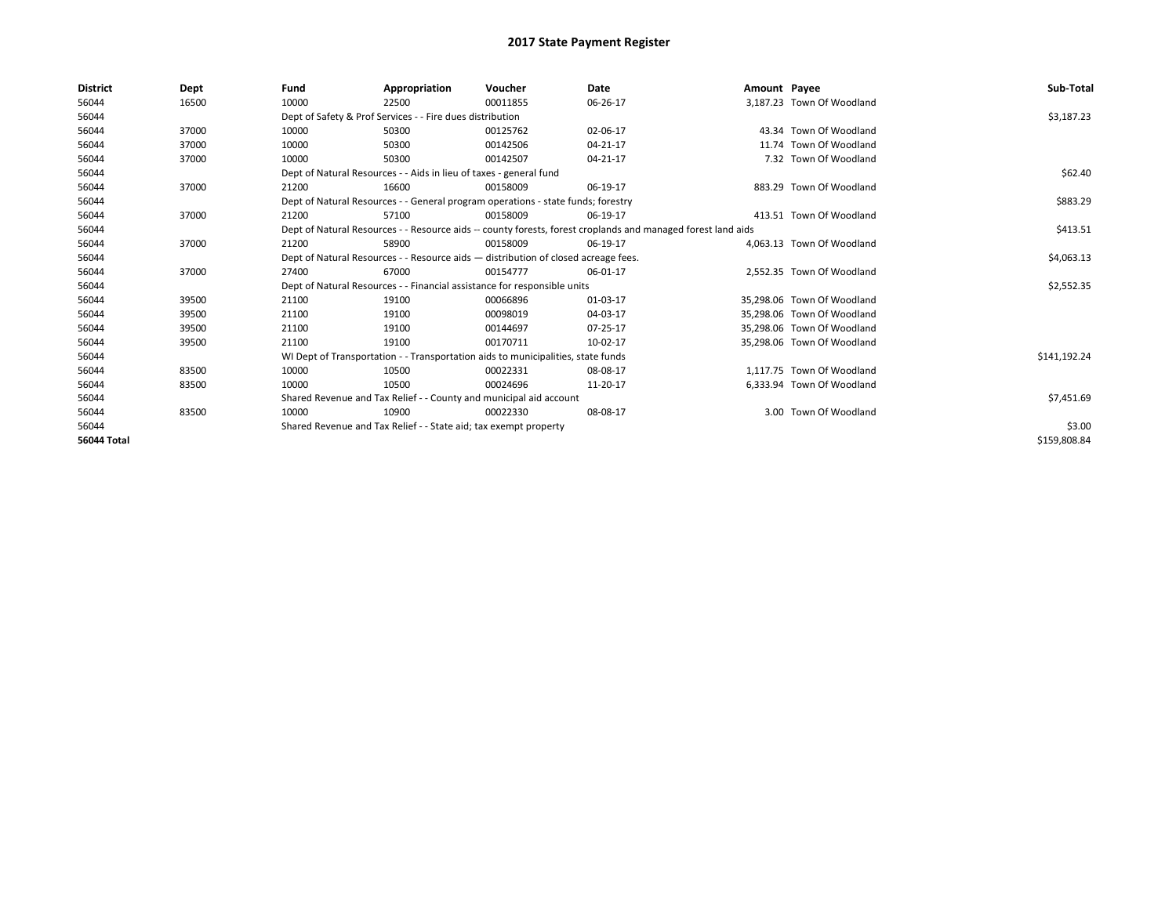| <b>District</b>    | Dept  | Fund                                                             | Appropriation                                                                      | Voucher  | Date                                                                                                         | Amount Payee |                            | Sub-Total    |
|--------------------|-------|------------------------------------------------------------------|------------------------------------------------------------------------------------|----------|--------------------------------------------------------------------------------------------------------------|--------------|----------------------------|--------------|
| 56044              | 16500 | 10000                                                            | 22500                                                                              | 00011855 | 06-26-17                                                                                                     |              | 3.187.23 Town Of Woodland  |              |
| 56044              |       |                                                                  | Dept of Safety & Prof Services - - Fire dues distribution                          |          |                                                                                                              |              |                            | \$3,187.23   |
| 56044              | 37000 | 10000                                                            | 50300                                                                              | 00125762 | 02-06-17                                                                                                     |              | 43.34 Town Of Woodland     |              |
| 56044              | 37000 | 10000                                                            | 50300                                                                              | 00142506 | 04-21-17                                                                                                     |              | 11.74 Town Of Woodland     |              |
| 56044              | 37000 | 10000                                                            | 50300                                                                              | 00142507 | 04-21-17                                                                                                     |              | 7.32 Town Of Woodland      |              |
| 56044              |       |                                                                  | Dept of Natural Resources - - Aids in lieu of taxes - general fund                 |          |                                                                                                              |              |                            | \$62.40      |
| 56044              | 37000 | 21200                                                            | 16600                                                                              | 00158009 | 06-19-17                                                                                                     |              | 883.29 Town Of Woodland    |              |
| 56044              |       |                                                                  | Dept of Natural Resources - - General program operations - state funds; forestry   |          |                                                                                                              |              |                            | \$883.29     |
| 56044              | 37000 | 21200                                                            | 57100                                                                              | 00158009 | 06-19-17                                                                                                     |              | 413.51 Town Of Woodland    |              |
| 56044              |       |                                                                  |                                                                                    |          | Dept of Natural Resources - - Resource aids -- county forests, forest croplands and managed forest land aids |              |                            | \$413.51     |
| 56044              | 37000 | 21200                                                            | 58900                                                                              | 00158009 | 06-19-17                                                                                                     |              | 4,063.13 Town Of Woodland  |              |
| 56044              |       |                                                                  | Dept of Natural Resources - - Resource aids - distribution of closed acreage fees. |          |                                                                                                              |              |                            | \$4,063.13   |
| 56044              | 37000 | 27400                                                            | 67000                                                                              | 00154777 | 06-01-17                                                                                                     |              | 2,552.35 Town Of Woodland  |              |
| 56044              |       |                                                                  | Dept of Natural Resources - - Financial assistance for responsible units           |          |                                                                                                              |              |                            | \$2,552.35   |
| 56044              | 39500 | 21100                                                            | 19100                                                                              | 00066896 | 01-03-17                                                                                                     |              | 35,298.06 Town Of Woodland |              |
| 56044              | 39500 | 21100                                                            | 19100                                                                              | 00098019 | 04-03-17                                                                                                     |              | 35,298.06 Town Of Woodland |              |
| 56044              | 39500 | 21100                                                            | 19100                                                                              | 00144697 | 07-25-17                                                                                                     |              | 35.298.06 Town Of Woodland |              |
| 56044              | 39500 | 21100                                                            | 19100                                                                              | 00170711 | 10-02-17                                                                                                     |              | 35,298.06 Town Of Woodland |              |
| 56044              |       |                                                                  | WI Dept of Transportation - - Transportation aids to municipalities, state funds   |          |                                                                                                              |              |                            | \$141,192.24 |
| 56044              | 83500 | 10000                                                            | 10500                                                                              | 00022331 | 08-08-17                                                                                                     |              | 1,117.75 Town Of Woodland  |              |
| 56044              | 83500 | 10000                                                            | 10500                                                                              | 00024696 | 11-20-17                                                                                                     |              | 6,333.94 Town Of Woodland  |              |
| 56044              |       |                                                                  | Shared Revenue and Tax Relief - - County and municipal aid account                 |          |                                                                                                              |              |                            | \$7,451.69   |
| 56044              | 83500 | 10000                                                            | 10900                                                                              | 00022330 | 08-08-17                                                                                                     |              | 3.00 Town Of Woodland      |              |
| 56044              |       | Shared Revenue and Tax Relief - - State aid; tax exempt property |                                                                                    | \$3.00   |                                                                                                              |              |                            |              |
| <b>56044 Total</b> |       |                                                                  |                                                                                    |          |                                                                                                              |              |                            | \$159,808.84 |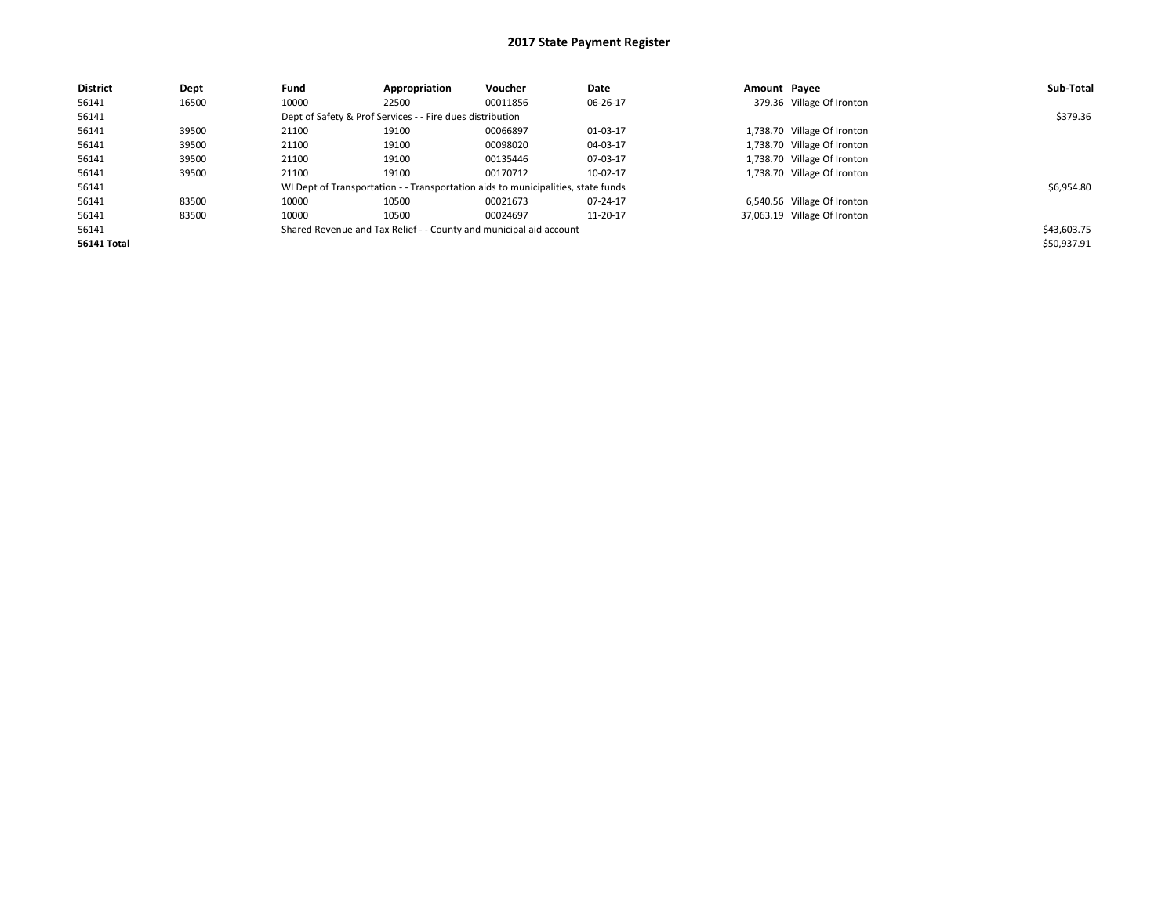| <b>District</b> | Dept  | Fund  | Appropriation                                             | Voucher                                                                          | Date     | Amount Pavee |                              | Sub-Total   |
|-----------------|-------|-------|-----------------------------------------------------------|----------------------------------------------------------------------------------|----------|--------------|------------------------------|-------------|
| 56141           | 16500 | 10000 | 22500                                                     | 00011856                                                                         | 06-26-17 |              | 379.36 Village Of Ironton    |             |
| 56141           |       |       | Dept of Safety & Prof Services - - Fire dues distribution |                                                                                  |          |              |                              | \$379.36    |
| 56141           | 39500 | 21100 | 19100                                                     | 00066897                                                                         | 01-03-17 |              | 1,738.70 Village Of Ironton  |             |
| 56141           | 39500 | 21100 | 19100                                                     | 00098020                                                                         | 04-03-17 |              | 1,738.70 Village Of Ironton  |             |
| 56141           | 39500 | 21100 | 19100                                                     | 00135446                                                                         | 07-03-17 |              | 1,738.70 Village Of Ironton  |             |
| 56141           | 39500 | 21100 | 19100                                                     | 00170712                                                                         | 10-02-17 |              | 1,738.70 Village Of Ironton  |             |
| 56141           |       |       |                                                           | WI Dept of Transportation - - Transportation aids to municipalities, state funds |          |              |                              | \$6,954.80  |
| 56141           | 83500 | 10000 | 10500                                                     | 00021673                                                                         | 07-24-17 |              | 6,540.56 Village Of Ironton  |             |
| 56141           | 83500 | 10000 | 10500                                                     | 00024697                                                                         | 11-20-17 |              | 37,063.19 Village Of Ironton |             |
| 56141           |       |       |                                                           | Shared Revenue and Tax Relief - - County and municipal aid account               |          |              |                              | \$43,603.75 |
| 56141 Total     |       |       |                                                           |                                                                                  |          |              |                              | \$50,937.91 |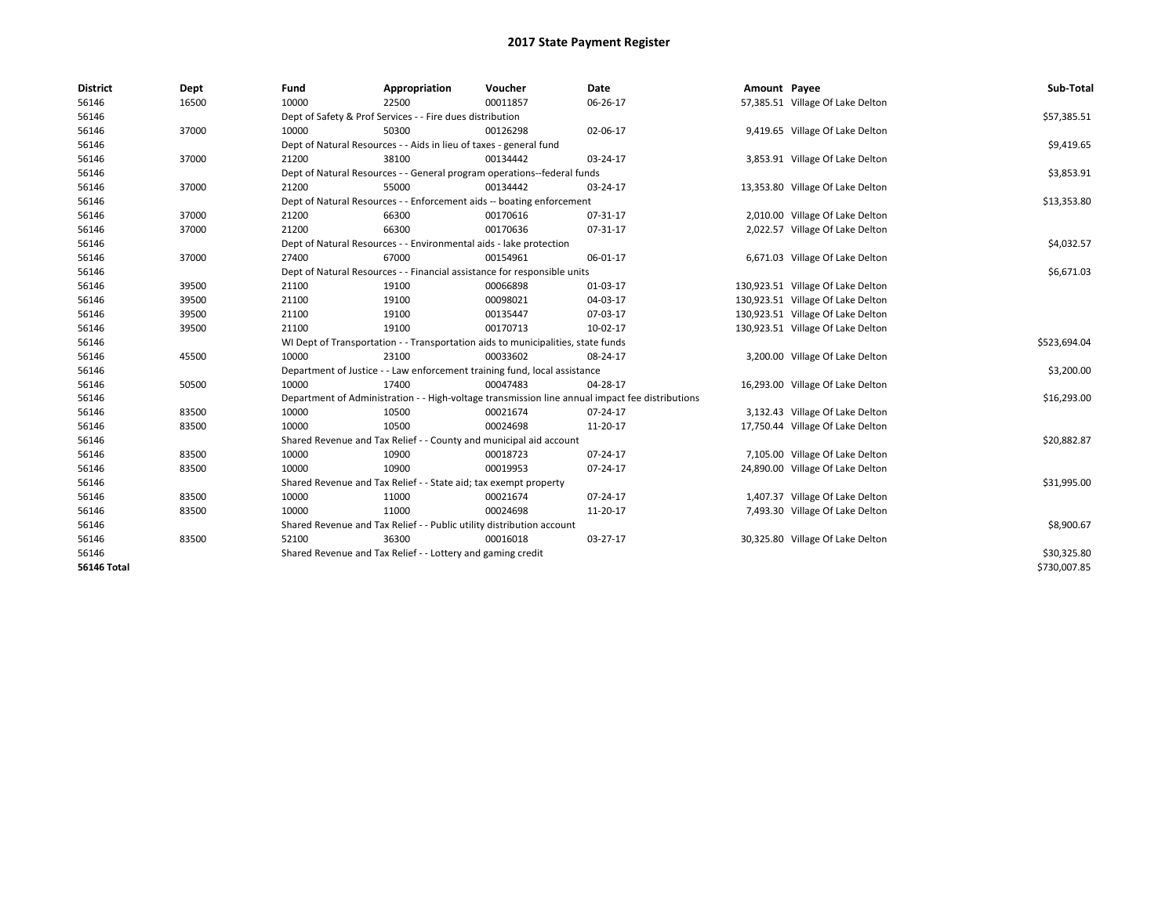| <b>District</b>    | Dept  | Fund  | Appropriation                                                                    | Voucher  | Date                                                                                            | Amount Payee |                                   | Sub-Total    |
|--------------------|-------|-------|----------------------------------------------------------------------------------|----------|-------------------------------------------------------------------------------------------------|--------------|-----------------------------------|--------------|
| 56146              | 16500 | 10000 | 22500                                                                            | 00011857 | 06-26-17                                                                                        |              | 57,385.51 Village Of Lake Delton  |              |
| 56146              |       |       | Dept of Safety & Prof Services - - Fire dues distribution                        |          |                                                                                                 |              |                                   | \$57,385.51  |
| 56146              | 37000 | 10000 | 50300                                                                            | 00126298 | 02-06-17                                                                                        |              | 9,419.65 Village Of Lake Delton   |              |
| 56146              |       |       | Dept of Natural Resources - - Aids in lieu of taxes - general fund               |          |                                                                                                 |              |                                   | \$9,419.65   |
| 56146              | 37000 | 21200 | 38100                                                                            | 00134442 | 03-24-17                                                                                        |              | 3,853.91 Village Of Lake Delton   |              |
| 56146              |       |       | Dept of Natural Resources - - General program operations--federal funds          |          |                                                                                                 |              |                                   | \$3,853.91   |
| 56146              | 37000 | 21200 | 55000                                                                            | 00134442 | 03-24-17                                                                                        |              | 13,353.80 Village Of Lake Delton  |              |
| 56146              |       |       | Dept of Natural Resources - - Enforcement aids -- boating enforcement            |          |                                                                                                 |              |                                   | \$13,353.80  |
| 56146              | 37000 | 21200 | 66300                                                                            | 00170616 | 07-31-17                                                                                        |              | 2,010.00 Village Of Lake Delton   |              |
| 56146              | 37000 | 21200 | 66300                                                                            | 00170636 | 07-31-17                                                                                        |              | 2,022.57 Village Of Lake Delton   |              |
| 56146              |       |       | Dept of Natural Resources - - Environmental aids - lake protection               |          |                                                                                                 |              |                                   | \$4,032.57   |
| 56146              | 37000 | 27400 | 67000                                                                            | 00154961 | 06-01-17                                                                                        |              | 6,671.03 Village Of Lake Delton   |              |
| 56146              |       |       | Dept of Natural Resources - - Financial assistance for responsible units         |          |                                                                                                 |              |                                   | \$6,671.03   |
| 56146              | 39500 | 21100 | 19100                                                                            | 00066898 | 01-03-17                                                                                        |              | 130,923.51 Village Of Lake Delton |              |
| 56146              | 39500 | 21100 | 19100                                                                            | 00098021 | 04-03-17                                                                                        |              | 130,923.51 Village Of Lake Delton |              |
| 56146              | 39500 | 21100 | 19100                                                                            | 00135447 | 07-03-17                                                                                        |              | 130,923.51 Village Of Lake Delton |              |
| 56146              | 39500 | 21100 | 19100                                                                            | 00170713 | 10-02-17                                                                                        |              | 130,923.51 Village Of Lake Delton |              |
| 56146              |       |       | WI Dept of Transportation - - Transportation aids to municipalities, state funds |          |                                                                                                 |              |                                   | \$523,694.04 |
| 56146              | 45500 | 10000 | 23100                                                                            | 00033602 | 08-24-17                                                                                        |              | 3,200.00 Village Of Lake Delton   |              |
| 56146              |       |       | Department of Justice - - Law enforcement training fund, local assistance        |          |                                                                                                 |              |                                   | \$3,200.00   |
| 56146              | 50500 | 10000 | 17400                                                                            | 00047483 | 04-28-17                                                                                        |              | 16,293.00 Village Of Lake Delton  |              |
| 56146              |       |       |                                                                                  |          | Department of Administration - - High-voltage transmission line annual impact fee distributions |              |                                   | \$16,293.00  |
| 56146              | 83500 | 10000 | 10500                                                                            | 00021674 | 07-24-17                                                                                        |              | 3,132.43 Village Of Lake Delton   |              |
| 56146              | 83500 | 10000 | 10500                                                                            | 00024698 | 11-20-17                                                                                        |              | 17,750.44 Village Of Lake Delton  |              |
| 56146              |       |       | Shared Revenue and Tax Relief - - County and municipal aid account               |          |                                                                                                 |              |                                   | \$20,882.87  |
| 56146              | 83500 | 10000 | 10900                                                                            | 00018723 | 07-24-17                                                                                        |              | 7,105.00 Village Of Lake Delton   |              |
| 56146              | 83500 | 10000 | 10900                                                                            | 00019953 | 07-24-17                                                                                        |              | 24,890.00 Village Of Lake Delton  |              |
| 56146              |       |       | Shared Revenue and Tax Relief - - State aid; tax exempt property                 |          |                                                                                                 |              |                                   | \$31,995.00  |
| 56146              | 83500 | 10000 | 11000                                                                            | 00021674 | 07-24-17                                                                                        |              | 1,407.37 Village Of Lake Delton   |              |
| 56146              | 83500 | 10000 | 11000                                                                            | 00024698 | 11-20-17                                                                                        |              | 7,493.30 Village Of Lake Delton   |              |
| 56146              |       |       | Shared Revenue and Tax Relief - - Public utility distribution account            |          |                                                                                                 |              |                                   | \$8,900.67   |
| 56146              | 83500 | 52100 | 36300                                                                            | 00016018 | 03-27-17                                                                                        |              | 30,325.80 Village Of Lake Delton  |              |
| 56146              |       |       | Shared Revenue and Tax Relief - - Lottery and gaming credit                      |          |                                                                                                 |              |                                   | \$30,325.80  |
| <b>56146 Total</b> |       |       |                                                                                  |          |                                                                                                 |              |                                   | \$730,007.85 |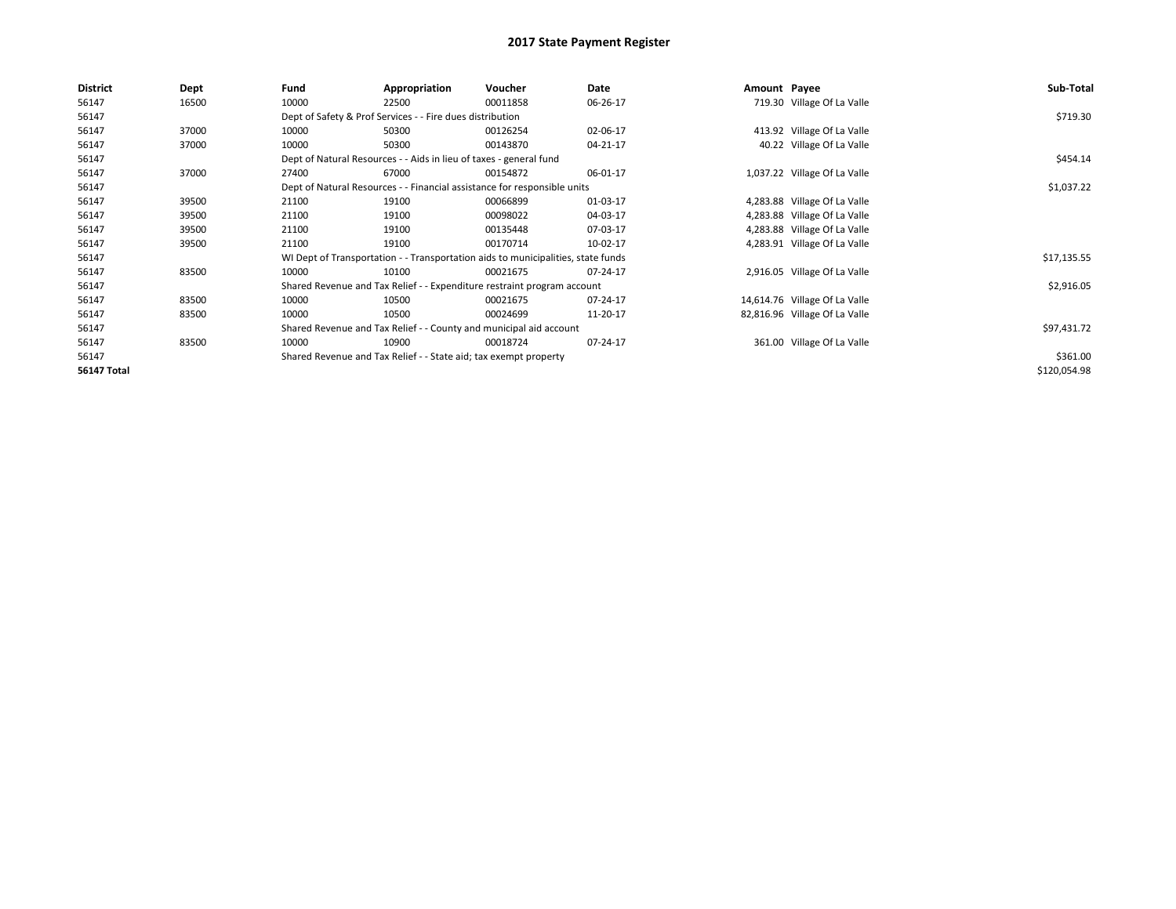| <b>District</b>    | Dept  | Fund  | Appropriation                                                                    | Voucher  | Date     | Amount Payee |                               | Sub-Total    |
|--------------------|-------|-------|----------------------------------------------------------------------------------|----------|----------|--------------|-------------------------------|--------------|
| 56147              | 16500 | 10000 | 22500                                                                            | 00011858 | 06-26-17 |              | 719.30 Village Of La Valle    |              |
| 56147              |       |       | Dept of Safety & Prof Services - - Fire dues distribution                        |          |          |              |                               | \$719.30     |
| 56147              | 37000 | 10000 | 50300                                                                            | 00126254 | 02-06-17 |              | 413.92 Village Of La Valle    |              |
| 56147              | 37000 | 10000 | 50300                                                                            | 00143870 | 04-21-17 |              | 40.22 Village Of La Valle     |              |
| 56147              |       |       | Dept of Natural Resources - - Aids in lieu of taxes - general fund               |          |          |              |                               | \$454.14     |
| 56147              | 37000 | 27400 | 67000                                                                            | 00154872 | 06-01-17 |              | 1,037.22 Village Of La Valle  |              |
| 56147              |       |       | Dept of Natural Resources - - Financial assistance for responsible units         |          |          |              |                               | \$1,037.22   |
| 56147              | 39500 | 21100 | 19100                                                                            | 00066899 | 01-03-17 |              | 4,283.88 Village Of La Valle  |              |
| 56147              | 39500 | 21100 | 19100                                                                            | 00098022 | 04-03-17 |              | 4,283.88 Village Of La Valle  |              |
| 56147              | 39500 | 21100 | 19100                                                                            | 00135448 | 07-03-17 |              | 4,283.88 Village Of La Valle  |              |
| 56147              | 39500 | 21100 | 19100                                                                            | 00170714 | 10-02-17 |              | 4,283.91 Village Of La Valle  |              |
| 56147              |       |       | WI Dept of Transportation - - Transportation aids to municipalities, state funds |          |          |              |                               | \$17,135.55  |
| 56147              | 83500 | 10000 | 10100                                                                            | 00021675 | 07-24-17 |              | 2,916.05 Village Of La Valle  |              |
| 56147              |       |       | Shared Revenue and Tax Relief - - Expenditure restraint program account          |          |          |              |                               | \$2,916.05   |
| 56147              | 83500 | 10000 | 10500                                                                            | 00021675 | 07-24-17 |              | 14,614.76 Village Of La Valle |              |
| 56147              | 83500 | 10000 | 10500                                                                            | 00024699 | 11-20-17 |              | 82,816.96 Village Of La Valle |              |
| 56147              |       |       | Shared Revenue and Tax Relief - - County and municipal aid account               |          |          |              |                               | \$97,431.72  |
| 56147              | 83500 | 10000 | 10900                                                                            | 00018724 | 07-24-17 |              | 361.00 Village Of La Valle    |              |
| 56147              |       |       | Shared Revenue and Tax Relief - - State aid; tax exempt property                 |          |          |              |                               | \$361.00     |
| <b>56147 Total</b> |       |       |                                                                                  |          |          |              |                               | \$120,054.98 |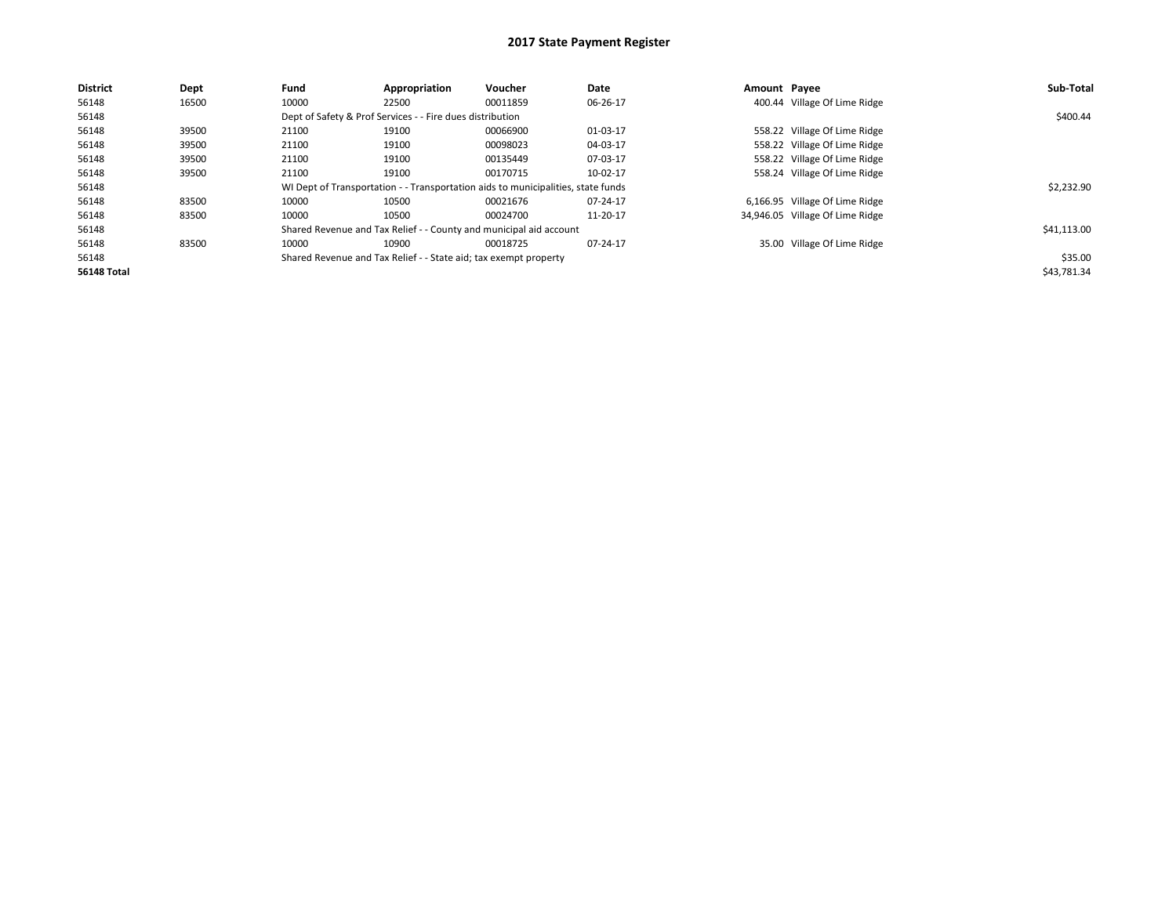| <b>District</b>    | Dept  | Fund  | Appropriation                                                    | Voucher                                                                          | Date     | Amount Payee |                                 | Sub-Total   |  |  |
|--------------------|-------|-------|------------------------------------------------------------------|----------------------------------------------------------------------------------|----------|--------------|---------------------------------|-------------|--|--|
| 56148              | 16500 | 10000 | 22500                                                            | 00011859                                                                         | 06-26-17 |              | 400.44 Village Of Lime Ridge    |             |  |  |
| 56148              |       |       | Dept of Safety & Prof Services - - Fire dues distribution        |                                                                                  |          |              |                                 |             |  |  |
| 56148              | 39500 | 21100 | 19100                                                            | 00066900                                                                         | 01-03-17 |              | 558.22 Village Of Lime Ridge    |             |  |  |
| 56148              | 39500 | 21100 | 19100                                                            | 00098023                                                                         | 04-03-17 |              | 558.22 Village Of Lime Ridge    |             |  |  |
| 56148              | 39500 | 21100 | 19100                                                            | 00135449                                                                         | 07-03-17 |              | 558.22 Village Of Lime Ridge    |             |  |  |
| 56148              | 39500 | 21100 | 19100                                                            | 00170715                                                                         | 10-02-17 |              | 558.24 Village Of Lime Ridge    |             |  |  |
| 56148              |       |       |                                                                  | WI Dept of Transportation - - Transportation aids to municipalities, state funds |          |              |                                 | \$2.232.90  |  |  |
| 56148              | 83500 | 10000 | 10500                                                            | 00021676                                                                         | 07-24-17 |              | 6,166.95 Village Of Lime Ridge  |             |  |  |
| 56148              | 83500 | 10000 | 10500                                                            | 00024700                                                                         | 11-20-17 |              | 34,946.05 Village Of Lime Ridge |             |  |  |
| 56148              |       |       |                                                                  | Shared Revenue and Tax Relief - - County and municipal aid account               |          |              |                                 | \$41,113.00 |  |  |
| 56148              | 83500 | 10000 | 10900                                                            | 00018725                                                                         | 07-24-17 |              | 35.00 Village Of Lime Ridge     |             |  |  |
| 56148              |       |       | Shared Revenue and Tax Relief - - State aid; tax exempt property |                                                                                  |          |              |                                 | \$35.00     |  |  |
| <b>56148 Total</b> |       |       |                                                                  |                                                                                  |          |              |                                 | \$43,781.34 |  |  |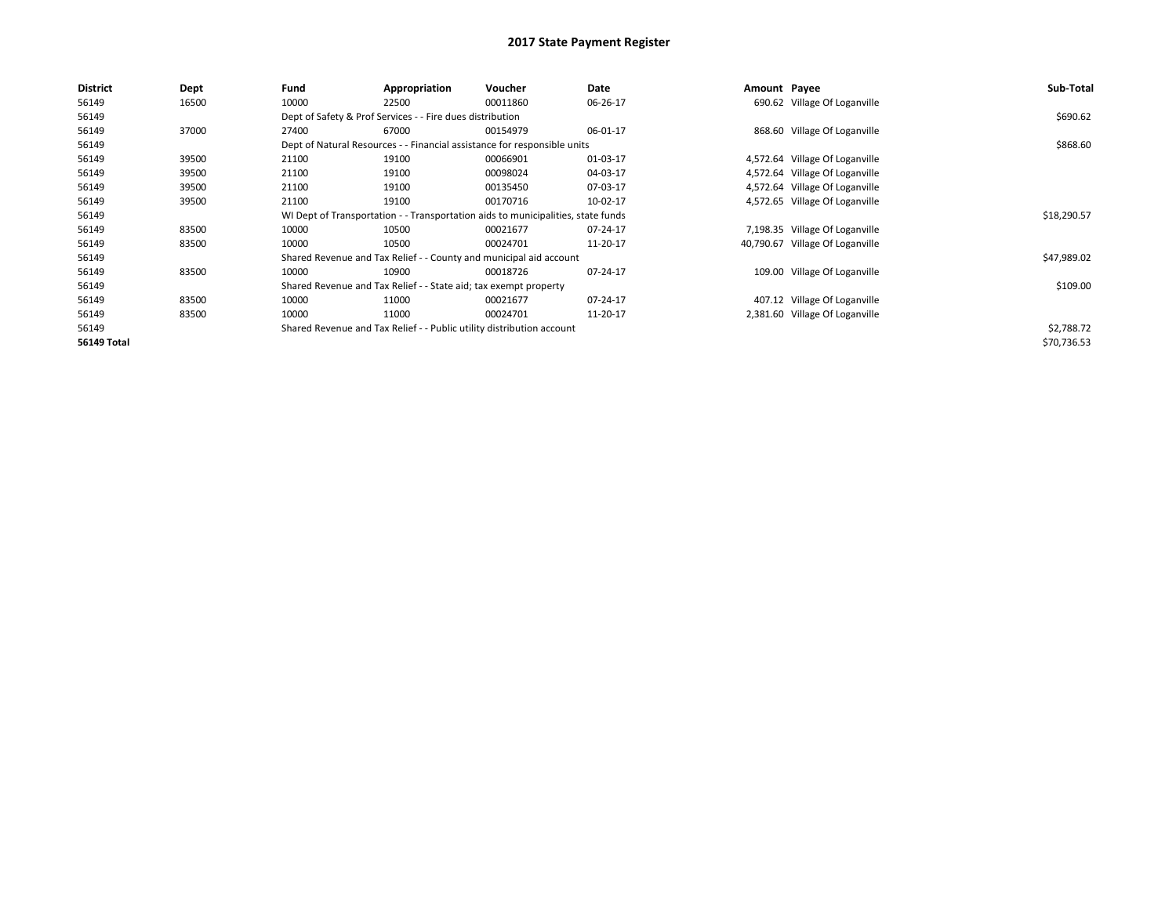| <b>District</b>    | <b>Dept</b> | Fund  | Appropriation                                                    | Voucher                                                                          | Date     | Amount Payee |                                 | Sub-Total   |  |  |
|--------------------|-------------|-------|------------------------------------------------------------------|----------------------------------------------------------------------------------|----------|--------------|---------------------------------|-------------|--|--|
| 56149              | 16500       | 10000 | 22500                                                            | 00011860                                                                         | 06-26-17 |              | 690.62 Village Of Loganville    |             |  |  |
| 56149              |             |       | Dept of Safety & Prof Services - - Fire dues distribution        |                                                                                  |          |              |                                 |             |  |  |
| 56149              | 37000       | 27400 | 67000                                                            | 00154979                                                                         | 06-01-17 |              | 868.60 Village Of Loganville    |             |  |  |
| 56149              |             |       |                                                                  | Dept of Natural Resources - - Financial assistance for responsible units         |          |              |                                 | \$868.60    |  |  |
| 56149              | 39500       | 21100 | 19100                                                            | 00066901                                                                         | 01-03-17 |              | 4,572.64 Village Of Loganville  |             |  |  |
| 56149              | 39500       | 21100 | 19100                                                            | 00098024                                                                         | 04-03-17 |              | 4,572.64 Village Of Loganville  |             |  |  |
| 56149              | 39500       | 21100 | 19100                                                            | 00135450                                                                         | 07-03-17 |              | 4,572.64 Village Of Loganville  |             |  |  |
| 56149              | 39500       | 21100 | 19100                                                            | 00170716                                                                         | 10-02-17 |              | 4,572.65 Village Of Loganville  |             |  |  |
| 56149              |             |       |                                                                  | WI Dept of Transportation - - Transportation aids to municipalities, state funds |          |              |                                 | \$18,290.57 |  |  |
| 56149              | 83500       | 10000 | 10500                                                            | 00021677                                                                         | 07-24-17 |              | 7,198.35 Village Of Loganville  |             |  |  |
| 56149              | 83500       | 10000 | 10500                                                            | 00024701                                                                         | 11-20-17 |              | 40,790.67 Village Of Loganville |             |  |  |
| 56149              |             |       |                                                                  | Shared Revenue and Tax Relief - - County and municipal aid account               |          |              |                                 | \$47,989.02 |  |  |
| 56149              | 83500       | 10000 | 10900                                                            | 00018726                                                                         | 07-24-17 |              | 109.00 Village Of Loganville    |             |  |  |
| 56149              |             |       | Shared Revenue and Tax Relief - - State aid; tax exempt property |                                                                                  |          |              |                                 | \$109.00    |  |  |
| 56149              | 83500       | 10000 | 11000                                                            | 00021677                                                                         | 07-24-17 |              | 407.12 Village Of Loganville    |             |  |  |
| 56149              | 83500       | 10000 | 11000                                                            | 00024701                                                                         | 11-20-17 |              | 2,381.60 Village Of Loganville  |             |  |  |
| 56149              |             |       |                                                                  | Shared Revenue and Tax Relief - - Public utility distribution account            |          |              |                                 | \$2,788.72  |  |  |
| <b>56149 Total</b> |             |       |                                                                  |                                                                                  |          |              |                                 | \$70,736.53 |  |  |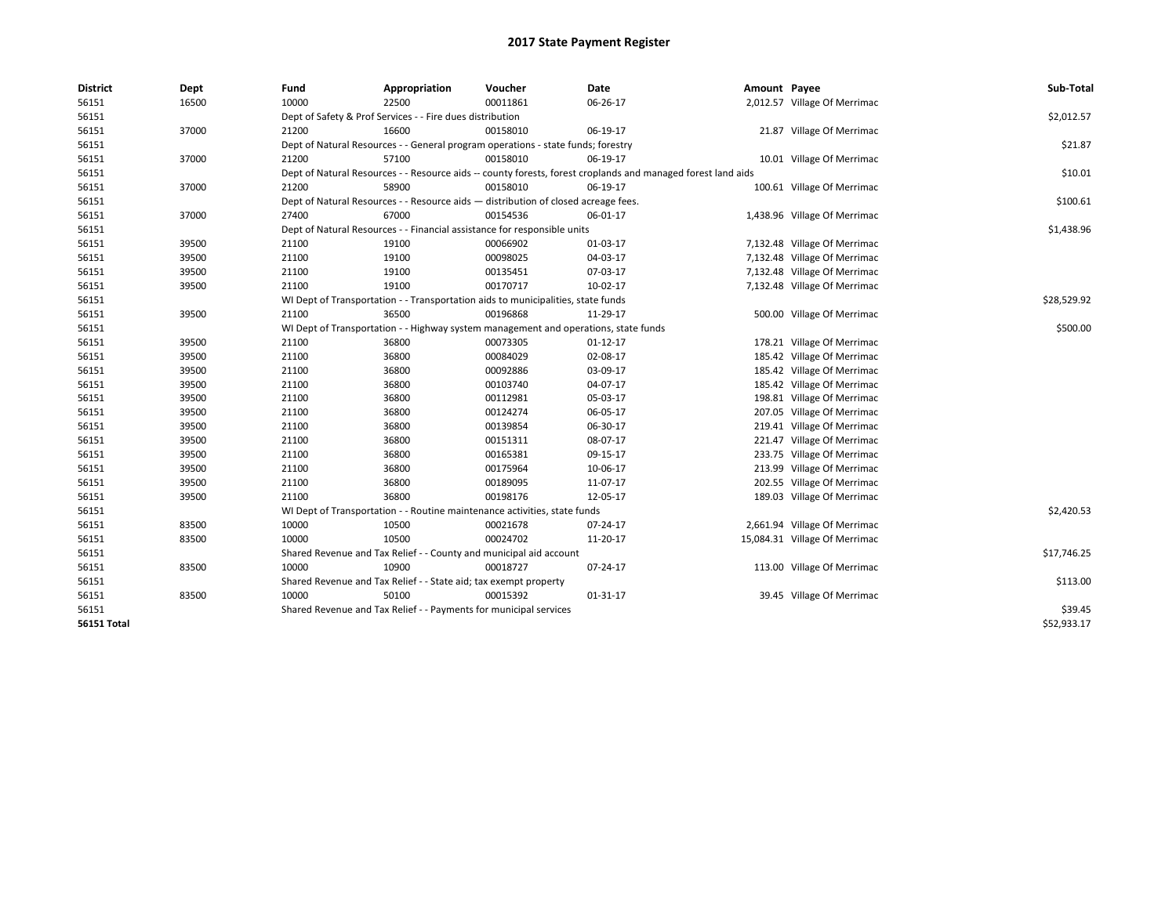| <b>District</b>    | Dept  | Fund  | Appropriation                                                                                                | Voucher  | Date           | Amount Payee |                               | Sub-Total   |
|--------------------|-------|-------|--------------------------------------------------------------------------------------------------------------|----------|----------------|--------------|-------------------------------|-------------|
| 56151              | 16500 | 10000 | 22500                                                                                                        | 00011861 | 06-26-17       |              | 2,012.57 Village Of Merrimac  |             |
| 56151              |       |       | Dept of Safety & Prof Services - - Fire dues distribution                                                    |          |                |              |                               | \$2,012.57  |
| 56151              | 37000 | 21200 | 16600                                                                                                        | 00158010 | 06-19-17       |              | 21.87 Village Of Merrimac     |             |
| 56151              |       |       | Dept of Natural Resources - - General program operations - state funds; forestry                             |          |                |              |                               | \$21.87     |
| 56151              | 37000 | 21200 | 57100                                                                                                        | 00158010 | 06-19-17       |              | 10.01 Village Of Merrimac     |             |
| 56151              |       |       | Dept of Natural Resources - - Resource aids -- county forests, forest croplands and managed forest land aids |          |                |              |                               | \$10.01     |
| 56151              | 37000 | 21200 | 58900                                                                                                        | 00158010 | 06-19-17       |              | 100.61 Village Of Merrimac    |             |
| 56151              |       |       | Dept of Natural Resources - - Resource aids - distribution of closed acreage fees.                           |          |                |              |                               | \$100.61    |
| 56151              | 37000 | 27400 | 67000                                                                                                        | 00154536 | 06-01-17       |              | 1,438.96 Village Of Merrimac  |             |
| 56151              |       |       | Dept of Natural Resources - - Financial assistance for responsible units                                     |          |                |              |                               | \$1,438.96  |
| 56151              | 39500 | 21100 | 19100                                                                                                        | 00066902 | 01-03-17       |              | 7,132.48 Village Of Merrimac  |             |
| 56151              | 39500 | 21100 | 19100                                                                                                        | 00098025 | 04-03-17       |              | 7,132.48 Village Of Merrimac  |             |
| 56151              | 39500 | 21100 | 19100                                                                                                        | 00135451 | 07-03-17       |              | 7,132.48 Village Of Merrimac  |             |
| 56151              | 39500 | 21100 | 19100                                                                                                        | 00170717 | $10-02-17$     |              | 7,132.48 Village Of Merrimac  |             |
| 56151              |       |       | WI Dept of Transportation - - Transportation aids to municipalities, state funds                             |          |                |              |                               | \$28,529.92 |
| 56151              | 39500 | 21100 | 36500                                                                                                        | 00196868 | 11-29-17       |              | 500.00 Village Of Merrimac    |             |
| 56151              |       |       | WI Dept of Transportation - - Highway system management and operations, state funds                          |          |                |              |                               | \$500.00    |
| 56151              | 39500 | 21100 | 36800                                                                                                        | 00073305 | $01-12-17$     |              | 178.21 Village Of Merrimac    |             |
| 56151              | 39500 | 21100 | 36800                                                                                                        | 00084029 | 02-08-17       |              | 185.42 Village Of Merrimac    |             |
| 56151              | 39500 | 21100 | 36800                                                                                                        | 00092886 | 03-09-17       |              | 185.42 Village Of Merrimac    |             |
| 56151              | 39500 | 21100 | 36800                                                                                                        | 00103740 | 04-07-17       |              | 185.42 Village Of Merrimac    |             |
| 56151              | 39500 | 21100 | 36800                                                                                                        | 00112981 | 05-03-17       |              | 198.81 Village Of Merrimac    |             |
| 56151              | 39500 | 21100 | 36800                                                                                                        | 00124274 | 06-05-17       |              | 207.05 Village Of Merrimac    |             |
| 56151              | 39500 | 21100 | 36800                                                                                                        | 00139854 | 06-30-17       |              | 219.41 Village Of Merrimac    |             |
| 56151              | 39500 | 21100 | 36800                                                                                                        | 00151311 | 08-07-17       |              | 221.47 Village Of Merrimac    |             |
| 56151              | 39500 | 21100 | 36800                                                                                                        | 00165381 | 09-15-17       |              | 233.75 Village Of Merrimac    |             |
| 56151              | 39500 | 21100 | 36800                                                                                                        | 00175964 | 10-06-17       |              | 213.99 Village Of Merrimac    |             |
| 56151              | 39500 | 21100 | 36800                                                                                                        | 00189095 | 11-07-17       |              | 202.55 Village Of Merrimac    |             |
| 56151              | 39500 | 21100 | 36800                                                                                                        | 00198176 | 12-05-17       |              | 189.03 Village Of Merrimac    |             |
| 56151              |       |       | WI Dept of Transportation - - Routine maintenance activities, state funds                                    |          |                |              |                               | \$2,420.53  |
| 56151              | 83500 | 10000 | 10500                                                                                                        | 00021678 | 07-24-17       |              | 2,661.94 Village Of Merrimac  |             |
| 56151              | 83500 | 10000 | 10500                                                                                                        | 00024702 | 11-20-17       |              | 15,084.31 Village Of Merrimac |             |
| 56151              |       |       | Shared Revenue and Tax Relief - - County and municipal aid account                                           |          |                |              |                               | \$17,746.25 |
| 56151              | 83500 | 10000 | 10900                                                                                                        | 00018727 | $07 - 24 - 17$ |              | 113.00 Village Of Merrimac    |             |
| 56151              |       |       | Shared Revenue and Tax Relief - - State aid; tax exempt property                                             |          |                |              |                               | \$113.00    |
| 56151              | 83500 | 10000 | 50100                                                                                                        | 00015392 | 01-31-17       |              | 39.45 Village Of Merrimac     |             |
| 56151              |       |       | Shared Revenue and Tax Relief - - Payments for municipal services                                            |          |                |              |                               | \$39.45     |
| <b>56151 Total</b> |       |       |                                                                                                              |          |                |              |                               | \$52,933.17 |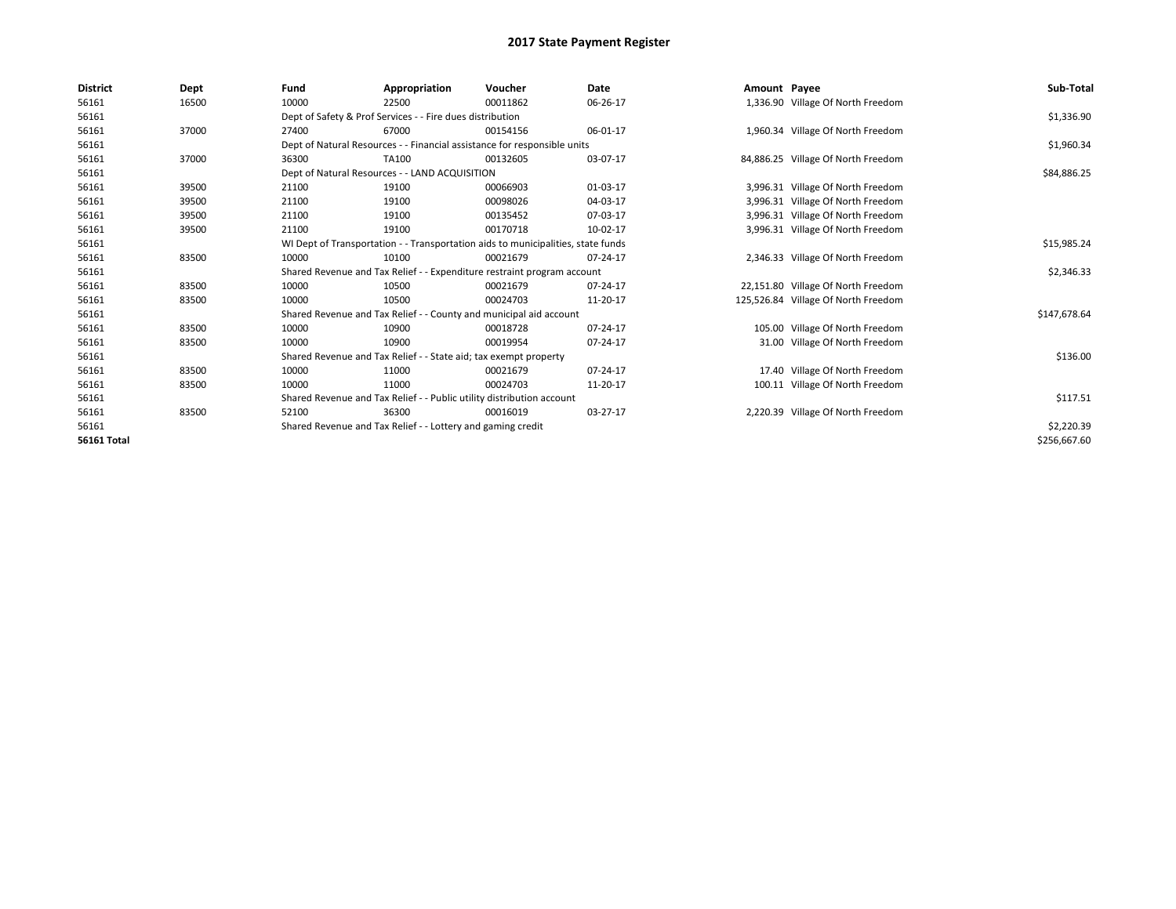| <b>District</b>    | Dept  | Fund  | Appropriation                                                                    | Voucher  | Date     | Amount Payee |                                     | Sub-Total    |
|--------------------|-------|-------|----------------------------------------------------------------------------------|----------|----------|--------------|-------------------------------------|--------------|
| 56161              | 16500 | 10000 | 22500                                                                            | 00011862 | 06-26-17 |              | 1,336.90 Village Of North Freedom   |              |
| 56161              |       |       | Dept of Safety & Prof Services - - Fire dues distribution                        |          |          |              |                                     | \$1,336.90   |
| 56161              | 37000 | 27400 | 67000                                                                            | 00154156 | 06-01-17 |              | 1,960.34 Village Of North Freedom   |              |
| 56161              |       |       | Dept of Natural Resources - - Financial assistance for responsible units         |          |          |              |                                     | \$1,960.34   |
| 56161              | 37000 | 36300 | TA100                                                                            | 00132605 | 03-07-17 |              | 84,886.25 Village Of North Freedom  |              |
| 56161              |       |       | Dept of Natural Resources - - LAND ACQUISITION                                   |          |          |              |                                     | \$84,886.25  |
| 56161              | 39500 | 21100 | 19100                                                                            | 00066903 | 01-03-17 |              | 3,996.31 Village Of North Freedom   |              |
| 56161              | 39500 | 21100 | 19100                                                                            | 00098026 | 04-03-17 |              | 3,996.31 Village Of North Freedom   |              |
| 56161              | 39500 | 21100 | 19100                                                                            | 00135452 | 07-03-17 |              | 3,996.31 Village Of North Freedom   |              |
| 56161              | 39500 | 21100 | 19100                                                                            | 00170718 | 10-02-17 |              | 3,996.31 Village Of North Freedom   |              |
| 56161              |       |       | WI Dept of Transportation - - Transportation aids to municipalities, state funds |          |          |              |                                     | \$15,985.24  |
| 56161              | 83500 | 10000 | 10100                                                                            | 00021679 | 07-24-17 |              | 2,346.33 Village Of North Freedom   |              |
| 56161              |       |       | Shared Revenue and Tax Relief - - Expenditure restraint program account          |          |          |              |                                     | \$2,346.33   |
| 56161              | 83500 | 10000 | 10500                                                                            | 00021679 | 07-24-17 |              | 22,151.80 Village Of North Freedom  |              |
| 56161              | 83500 | 10000 | 10500                                                                            | 00024703 | 11-20-17 |              | 125,526.84 Village Of North Freedom |              |
| 56161              |       |       | Shared Revenue and Tax Relief - - County and municipal aid account               |          |          |              |                                     | \$147,678.64 |
| 56161              | 83500 | 10000 | 10900                                                                            | 00018728 | 07-24-17 |              | 105.00 Village Of North Freedom     |              |
| 56161              | 83500 | 10000 | 10900                                                                            | 00019954 | 07-24-17 |              | 31.00 Village Of North Freedom      |              |
| 56161              |       |       | Shared Revenue and Tax Relief - - State aid; tax exempt property                 |          |          |              |                                     | \$136.00     |
| 56161              | 83500 | 10000 | 11000                                                                            | 00021679 | 07-24-17 |              | 17.40 Village Of North Freedom      |              |
| 56161              | 83500 | 10000 | 11000                                                                            | 00024703 | 11-20-17 |              | 100.11 Village Of North Freedom     |              |
| 56161              |       |       | Shared Revenue and Tax Relief - - Public utility distribution account            |          |          |              |                                     | \$117.51     |
| 56161              | 83500 | 52100 | 36300                                                                            | 00016019 | 03-27-17 |              | 2,220.39 Village Of North Freedom   |              |
| 56161              |       |       | Shared Revenue and Tax Relief - - Lottery and gaming credit                      |          |          |              |                                     | \$2,220.39   |
| <b>56161 Total</b> |       |       |                                                                                  |          |          |              |                                     | \$256,667.60 |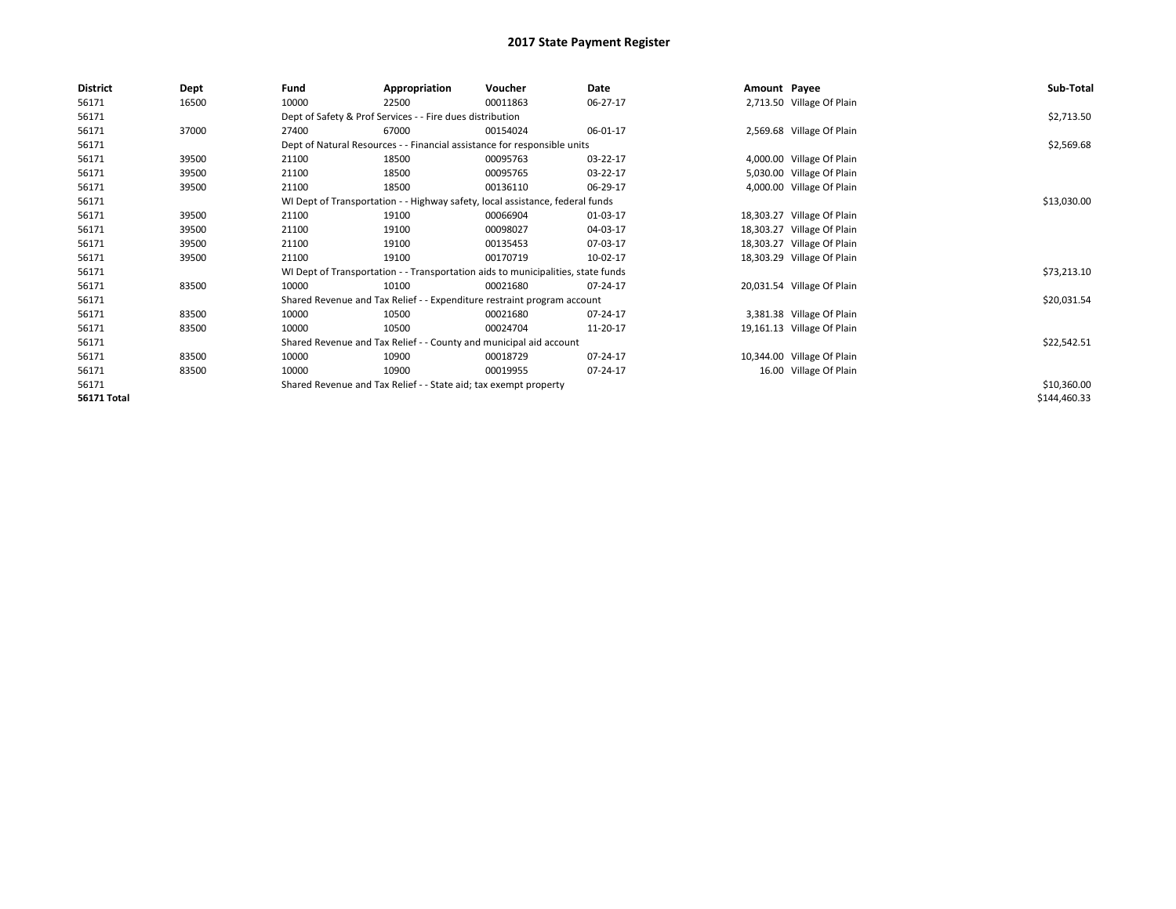| <b>District</b>    | Dept  | Fund  | Appropriation                                                                    | Voucher  | Date     | Amount Payee |                            | Sub-Total    |
|--------------------|-------|-------|----------------------------------------------------------------------------------|----------|----------|--------------|----------------------------|--------------|
| 56171              | 16500 | 10000 | 22500                                                                            | 00011863 | 06-27-17 |              | 2,713.50 Village Of Plain  |              |
| 56171              |       |       | Dept of Safety & Prof Services - - Fire dues distribution                        |          |          |              |                            | \$2,713.50   |
| 56171              | 37000 | 27400 | 67000                                                                            | 00154024 | 06-01-17 |              | 2,569.68 Village Of Plain  |              |
| 56171              |       |       | Dept of Natural Resources - - Financial assistance for responsible units         |          |          |              |                            | \$2,569.68   |
| 56171              | 39500 | 21100 | 18500                                                                            | 00095763 | 03-22-17 |              | 4,000.00 Village Of Plain  |              |
| 56171              | 39500 | 21100 | 18500                                                                            | 00095765 | 03-22-17 |              | 5,030.00 Village Of Plain  |              |
| 56171              | 39500 | 21100 | 18500                                                                            | 00136110 | 06-29-17 |              | 4,000.00 Village Of Plain  |              |
| 56171              |       |       | WI Dept of Transportation - - Highway safety, local assistance, federal funds    |          |          |              |                            | \$13,030.00  |
| 56171              | 39500 | 21100 | 19100                                                                            | 00066904 | 01-03-17 |              | 18,303.27 Village Of Plain |              |
| 56171              | 39500 | 21100 | 19100                                                                            | 00098027 | 04-03-17 |              | 18,303.27 Village Of Plain |              |
| 56171              | 39500 | 21100 | 19100                                                                            | 00135453 | 07-03-17 |              | 18,303.27 Village Of Plain |              |
| 56171              | 39500 | 21100 | 19100                                                                            | 00170719 | 10-02-17 |              | 18,303.29 Village Of Plain |              |
| 56171              |       |       | WI Dept of Transportation - - Transportation aids to municipalities, state funds |          |          |              |                            | \$73,213.10  |
| 56171              | 83500 | 10000 | 10100                                                                            | 00021680 | 07-24-17 |              | 20,031.54 Village Of Plain |              |
| 56171              |       |       | Shared Revenue and Tax Relief - - Expenditure restraint program account          |          |          |              |                            | \$20,031.54  |
| 56171              | 83500 | 10000 | 10500                                                                            | 00021680 | 07-24-17 |              | 3,381.38 Village Of Plain  |              |
| 56171              | 83500 | 10000 | 10500                                                                            | 00024704 | 11-20-17 |              | 19,161.13 Village Of Plain |              |
| 56171              |       |       | Shared Revenue and Tax Relief - - County and municipal aid account               |          |          |              |                            | \$22,542.51  |
| 56171              | 83500 | 10000 | 10900                                                                            | 00018729 | 07-24-17 |              | 10,344.00 Village Of Plain |              |
| 56171              | 83500 | 10000 | 10900                                                                            | 00019955 | 07-24-17 |              | 16.00 Village Of Plain     |              |
| 56171              |       |       | Shared Revenue and Tax Relief - - State aid; tax exempt property                 |          |          |              |                            | \$10,360.00  |
| <b>56171 Total</b> |       |       |                                                                                  |          |          |              |                            | \$144,460.33 |
|                    |       |       |                                                                                  |          |          |              |                            |              |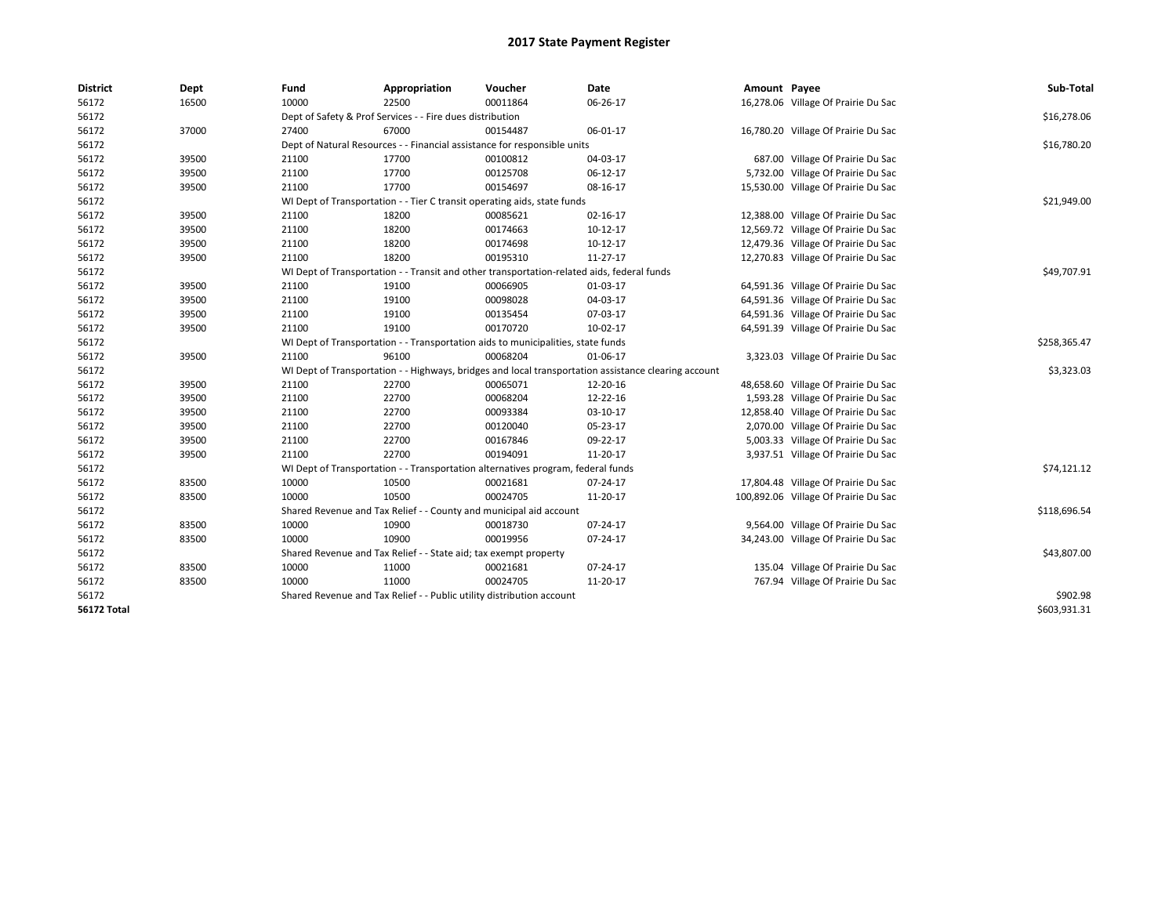| <b>District</b>    | Dept  | Fund  | Appropriation                                                                              | Voucher  | Date                                                                                                 | Amount Payee |                                      | Sub-Total    |
|--------------------|-------|-------|--------------------------------------------------------------------------------------------|----------|------------------------------------------------------------------------------------------------------|--------------|--------------------------------------|--------------|
| 56172              | 16500 | 10000 | 22500                                                                                      | 00011864 | 06-26-17                                                                                             |              | 16,278.06 Village Of Prairie Du Sac  |              |
| 56172              |       |       | Dept of Safety & Prof Services - - Fire dues distribution                                  |          |                                                                                                      |              |                                      | \$16,278.06  |
| 56172              | 37000 | 27400 | 67000                                                                                      | 00154487 | 06-01-17                                                                                             |              | 16,780.20 Village Of Prairie Du Sac  |              |
| 56172              |       |       | Dept of Natural Resources - - Financial assistance for responsible units                   |          |                                                                                                      |              |                                      | \$16,780.20  |
| 56172              | 39500 | 21100 | 17700                                                                                      | 00100812 | 04-03-17                                                                                             |              | 687.00 Village Of Prairie Du Sac     |              |
| 56172              | 39500 | 21100 | 17700                                                                                      | 00125708 | 06-12-17                                                                                             |              | 5,732.00 Village Of Prairie Du Sac   |              |
| 56172              | 39500 | 21100 | 17700                                                                                      | 00154697 | 08-16-17                                                                                             |              | 15,530.00 Village Of Prairie Du Sac  |              |
| 56172              |       |       | WI Dept of Transportation - - Tier C transit operating aids, state funds                   |          |                                                                                                      |              |                                      | \$21,949.00  |
| 56172              | 39500 | 21100 | 18200                                                                                      | 00085621 | 02-16-17                                                                                             |              | 12,388.00 Village Of Prairie Du Sac  |              |
| 56172              | 39500 | 21100 | 18200                                                                                      | 00174663 | 10-12-17                                                                                             |              | 12,569.72 Village Of Prairie Du Sac  |              |
| 56172              | 39500 | 21100 | 18200                                                                                      | 00174698 | 10-12-17                                                                                             |              | 12,479.36 Village Of Prairie Du Sac  |              |
| 56172              | 39500 | 21100 | 18200                                                                                      | 00195310 | 11-27-17                                                                                             |              | 12,270.83 Village Of Prairie Du Sac  |              |
| 56172              |       |       | WI Dept of Transportation - - Transit and other transportation-related aids, federal funds |          |                                                                                                      |              |                                      | \$49,707.91  |
| 56172              | 39500 | 21100 | 19100                                                                                      | 00066905 | 01-03-17                                                                                             |              | 64,591.36 Village Of Prairie Du Sac  |              |
| 56172              | 39500 | 21100 | 19100                                                                                      | 00098028 | 04-03-17                                                                                             |              | 64,591.36 Village Of Prairie Du Sac  |              |
| 56172              | 39500 | 21100 | 19100                                                                                      | 00135454 | 07-03-17                                                                                             |              | 64,591.36 Village Of Prairie Du Sac  |              |
| 56172              | 39500 | 21100 | 19100                                                                                      | 00170720 | 10-02-17                                                                                             |              | 64,591.39 Village Of Prairie Du Sac  |              |
| 56172              |       |       | WI Dept of Transportation - - Transportation aids to municipalities, state funds           |          |                                                                                                      |              |                                      | \$258,365.47 |
| 56172              | 39500 | 21100 | 96100                                                                                      | 00068204 | 01-06-17                                                                                             |              | 3,323.03 Village Of Prairie Du Sac   |              |
| 56172              |       |       |                                                                                            |          | WI Dept of Transportation - - Highways, bridges and local transportation assistance clearing account |              |                                      | \$3,323.03   |
| 56172              | 39500 | 21100 | 22700                                                                                      | 00065071 | 12-20-16                                                                                             |              | 48,658.60 Village Of Prairie Du Sac  |              |
| 56172              | 39500 | 21100 | 22700                                                                                      | 00068204 | 12-22-16                                                                                             |              | 1,593.28 Village Of Prairie Du Sac   |              |
| 56172              | 39500 | 21100 | 22700                                                                                      | 00093384 | 03-10-17                                                                                             |              | 12,858.40 Village Of Prairie Du Sac  |              |
| 56172              | 39500 | 21100 | 22700                                                                                      | 00120040 | 05-23-17                                                                                             |              | 2,070.00 Village Of Prairie Du Sac   |              |
| 56172              | 39500 | 21100 | 22700                                                                                      | 00167846 | 09-22-17                                                                                             |              | 5,003.33 Village Of Prairie Du Sac   |              |
| 56172              | 39500 | 21100 | 22700                                                                                      | 00194091 | 11-20-17                                                                                             |              | 3,937.51 Village Of Prairie Du Sac   |              |
| 56172              |       |       | WI Dept of Transportation - - Transportation alternatives program, federal funds           |          |                                                                                                      |              |                                      | \$74,121.12  |
| 56172              | 83500 | 10000 | 10500                                                                                      | 00021681 | 07-24-17                                                                                             |              | 17,804.48 Village Of Prairie Du Sac  |              |
| 56172              | 83500 | 10000 | 10500                                                                                      | 00024705 | 11-20-17                                                                                             |              | 100,892.06 Village Of Prairie Du Sac |              |
| 56172              |       |       | Shared Revenue and Tax Relief - - County and municipal aid account                         |          |                                                                                                      |              |                                      | \$118,696.54 |
| 56172              | 83500 | 10000 | 10900                                                                                      | 00018730 | 07-24-17                                                                                             |              | 9,564.00 Village Of Prairie Du Sac   |              |
| 56172              | 83500 | 10000 | 10900                                                                                      | 00019956 | 07-24-17                                                                                             |              | 34,243.00 Village Of Prairie Du Sac  |              |
| 56172              |       |       | Shared Revenue and Tax Relief - - State aid; tax exempt property                           |          |                                                                                                      |              |                                      | \$43,807.00  |
| 56172              | 83500 | 10000 | 11000                                                                                      | 00021681 | 07-24-17                                                                                             |              | 135.04 Village Of Prairie Du Sac     |              |
| 56172              | 83500 | 10000 | 11000                                                                                      | 00024705 | 11-20-17                                                                                             |              | 767.94 Village Of Prairie Du Sac     |              |
| 56172              |       |       | Shared Revenue and Tax Relief - - Public utility distribution account                      |          |                                                                                                      |              |                                      | \$902.98     |
| <b>56172 Total</b> |       |       |                                                                                            |          |                                                                                                      |              |                                      | \$603,931.31 |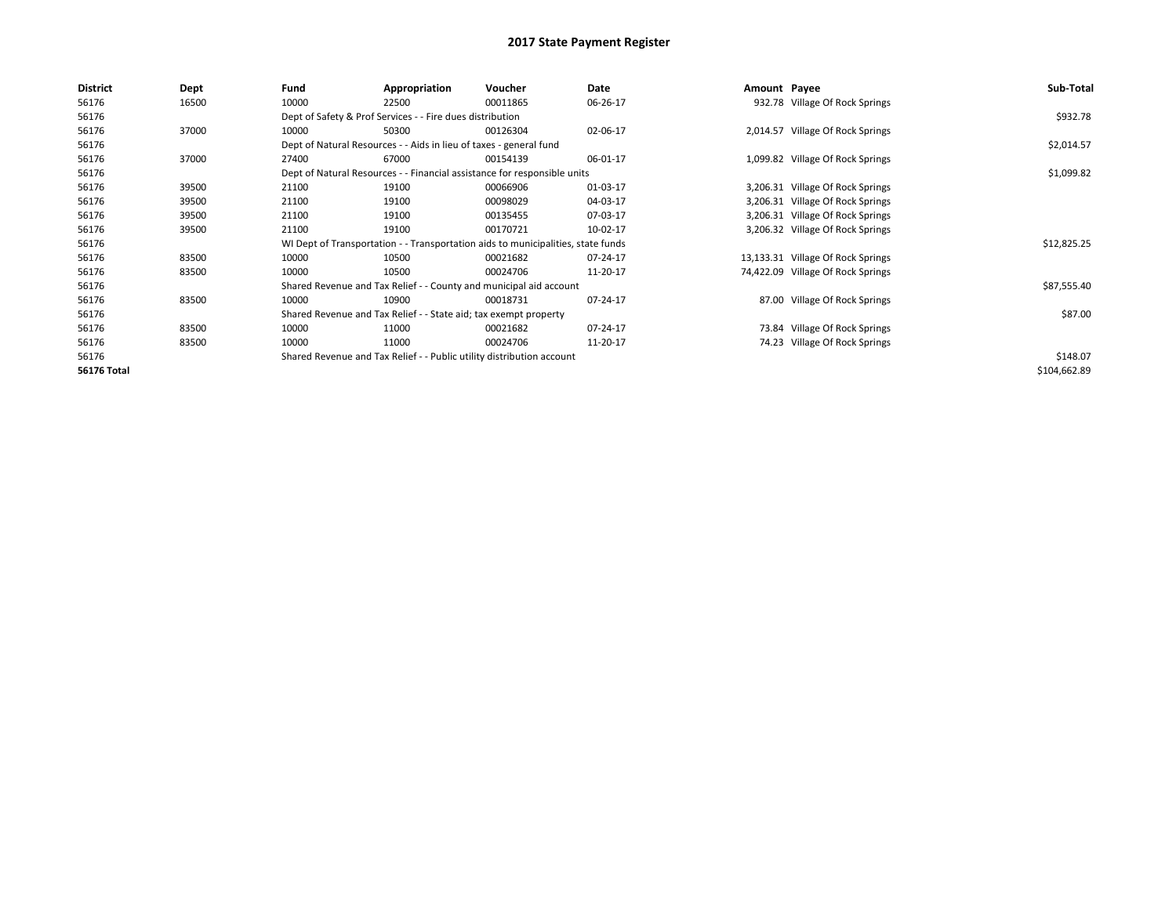| <b>District</b>    | <b>Dept</b> | Fund  | Appropriation                                                                    | Voucher  | Date     | Amount Payee |                                   | Sub-Total    |
|--------------------|-------------|-------|----------------------------------------------------------------------------------|----------|----------|--------------|-----------------------------------|--------------|
| 56176              | 16500       | 10000 | 22500                                                                            | 00011865 | 06-26-17 |              | 932.78 Village Of Rock Springs    |              |
| 56176              |             |       | Dept of Safety & Prof Services - - Fire dues distribution                        |          |          |              |                                   | \$932.78     |
| 56176              | 37000       | 10000 | 50300                                                                            | 00126304 | 02-06-17 |              | 2,014.57 Village Of Rock Springs  |              |
| 56176              |             |       | Dept of Natural Resources - - Aids in lieu of taxes - general fund               |          |          |              |                                   | \$2,014.57   |
| 56176              | 37000       | 27400 | 67000                                                                            | 00154139 | 06-01-17 |              | 1,099.82 Village Of Rock Springs  |              |
| 56176              |             |       | Dept of Natural Resources - - Financial assistance for responsible units         |          |          |              |                                   | \$1,099.82   |
| 56176              | 39500       | 21100 | 19100                                                                            | 00066906 | 01-03-17 |              | 3,206.31 Village Of Rock Springs  |              |
| 56176              | 39500       | 21100 | 19100                                                                            | 00098029 | 04-03-17 |              | 3,206.31 Village Of Rock Springs  |              |
| 56176              | 39500       | 21100 | 19100                                                                            | 00135455 | 07-03-17 |              | 3,206.31 Village Of Rock Springs  |              |
| 56176              | 39500       | 21100 | 19100                                                                            | 00170721 | 10-02-17 |              | 3,206.32 Village Of Rock Springs  |              |
| 56176              |             |       | WI Dept of Transportation - - Transportation aids to municipalities, state funds |          |          |              |                                   | \$12,825.25  |
| 56176              | 83500       | 10000 | 10500                                                                            | 00021682 | 07-24-17 |              | 13,133.31 Village Of Rock Springs |              |
| 56176              | 83500       | 10000 | 10500                                                                            | 00024706 | 11-20-17 |              | 74,422.09 Village Of Rock Springs |              |
| 56176              |             |       | Shared Revenue and Tax Relief - - County and municipal aid account               |          |          |              |                                   | \$87,555.40  |
| 56176              | 83500       | 10000 | 10900                                                                            | 00018731 | 07-24-17 |              | 87.00 Village Of Rock Springs     |              |
| 56176              |             |       | Shared Revenue and Tax Relief - - State aid; tax exempt property                 |          |          |              |                                   | \$87.00      |
| 56176              | 83500       | 10000 | 11000                                                                            | 00021682 | 07-24-17 |              | 73.84 Village Of Rock Springs     |              |
| 56176              | 83500       | 10000 | 11000                                                                            | 00024706 | 11-20-17 |              | 74.23 Village Of Rock Springs     |              |
| 56176              |             |       | Shared Revenue and Tax Relief - - Public utility distribution account            |          |          |              |                                   | \$148.07     |
| <b>56176 Total</b> |             |       |                                                                                  |          |          |              |                                   | \$104,662.89 |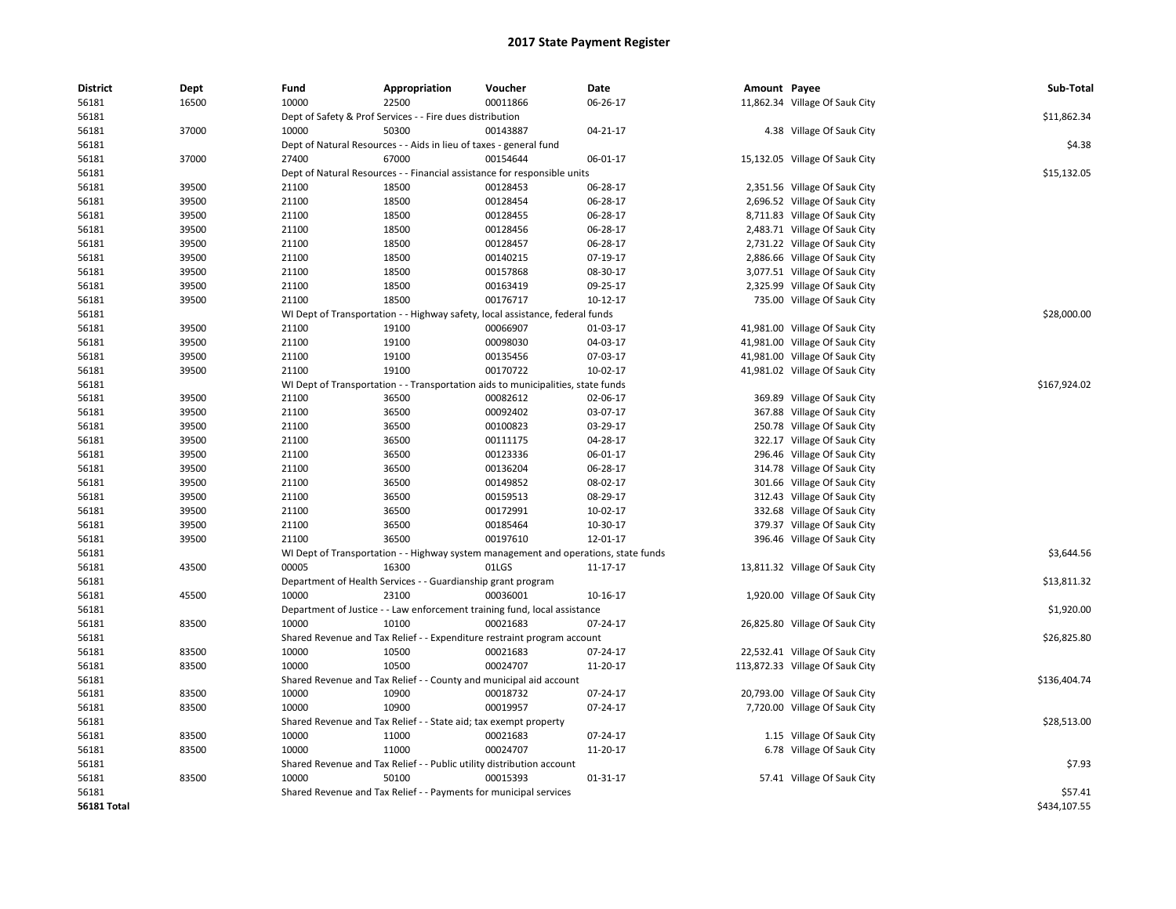| <b>District</b> | <b>Dept</b> | Fund  | Appropriation                                                                       | Voucher  | Date     | Amount Payee |                                 | Sub-Total    |
|-----------------|-------------|-------|-------------------------------------------------------------------------------------|----------|----------|--------------|---------------------------------|--------------|
| 56181           | 16500       | 10000 | 22500                                                                               | 00011866 | 06-26-17 |              | 11,862.34 Village Of Sauk City  |              |
| 56181           |             |       | Dept of Safety & Prof Services - - Fire dues distribution                           |          |          |              |                                 | \$11,862.34  |
| 56181           | 37000       | 10000 | 50300                                                                               | 00143887 | 04-21-17 |              | 4.38 Village Of Sauk City       |              |
| 56181           |             |       | Dept of Natural Resources - - Aids in lieu of taxes - general fund                  |          |          |              |                                 | \$4.38       |
| 56181           | 37000       | 27400 | 67000                                                                               | 00154644 | 06-01-17 |              | 15,132.05 Village Of Sauk City  |              |
| 56181           |             |       | Dept of Natural Resources - - Financial assistance for responsible units            |          |          |              |                                 | \$15,132.05  |
| 56181           | 39500       | 21100 | 18500                                                                               | 00128453 | 06-28-17 |              | 2,351.56 Village Of Sauk City   |              |
| 56181           | 39500       | 21100 | 18500                                                                               | 00128454 | 06-28-17 |              | 2,696.52 Village Of Sauk City   |              |
| 56181           | 39500       | 21100 | 18500                                                                               | 00128455 | 06-28-17 |              | 8,711.83 Village Of Sauk City   |              |
| 56181           | 39500       | 21100 | 18500                                                                               | 00128456 | 06-28-17 |              | 2,483.71 Village Of Sauk City   |              |
| 56181           | 39500       | 21100 | 18500                                                                               | 00128457 | 06-28-17 |              | 2,731.22 Village Of Sauk City   |              |
| 56181           | 39500       | 21100 | 18500                                                                               | 00140215 | 07-19-17 |              | 2,886.66 Village Of Sauk City   |              |
| 56181           | 39500       | 21100 | 18500                                                                               | 00157868 | 08-30-17 |              | 3,077.51 Village Of Sauk City   |              |
| 56181           | 39500       | 21100 | 18500                                                                               | 00163419 | 09-25-17 |              | 2,325.99 Village Of Sauk City   |              |
| 56181           | 39500       | 21100 | 18500                                                                               | 00176717 | 10-12-17 |              | 735.00 Village Of Sauk City     |              |
| 56181           |             |       | WI Dept of Transportation - - Highway safety, local assistance, federal funds       |          |          |              |                                 | \$28,000.00  |
| 56181           | 39500       | 21100 | 19100                                                                               | 00066907 | 01-03-17 |              | 41,981.00 Village Of Sauk City  |              |
| 56181           | 39500       | 21100 | 19100                                                                               | 00098030 | 04-03-17 |              | 41,981.00 Village Of Sauk City  |              |
| 56181           | 39500       | 21100 | 19100                                                                               | 00135456 | 07-03-17 |              | 41,981.00 Village Of Sauk City  |              |
| 56181           | 39500       | 21100 | 19100                                                                               | 00170722 | 10-02-17 |              | 41,981.02 Village Of Sauk City  |              |
| 56181           |             |       | WI Dept of Transportation - - Transportation aids to municipalities, state funds    |          |          |              |                                 | \$167,924.02 |
| 56181           | 39500       | 21100 | 36500                                                                               | 00082612 | 02-06-17 |              | 369.89 Village Of Sauk City     |              |
| 56181           | 39500       | 21100 | 36500                                                                               | 00092402 | 03-07-17 |              | 367.88 Village Of Sauk City     |              |
| 56181           | 39500       | 21100 | 36500                                                                               | 00100823 | 03-29-17 |              | 250.78 Village Of Sauk City     |              |
| 56181           | 39500       | 21100 | 36500                                                                               | 00111175 | 04-28-17 |              | 322.17 Village Of Sauk City     |              |
| 56181           | 39500       | 21100 | 36500                                                                               | 00123336 | 06-01-17 |              | 296.46 Village Of Sauk City     |              |
| 56181           | 39500       | 21100 | 36500                                                                               | 00136204 | 06-28-17 |              | 314.78 Village Of Sauk City     |              |
| 56181           | 39500       | 21100 | 36500                                                                               | 00149852 | 08-02-17 |              | 301.66 Village Of Sauk City     |              |
| 56181           | 39500       | 21100 | 36500                                                                               | 00159513 | 08-29-17 |              | 312.43 Village Of Sauk City     |              |
| 56181           | 39500       | 21100 | 36500                                                                               | 00172991 | 10-02-17 |              | 332.68 Village Of Sauk City     |              |
| 56181           | 39500       | 21100 | 36500                                                                               | 00185464 | 10-30-17 |              | 379.37 Village Of Sauk City     |              |
| 56181           | 39500       | 21100 | 36500                                                                               | 00197610 | 12-01-17 |              | 396.46 Village Of Sauk City     |              |
| 56181           |             |       | WI Dept of Transportation - - Highway system management and operations, state funds |          |          |              |                                 | \$3,644.56   |
| 56181           | 43500       | 00005 | 16300                                                                               | 01LGS    | 11-17-17 |              | 13,811.32 Village Of Sauk City  |              |
| 56181           |             |       | Department of Health Services - - Guardianship grant program                        |          |          |              |                                 | \$13,811.32  |
| 56181           | 45500       | 10000 | 23100                                                                               | 00036001 | 10-16-17 |              | 1,920.00 Village Of Sauk City   |              |
| 56181           |             |       | Department of Justice - - Law enforcement training fund, local assistance           |          |          |              |                                 | \$1,920.00   |
| 56181           | 83500       | 10000 | 10100                                                                               | 00021683 | 07-24-17 |              | 26,825.80 Village Of Sauk City  |              |
| 56181           |             |       | Shared Revenue and Tax Relief - - Expenditure restraint program account             |          |          |              |                                 | \$26,825.80  |
| 56181           | 83500       | 10000 | 10500                                                                               | 00021683 | 07-24-17 |              | 22,532.41 Village Of Sauk City  |              |
| 56181           | 83500       | 10000 | 10500                                                                               | 00024707 | 11-20-17 |              | 113,872.33 Village Of Sauk City |              |
| 56181           |             |       | Shared Revenue and Tax Relief - - County and municipal aid account                  |          |          |              |                                 | \$136,404.74 |
| 56181           | 83500       | 10000 | 10900                                                                               | 00018732 | 07-24-17 |              | 20,793.00 Village Of Sauk City  |              |
| 56181           | 83500       | 10000 | 10900                                                                               | 00019957 | 07-24-17 |              | 7,720.00 Village Of Sauk City   |              |
| 56181           |             |       | Shared Revenue and Tax Relief - - State aid; tax exempt property                    |          |          |              |                                 | \$28,513.00  |
| 56181           | 83500       | 10000 | 11000                                                                               | 00021683 | 07-24-17 |              | 1.15 Village Of Sauk City       |              |
| 56181           | 83500       | 10000 | 11000                                                                               | 00024707 | 11-20-17 |              | 6.78 Village Of Sauk City       |              |
| 56181           |             |       | Shared Revenue and Tax Relief - - Public utility distribution account               |          |          |              |                                 | \$7.93       |
| 56181           | 83500       | 10000 | 50100                                                                               | 00015393 | 01-31-17 |              | 57.41 Village Of Sauk City      |              |
| 56181           |             |       | Shared Revenue and Tax Relief - - Payments for municipal services                   |          |          |              |                                 | \$57.41      |
| 56181 Total     |             |       |                                                                                     |          |          |              |                                 | \$434,107.55 |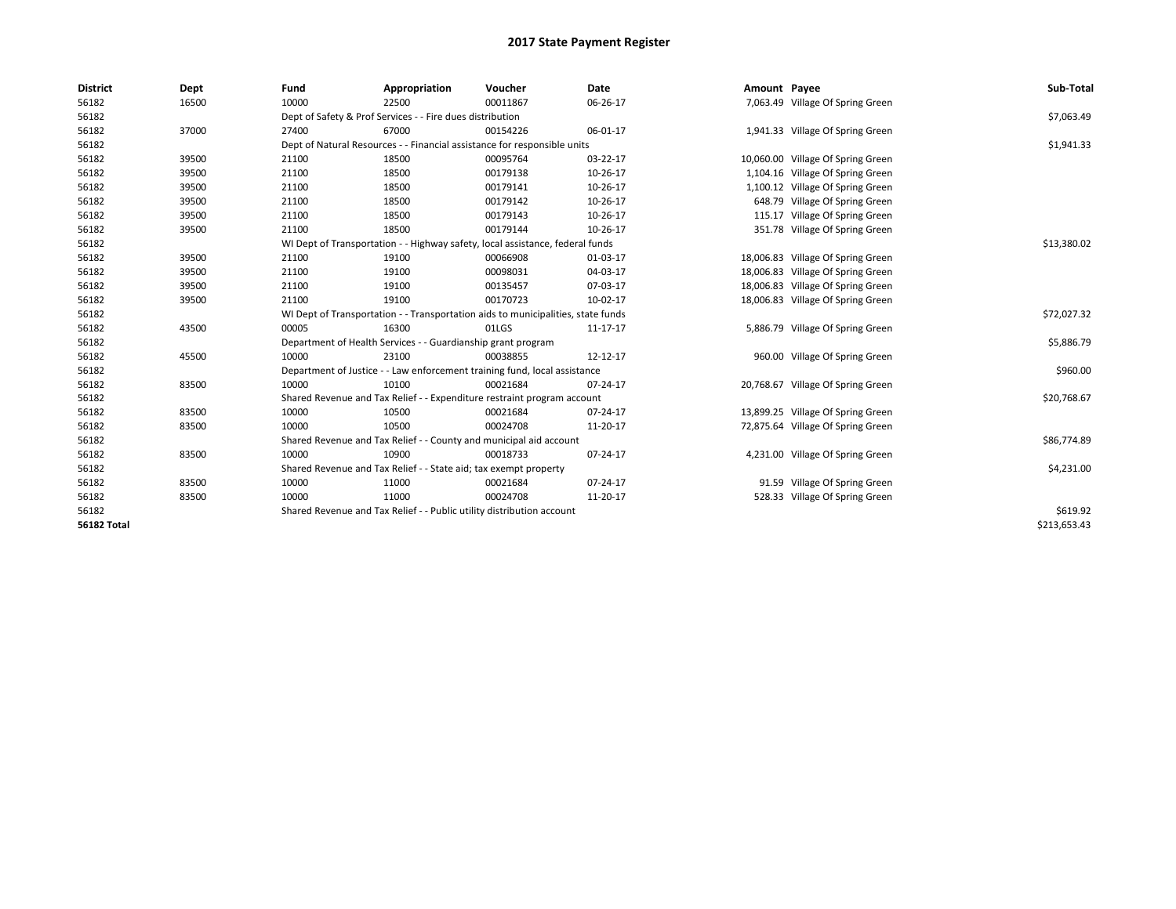| <b>District</b>    | Dept  | Fund  | Appropriation                                                                    | Voucher  | Date        | Amount Payee |                                   | Sub-Total    |
|--------------------|-------|-------|----------------------------------------------------------------------------------|----------|-------------|--------------|-----------------------------------|--------------|
| 56182              | 16500 | 10000 | 22500                                                                            | 00011867 | 06-26-17    |              | 7,063.49 Village Of Spring Green  |              |
| 56182              |       |       | Dept of Safety & Prof Services - - Fire dues distribution                        |          |             |              |                                   | \$7,063.49   |
| 56182              | 37000 | 27400 | 67000                                                                            | 00154226 | 06-01-17    |              | 1,941.33 Village Of Spring Green  |              |
| 56182              |       |       | Dept of Natural Resources - - Financial assistance for responsible units         |          |             |              |                                   | \$1,941.33   |
| 56182              | 39500 | 21100 | 18500                                                                            | 00095764 | 03-22-17    |              | 10,060.00 Village Of Spring Green |              |
| 56182              | 39500 | 21100 | 18500                                                                            | 00179138 | 10-26-17    |              | 1,104.16 Village Of Spring Green  |              |
| 56182              | 39500 | 21100 | 18500                                                                            | 00179141 | 10-26-17    |              | 1,100.12 Village Of Spring Green  |              |
| 56182              | 39500 | 21100 | 18500                                                                            | 00179142 | 10-26-17    |              | 648.79 Village Of Spring Green    |              |
| 56182              | 39500 | 21100 | 18500                                                                            | 00179143 | 10-26-17    |              | 115.17 Village Of Spring Green    |              |
| 56182              | 39500 | 21100 | 18500                                                                            | 00179144 | 10-26-17    |              | 351.78 Village Of Spring Green    |              |
| 56182              |       |       | WI Dept of Transportation - - Highway safety, local assistance, federal funds    |          | \$13,380.02 |              |                                   |              |
| 56182              | 39500 | 21100 | 19100                                                                            | 00066908 | 01-03-17    |              | 18,006.83 Village Of Spring Green |              |
| 56182              | 39500 | 21100 | 19100                                                                            | 00098031 | 04-03-17    |              | 18,006.83 Village Of Spring Green |              |
| 56182              | 39500 | 21100 | 19100                                                                            | 00135457 | 07-03-17    |              | 18,006.83 Village Of Spring Green |              |
| 56182              | 39500 | 21100 | 19100                                                                            | 00170723 | 10-02-17    |              | 18,006.83 Village Of Spring Green |              |
| 56182              |       |       | WI Dept of Transportation - - Transportation aids to municipalities, state funds |          |             |              |                                   | \$72,027.32  |
| 56182              | 43500 | 00005 | 16300                                                                            | 01LGS    | 11-17-17    |              | 5,886.79 Village Of Spring Green  |              |
| 56182              |       |       | Department of Health Services - - Guardianship grant program                     |          |             |              |                                   | \$5,886.79   |
| 56182              | 45500 | 10000 | 23100                                                                            | 00038855 | 12-12-17    |              | 960.00 Village Of Spring Green    |              |
| 56182              |       |       | Department of Justice - - Law enforcement training fund, local assistance        |          |             |              |                                   | \$960.00     |
| 56182              | 83500 | 10000 | 10100                                                                            | 00021684 | 07-24-17    |              | 20,768.67 Village Of Spring Green |              |
| 56182              |       |       | Shared Revenue and Tax Relief - - Expenditure restraint program account          |          |             |              |                                   | \$20,768.67  |
| 56182              | 83500 | 10000 | 10500                                                                            | 00021684 | 07-24-17    |              | 13,899.25 Village Of Spring Green |              |
| 56182              | 83500 | 10000 | 10500                                                                            | 00024708 | 11-20-17    |              | 72,875.64 Village Of Spring Green |              |
| 56182              |       |       | Shared Revenue and Tax Relief - - County and municipal aid account               |          |             |              |                                   | \$86,774.89  |
| 56182              | 83500 | 10000 | 10900                                                                            | 00018733 | 07-24-17    |              | 4,231.00 Village Of Spring Green  |              |
| 56182              |       |       | Shared Revenue and Tax Relief - - State aid; tax exempt property                 |          |             |              |                                   | \$4,231.00   |
| 56182              | 83500 | 10000 | 11000                                                                            | 00021684 | 07-24-17    |              | 91.59 Village Of Spring Green     |              |
| 56182              | 83500 | 10000 | 11000                                                                            | 00024708 | 11-20-17    |              | 528.33 Village Of Spring Green    |              |
| 56182              |       |       | Shared Revenue and Tax Relief - - Public utility distribution account            |          |             |              |                                   | \$619.92     |
| <b>56182 Total</b> |       |       |                                                                                  |          |             |              |                                   | \$213,653.43 |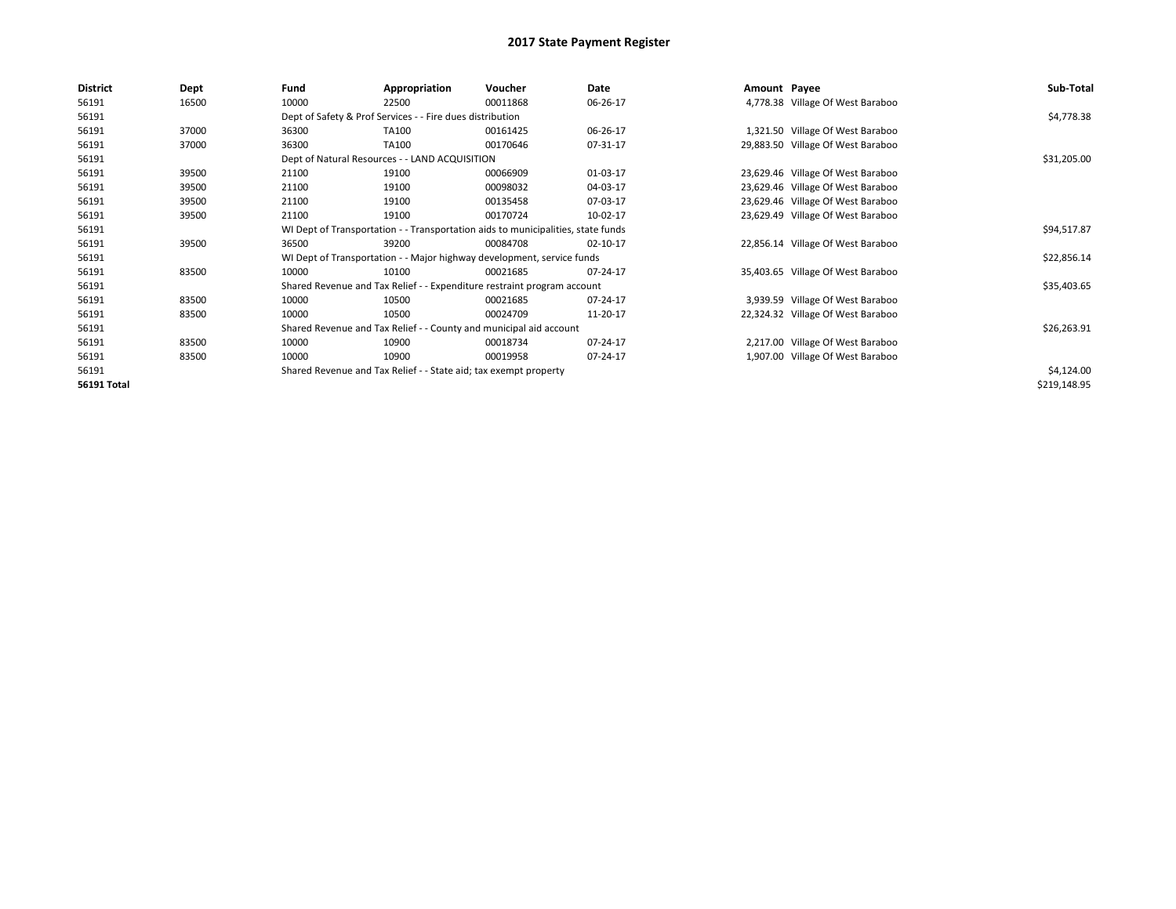| <b>District</b>    | Dept  | Fund                                                                             | Appropriation                                                           | Voucher     | Date     |  | Amount Payee                      | Sub-Total    |
|--------------------|-------|----------------------------------------------------------------------------------|-------------------------------------------------------------------------|-------------|----------|--|-----------------------------------|--------------|
| 56191              | 16500 | 10000                                                                            | 22500                                                                   | 00011868    | 06-26-17 |  | 4,778.38 Village Of West Baraboo  |              |
| 56191              |       |                                                                                  | Dept of Safety & Prof Services - - Fire dues distribution               |             |          |  |                                   | \$4,778.38   |
| 56191              | 37000 | 36300                                                                            | TA100                                                                   | 00161425    | 06-26-17 |  | 1,321.50 Village Of West Baraboo  |              |
| 56191              | 37000 | 36300                                                                            | TA100                                                                   | 00170646    | 07-31-17 |  | 29,883.50 Village Of West Baraboo |              |
| 56191              |       |                                                                                  | Dept of Natural Resources - - LAND ACQUISITION                          |             |          |  |                                   | \$31,205.00  |
| 56191              | 39500 | 21100                                                                            | 19100                                                                   | 00066909    | 01-03-17 |  | 23,629.46 Village Of West Baraboo |              |
| 56191              | 39500 | 21100                                                                            | 19100                                                                   | 00098032    | 04-03-17 |  | 23,629.46 Village Of West Baraboo |              |
| 56191              | 39500 | 21100                                                                            | 19100                                                                   | 00135458    | 07-03-17 |  | 23,629.46 Village Of West Baraboo |              |
| 56191              | 39500 | 21100                                                                            | 19100                                                                   | 00170724    | 10-02-17 |  | 23,629.49 Village Of West Baraboo |              |
| 56191              |       | WI Dept of Transportation - - Transportation aids to municipalities, state funds |                                                                         | \$94,517.87 |          |  |                                   |              |
| 56191              | 39500 | 36500                                                                            | 39200                                                                   | 00084708    | 02-10-17 |  | 22,856.14 Village Of West Baraboo |              |
| 56191              |       |                                                                                  | WI Dept of Transportation - - Major highway development, service funds  |             |          |  |                                   | \$22,856.14  |
| 56191              | 83500 | 10000                                                                            | 10100                                                                   | 00021685    | 07-24-17 |  | 35,403.65 Village Of West Baraboo |              |
| 56191              |       |                                                                                  | Shared Revenue and Tax Relief - - Expenditure restraint program account |             |          |  |                                   | \$35,403.65  |
| 56191              | 83500 | 10000                                                                            | 10500                                                                   | 00021685    | 07-24-17 |  | 3,939.59 Village Of West Baraboo  |              |
| 56191              | 83500 | 10000                                                                            | 10500                                                                   | 00024709    | 11-20-17 |  | 22,324.32 Village Of West Baraboo |              |
| 56191              |       |                                                                                  | Shared Revenue and Tax Relief - - County and municipal aid account      |             |          |  |                                   | \$26,263.91  |
| 56191              | 83500 | 10000                                                                            | 10900                                                                   | 00018734    | 07-24-17 |  | 2,217.00 Village Of West Baraboo  |              |
| 56191              | 83500 | 10000                                                                            | 10900                                                                   | 00019958    | 07-24-17 |  | 1,907.00 Village Of West Baraboo  |              |
| 56191              |       |                                                                                  | Shared Revenue and Tax Relief - - State aid; tax exempt property        |             |          |  |                                   | \$4,124.00   |
| <b>56191 Total</b> |       |                                                                                  |                                                                         |             |          |  |                                   | \$219,148.95 |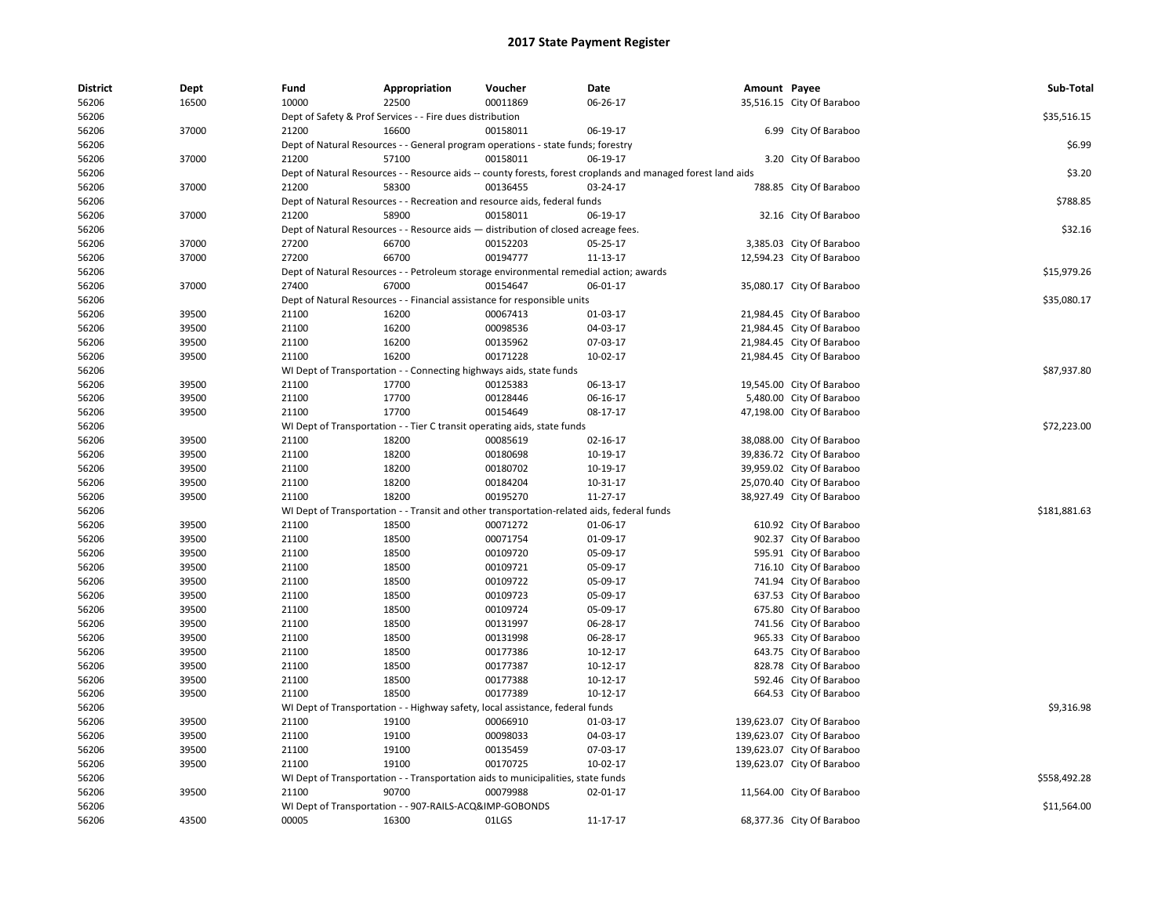| District | Dept  | Fund  | Appropriation                                                                                                | Voucher  | Date     | Amount Payee |                            | Sub-Total    |
|----------|-------|-------|--------------------------------------------------------------------------------------------------------------|----------|----------|--------------|----------------------------|--------------|
| 56206    | 16500 | 10000 | 22500                                                                                                        | 00011869 | 06-26-17 |              | 35,516.15 City Of Baraboo  |              |
| 56206    |       |       | Dept of Safety & Prof Services - - Fire dues distribution                                                    |          |          |              |                            | \$35,516.15  |
| 56206    | 37000 | 21200 | 16600                                                                                                        | 00158011 | 06-19-17 |              | 6.99 City Of Baraboo       |              |
| 56206    |       |       | Dept of Natural Resources - - General program operations - state funds; forestry                             |          |          |              |                            | \$6.99       |
| 56206    | 37000 | 21200 | 57100                                                                                                        | 00158011 | 06-19-17 |              | 3.20 City Of Baraboo       |              |
| 56206    |       |       | Dept of Natural Resources - - Resource aids -- county forests, forest croplands and managed forest land aids |          |          |              |                            | \$3.20       |
| 56206    | 37000 | 21200 | 58300                                                                                                        | 00136455 | 03-24-17 |              | 788.85 City Of Baraboo     |              |
| 56206    |       |       | Dept of Natural Resources - - Recreation and resource aids, federal funds                                    |          |          |              |                            | \$788.85     |
| 56206    | 37000 | 21200 | 58900                                                                                                        | 00158011 | 06-19-17 |              | 32.16 City Of Baraboo      |              |
| 56206    |       |       | Dept of Natural Resources - - Resource aids - distribution of closed acreage fees.                           |          |          |              |                            | \$32.16      |
| 56206    | 37000 | 27200 | 66700                                                                                                        | 00152203 | 05-25-17 |              | 3,385.03 City Of Baraboo   |              |
| 56206    | 37000 | 27200 | 66700                                                                                                        | 00194777 | 11-13-17 |              | 12,594.23 City Of Baraboo  |              |
| 56206    |       |       | Dept of Natural Resources - - Petroleum storage environmental remedial action; awards                        |          |          |              |                            | \$15,979.26  |
| 56206    | 37000 | 27400 | 67000                                                                                                        | 00154647 | 06-01-17 |              | 35,080.17 City Of Baraboo  |              |
| 56206    |       |       | Dept of Natural Resources - - Financial assistance for responsible units                                     |          |          |              |                            | \$35,080.17  |
| 56206    | 39500 | 21100 | 16200                                                                                                        | 00067413 | 01-03-17 |              | 21,984.45 City Of Baraboo  |              |
| 56206    | 39500 | 21100 | 16200                                                                                                        | 00098536 | 04-03-17 |              | 21,984.45 City Of Baraboo  |              |
| 56206    | 39500 | 21100 | 16200                                                                                                        | 00135962 | 07-03-17 |              | 21,984.45 City Of Baraboo  |              |
| 56206    | 39500 | 21100 | 16200                                                                                                        | 00171228 | 10-02-17 |              | 21,984.45 City Of Baraboo  |              |
| 56206    |       |       | WI Dept of Transportation - - Connecting highways aids, state funds                                          |          |          |              |                            | \$87,937.80  |
| 56206    | 39500 | 21100 | 17700                                                                                                        | 00125383 | 06-13-17 |              | 19,545.00 City Of Baraboo  |              |
| 56206    | 39500 | 21100 | 17700                                                                                                        | 00128446 | 06-16-17 |              | 5,480.00 City Of Baraboo   |              |
| 56206    | 39500 | 21100 | 17700                                                                                                        | 00154649 | 08-17-17 |              | 47,198.00 City Of Baraboo  |              |
| 56206    |       |       | WI Dept of Transportation - - Tier C transit operating aids, state funds                                     |          |          |              |                            | \$72,223.00  |
| 56206    | 39500 | 21100 | 18200                                                                                                        | 00085619 | 02-16-17 |              | 38,088.00 City Of Baraboo  |              |
| 56206    | 39500 | 21100 | 18200                                                                                                        | 00180698 | 10-19-17 |              | 39,836.72 City Of Baraboo  |              |
| 56206    | 39500 | 21100 | 18200                                                                                                        | 00180702 | 10-19-17 |              | 39,959.02 City Of Baraboo  |              |
| 56206    | 39500 | 21100 | 18200                                                                                                        | 00184204 | 10-31-17 |              | 25,070.40 City Of Baraboo  |              |
| 56206    | 39500 | 21100 | 18200                                                                                                        | 00195270 | 11-27-17 |              | 38,927.49 City Of Baraboo  |              |
| 56206    |       |       |                                                                                                              |          |          |              |                            | \$181,881.63 |
|          |       |       | WI Dept of Transportation - - Transit and other transportation-related aids, federal funds<br>18500          | 00071272 | 01-06-17 |              |                            |              |
| 56206    | 39500 | 21100 |                                                                                                              |          |          |              | 610.92 City Of Baraboo     |              |
| 56206    | 39500 | 21100 | 18500                                                                                                        | 00071754 | 01-09-17 |              | 902.37 City Of Baraboo     |              |
| 56206    | 39500 | 21100 | 18500                                                                                                        | 00109720 | 05-09-17 |              | 595.91 City Of Baraboo     |              |
| 56206    | 39500 | 21100 | 18500                                                                                                        | 00109721 | 05-09-17 |              | 716.10 City Of Baraboo     |              |
| 56206    | 39500 | 21100 | 18500                                                                                                        | 00109722 | 05-09-17 |              | 741.94 City Of Baraboo     |              |
| 56206    | 39500 | 21100 | 18500                                                                                                        | 00109723 | 05-09-17 |              | 637.53 City Of Baraboo     |              |
| 56206    | 39500 | 21100 | 18500                                                                                                        | 00109724 | 05-09-17 |              | 675.80 City Of Baraboo     |              |
| 56206    | 39500 | 21100 | 18500                                                                                                        | 00131997 | 06-28-17 |              | 741.56 City Of Baraboo     |              |
| 56206    | 39500 | 21100 | 18500                                                                                                        | 00131998 | 06-28-17 |              | 965.33 City Of Baraboo     |              |
| 56206    | 39500 | 21100 | 18500                                                                                                        | 00177386 | 10-12-17 |              | 643.75 City Of Baraboo     |              |
| 56206    | 39500 | 21100 | 18500                                                                                                        | 00177387 | 10-12-17 |              | 828.78 City Of Baraboo     |              |
| 56206    | 39500 | 21100 | 18500                                                                                                        | 00177388 | 10-12-17 |              | 592.46 City Of Baraboo     |              |
| 56206    | 39500 | 21100 | 18500                                                                                                        | 00177389 | 10-12-17 |              | 664.53 City Of Baraboo     |              |
| 56206    |       |       | WI Dept of Transportation - - Highway safety, local assistance, federal funds                                |          |          |              |                            | \$9,316.98   |
| 56206    | 39500 | 21100 | 19100                                                                                                        | 00066910 | 01-03-17 |              | 139,623.07 City Of Baraboo |              |
| 56206    | 39500 | 21100 | 19100                                                                                                        | 00098033 | 04-03-17 |              | 139,623.07 City Of Baraboo |              |
| 56206    | 39500 | 21100 | 19100                                                                                                        | 00135459 | 07-03-17 |              | 139,623.07 City Of Baraboo |              |
| 56206    | 39500 | 21100 | 19100                                                                                                        | 00170725 | 10-02-17 |              | 139,623.07 City Of Baraboo |              |
| 56206    |       |       | WI Dept of Transportation - - Transportation aids to municipalities, state funds                             |          |          |              |                            | \$558,492.28 |
| 56206    | 39500 | 21100 | 90700                                                                                                        | 00079988 | 02-01-17 |              | 11,564.00 City Of Baraboo  |              |
| 56206    |       |       | WI Dept of Transportation - - 907-RAILS-ACQ&IMP-GOBONDS                                                      |          |          |              |                            | \$11,564.00  |
| 56206    | 43500 | 00005 | 16300                                                                                                        | 01LGS    | 11-17-17 |              | 68,377.36 City Of Baraboo  |              |
|          |       |       |                                                                                                              |          |          |              |                            |              |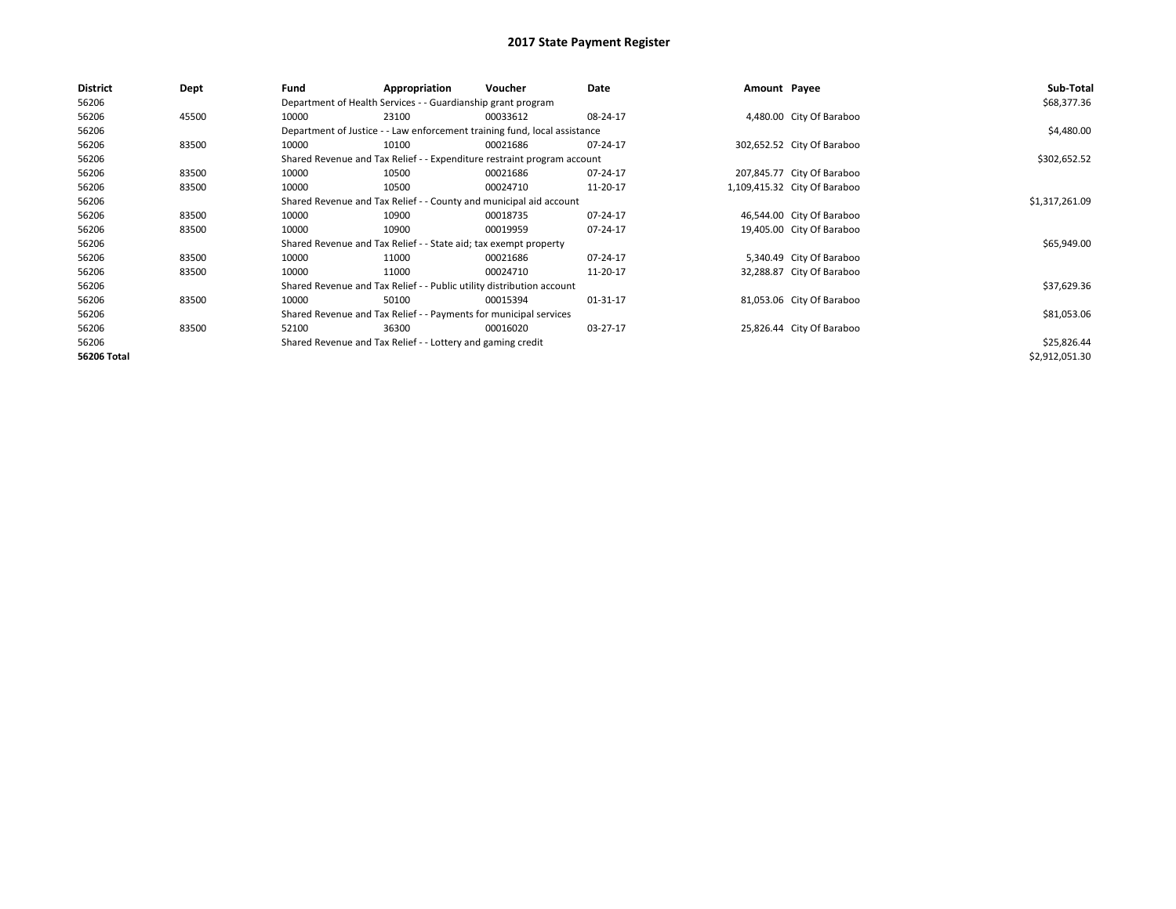| <b>District</b>    | Dept  | Fund  | Appropriation                                                             | Voucher  | Date           | Amount Payee |                              | Sub-Total      |
|--------------------|-------|-------|---------------------------------------------------------------------------|----------|----------------|--------------|------------------------------|----------------|
| 56206              |       |       | Department of Health Services - - Guardianship grant program              |          |                |              |                              | \$68,377.36    |
| 56206              | 45500 | 10000 | 23100                                                                     | 00033612 | 08-24-17       |              | 4,480.00 City Of Baraboo     |                |
| 56206              |       |       | Department of Justice - - Law enforcement training fund, local assistance |          |                |              |                              | \$4,480.00     |
| 56206              | 83500 | 10000 | 10100                                                                     | 00021686 | 07-24-17       |              | 302,652.52 City Of Baraboo   |                |
| 56206              |       |       | Shared Revenue and Tax Relief - - Expenditure restraint program account   |          |                |              |                              | \$302,652.52   |
| 56206              | 83500 | 10000 | 10500                                                                     | 00021686 | 07-24-17       |              | 207,845.77 City Of Baraboo   |                |
| 56206              | 83500 | 10000 | 10500                                                                     | 00024710 | 11-20-17       |              | 1,109,415.32 City Of Baraboo |                |
| 56206              |       |       | Shared Revenue and Tax Relief - - County and municipal aid account        |          | \$1,317,261.09 |              |                              |                |
| 56206              | 83500 | 10000 | 10900                                                                     | 00018735 | 07-24-17       |              | 46,544.00 City Of Baraboo    |                |
| 56206              | 83500 | 10000 | 10900                                                                     | 00019959 | 07-24-17       |              | 19,405.00 City Of Baraboo    |                |
| 56206              |       |       | Shared Revenue and Tax Relief - - State aid; tax exempt property          |          |                |              |                              | \$65,949.00    |
| 56206              | 83500 | 10000 | 11000                                                                     | 00021686 | 07-24-17       |              | 5,340.49 City Of Baraboo     |                |
| 56206              | 83500 | 10000 | 11000                                                                     | 00024710 | 11-20-17       |              | 32,288.87 City Of Baraboo    |                |
| 56206              |       |       | Shared Revenue and Tax Relief - - Public utility distribution account     |          |                |              |                              | \$37,629.36    |
| 56206              | 83500 | 10000 | 50100                                                                     | 00015394 | 01-31-17       |              | 81,053.06 City Of Baraboo    |                |
| 56206              |       |       | Shared Revenue and Tax Relief - - Payments for municipal services         |          |                |              |                              | \$81,053.06    |
| 56206              | 83500 | 52100 | 36300                                                                     | 00016020 | 03-27-17       |              | 25,826.44 City Of Baraboo    |                |
| 56206              |       |       | Shared Revenue and Tax Relief - - Lottery and gaming credit               |          |                |              |                              | \$25,826.44    |
| <b>56206 Total</b> |       |       |                                                                           |          |                |              |                              | \$2,912,051.30 |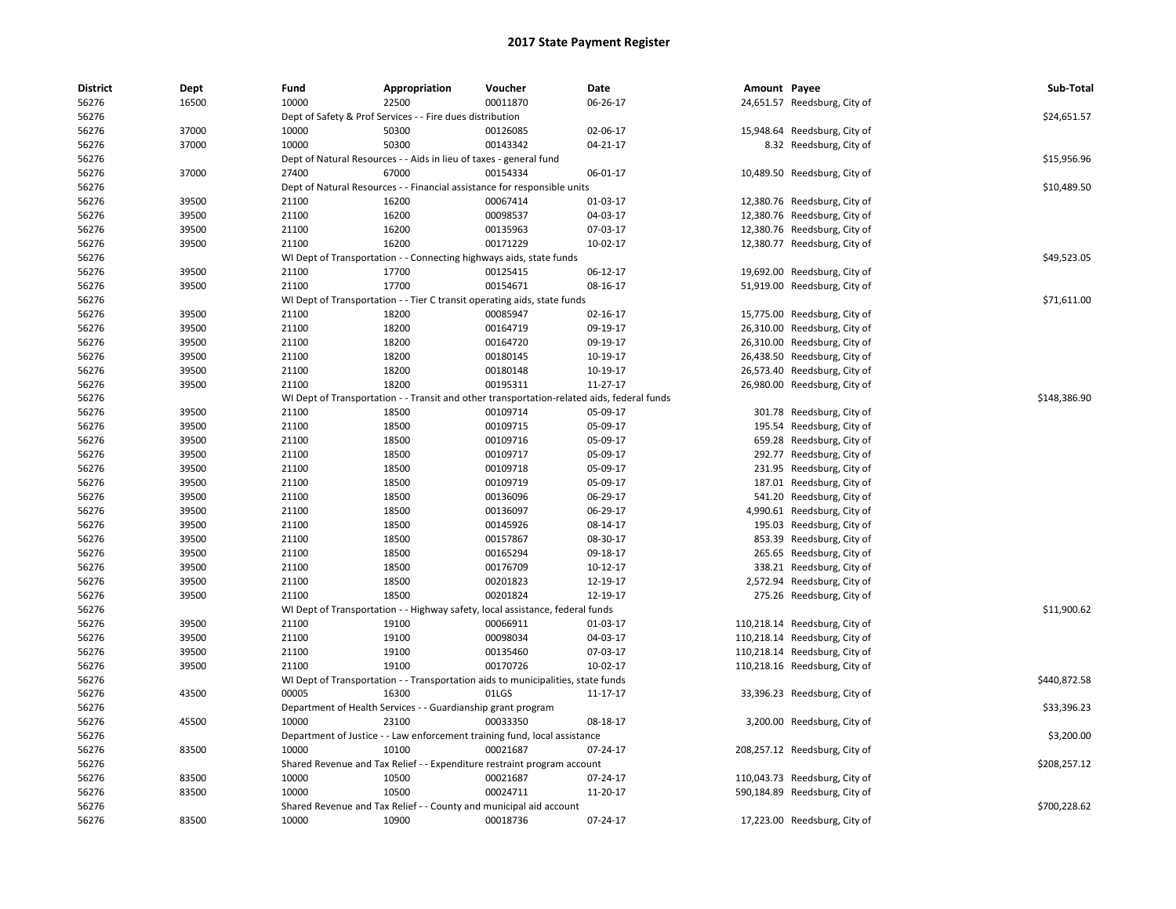| <b>District</b><br>56276 | Dept<br>16500 | Fund<br>10000 | Appropriation<br>22500                                                                     | Voucher<br>00011870 | Date<br>06-26-17 | Amount Payee | 24,651.57 Reedsburg, City of  | Sub-Total    |
|--------------------------|---------------|---------------|--------------------------------------------------------------------------------------------|---------------------|------------------|--------------|-------------------------------|--------------|
| 56276                    |               |               | Dept of Safety & Prof Services - - Fire dues distribution                                  |                     |                  |              |                               | \$24,651.57  |
| 56276                    | 37000         | 10000         | 50300                                                                                      | 00126085            | 02-06-17         |              | 15,948.64 Reedsburg, City of  |              |
| 56276                    | 37000         | 10000         | 50300                                                                                      | 00143342            | $04 - 21 - 17$   |              | 8.32 Reedsburg, City of       |              |
| 56276                    |               |               | Dept of Natural Resources - - Aids in lieu of taxes - general fund                         |                     |                  |              |                               | \$15,956.96  |
|                          |               | 27400         | 67000                                                                                      | 00154334            |                  |              |                               |              |
| 56276<br>56276           | 37000         |               |                                                                                            |                     | 06-01-17         |              | 10,489.50 Reedsburg, City of  | \$10,489.50  |
|                          |               |               | Dept of Natural Resources - - Financial assistance for responsible units                   |                     |                  |              |                               |              |
| 56276                    | 39500         | 21100         | 16200                                                                                      | 00067414            | 01-03-17         |              | 12,380.76 Reedsburg, City of  |              |
| 56276                    | 39500         | 21100         | 16200                                                                                      | 00098537            | 04-03-17         |              | 12,380.76 Reedsburg, City of  |              |
| 56276                    | 39500         | 21100         | 16200                                                                                      | 00135963            | 07-03-17         |              | 12,380.76 Reedsburg, City of  |              |
| 56276                    | 39500         | 21100         | 16200                                                                                      | 00171229            | 10-02-17         |              | 12,380.77 Reedsburg, City of  |              |
| 56276                    |               |               | WI Dept of Transportation - - Connecting highways aids, state funds                        |                     |                  |              |                               | \$49,523.05  |
| 56276                    | 39500         | 21100         | 17700                                                                                      | 00125415            | 06-12-17         |              | 19,692.00 Reedsburg, City of  |              |
| 56276                    | 39500         | 21100         | 17700                                                                                      | 00154671            | 08-16-17         |              | 51,919.00 Reedsburg, City of  |              |
| 56276                    |               |               | WI Dept of Transportation - - Tier C transit operating aids, state funds                   |                     |                  |              |                               | \$71,611.00  |
| 56276                    | 39500         | 21100         | 18200                                                                                      | 00085947            | 02-16-17         |              | 15,775.00 Reedsburg, City of  |              |
| 56276                    | 39500         | 21100         | 18200                                                                                      | 00164719            | 09-19-17         |              | 26,310.00 Reedsburg, City of  |              |
| 56276                    | 39500         | 21100         | 18200                                                                                      | 00164720            | 09-19-17         |              | 26,310.00 Reedsburg, City of  |              |
| 56276                    | 39500         | 21100         | 18200                                                                                      | 00180145            | 10-19-17         |              | 26,438.50 Reedsburg, City of  |              |
| 56276                    | 39500         | 21100         | 18200                                                                                      | 00180148            | 10-19-17         |              | 26,573.40 Reedsburg, City of  |              |
| 56276                    | 39500         | 21100         | 18200                                                                                      | 00195311            | 11-27-17         |              | 26,980.00 Reedsburg, City of  |              |
| 56276                    |               |               | WI Dept of Transportation - - Transit and other transportation-related aids, federal funds |                     |                  |              |                               | \$148,386.90 |
| 56276                    | 39500         | 21100         | 18500                                                                                      | 00109714            | 05-09-17         |              | 301.78 Reedsburg, City of     |              |
| 56276                    | 39500         | 21100         | 18500                                                                                      | 00109715            | 05-09-17         |              | 195.54 Reedsburg, City of     |              |
| 56276                    | 39500         | 21100         | 18500                                                                                      | 00109716            | 05-09-17         |              | 659.28 Reedsburg, City of     |              |
| 56276                    | 39500         | 21100         | 18500                                                                                      | 00109717            | 05-09-17         |              | 292.77 Reedsburg, City of     |              |
| 56276                    | 39500         | 21100         | 18500                                                                                      | 00109718            | 05-09-17         |              | 231.95 Reedsburg, City of     |              |
| 56276                    | 39500         | 21100         | 18500                                                                                      | 00109719            | 05-09-17         |              | 187.01 Reedsburg, City of     |              |
| 56276                    | 39500         | 21100         | 18500                                                                                      | 00136096            | 06-29-17         | 541.20       | Reedsburg, City of            |              |
| 56276                    | 39500         | 21100         | 18500                                                                                      | 00136097            | 06-29-17         |              | 4,990.61 Reedsburg, City of   |              |
| 56276                    | 39500         | 21100         | 18500                                                                                      | 00145926            | 08-14-17         |              | 195.03 Reedsburg, City of     |              |
| 56276                    | 39500         | 21100         | 18500                                                                                      | 00157867            | 08-30-17         |              | 853.39 Reedsburg, City of     |              |
| 56276                    | 39500         | 21100         | 18500                                                                                      | 00165294            | 09-18-17         |              | 265.65 Reedsburg, City of     |              |
| 56276                    | 39500         | 21100         | 18500                                                                                      | 00176709            | 10-12-17         |              | 338.21 Reedsburg, City of     |              |
| 56276                    | 39500         | 21100         | 18500                                                                                      | 00201823            | 12-19-17         |              | 2,572.94 Reedsburg, City of   |              |
| 56276                    | 39500         | 21100         | 18500                                                                                      | 00201824            | 12-19-17         |              | 275.26 Reedsburg, City of     |              |
| 56276                    |               |               | WI Dept of Transportation - - Highway safety, local assistance, federal funds              |                     |                  |              |                               | \$11,900.62  |
| 56276                    | 39500         | 21100         | 19100                                                                                      | 00066911            | 01-03-17         |              | 110,218.14 Reedsburg, City of |              |
| 56276                    | 39500         | 21100         | 19100                                                                                      | 00098034            | 04-03-17         |              | 110,218.14 Reedsburg, City of |              |
| 56276                    | 39500         | 21100         | 19100                                                                                      | 00135460            | 07-03-17         |              | 110,218.14 Reedsburg, City of |              |
| 56276                    | 39500         | 21100         | 19100                                                                                      | 00170726            | 10-02-17         |              | 110,218.16 Reedsburg, City of |              |
| 56276                    |               |               | WI Dept of Transportation - - Transportation aids to municipalities, state funds           |                     |                  |              |                               | \$440,872.58 |
| 56276                    | 43500         | 00005         | 16300                                                                                      | 01LGS               | 11-17-17         |              | 33,396.23 Reedsburg, City of  |              |
| 56276                    |               |               | Department of Health Services - - Guardianship grant program                               |                     |                  |              |                               | \$33,396.23  |
| 56276                    | 45500         | 10000         | 23100                                                                                      | 00033350            | 08-18-17         |              | 3,200.00 Reedsburg, City of   |              |
| 56276                    |               |               |                                                                                            |                     |                  |              |                               | \$3,200.00   |
|                          | 83500         | 10000         | Department of Justice - - Law enforcement training fund, local assistance<br>10100         | 00021687            | 07-24-17         |              | 208,257.12 Reedsburg, City of |              |
| 56276                    |               |               |                                                                                            |                     |                  |              |                               |              |
| 56276                    |               |               | Shared Revenue and Tax Relief - - Expenditure restraint program account                    |                     |                  |              |                               | \$208,257.12 |
| 56276                    | 83500         | 10000         | 10500                                                                                      | 00021687            | 07-24-17         |              | 110,043.73 Reedsburg, City of |              |
| 56276                    | 83500         | 10000         | 10500                                                                                      | 00024711            | 11-20-17         |              | 590,184.89 Reedsburg, City of |              |
| 56276                    |               |               | Shared Revenue and Tax Relief - - County and municipal aid account                         |                     |                  |              |                               | \$700,228.62 |
| 56276                    | 83500         | 10000         | 10900                                                                                      | 00018736            | 07-24-17         |              | 17,223.00 Reedsburg, City of  |              |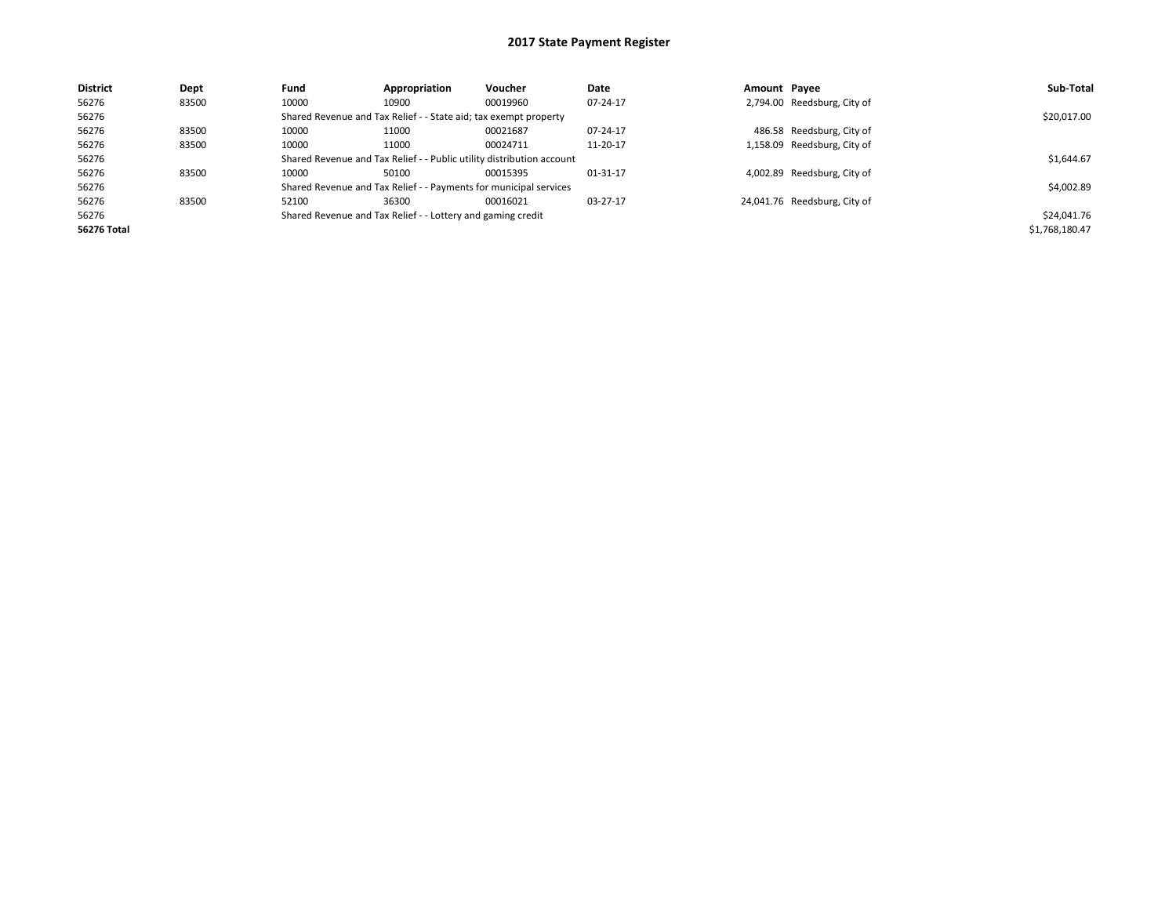| <b>District</b> | Dept  | Fund  | Appropriation                                                         | <b>Voucher</b> | Date     | Amount Payee |                              | Sub-Total      |  |  |
|-----------------|-------|-------|-----------------------------------------------------------------------|----------------|----------|--------------|------------------------------|----------------|--|--|
| 56276           | 83500 | 10000 | 10900                                                                 | 00019960       | 07-24-17 |              | 2,794.00 Reedsburg, City of  |                |  |  |
| 56276           |       |       | Shared Revenue and Tax Relief - - State aid; tax exempt property      |                |          |              |                              | \$20,017.00    |  |  |
| 56276           | 83500 | 10000 | 11000                                                                 | 00021687       | 07-24-17 |              | 486.58 Reedsburg, City of    |                |  |  |
| 56276           | 83500 | 10000 | 11000                                                                 | 00024711       | 11-20-17 |              | 1,158.09 Reedsburg, City of  |                |  |  |
| 56276           |       |       | Shared Revenue and Tax Relief - - Public utility distribution account |                |          |              |                              |                |  |  |
| 56276           | 83500 | 10000 | 50100                                                                 | 00015395       | 01-31-17 |              | 4,002.89 Reedsburg, City of  |                |  |  |
| 56276           |       |       | Shared Revenue and Tax Relief - - Payments for municipal services     |                |          |              |                              | \$4,002.89     |  |  |
| 56276           | 83500 | 52100 | 36300                                                                 | 00016021       | 03-27-17 |              | 24,041.76 Reedsburg, City of |                |  |  |
| 56276           |       |       | Shared Revenue and Tax Relief - - Lottery and gaming credit           |                |          |              |                              | \$24,041.76    |  |  |
| 56276 Total     |       |       |                                                                       |                |          |              |                              | \$1,768,180.47 |  |  |
|                 |       |       |                                                                       |                |          |              |                              |                |  |  |